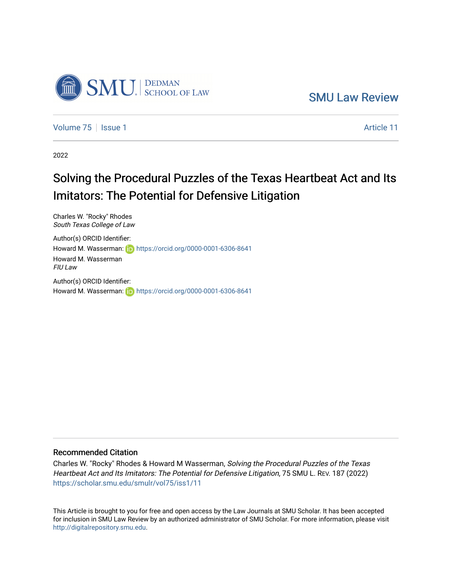

[SMU Law Review](https://scholar.smu.edu/smulr) 

[Volume 75](https://scholar.smu.edu/smulr/vol75) | [Issue 1](https://scholar.smu.edu/smulr/vol75/iss1) Article 11

2022

# Solving the Procedural Puzzles of the Texas Heartbeat Act and Its Imitators: The Potential for Defensive Litigation

Charles W. "Rocky" Rhodes South Texas College of Law

Author(s) ORCID Identifier: Howard M. Wasserman: **https://orcid.org/0000-0001-6306-8641** Howard M. Wasserman FIU Law Author(s) ORCID Identifier:

Howard M. Wasserman: **h**ttps://orcid.org/0000-0001-6306-8641

## Recommended Citation

Charles W. "Rocky" Rhodes & Howard M Wasserman, Solving the Procedural Puzzles of the Texas Heartbeat Act and Its Imitators: The Potential for Defensive Litigation, 75 SMU L. REV. 187 (2022) [https://scholar.smu.edu/smulr/vol75/iss1/11](https://scholar.smu.edu/smulr/vol75/iss1/11?utm_source=scholar.smu.edu%2Fsmulr%2Fvol75%2Fiss1%2F11&utm_medium=PDF&utm_campaign=PDFCoverPages)

This Article is brought to you for free and open access by the Law Journals at SMU Scholar. It has been accepted for inclusion in SMU Law Review by an authorized administrator of SMU Scholar. For more information, please visit [http://digitalrepository.smu.edu.](http://digitalrepository.smu.edu/)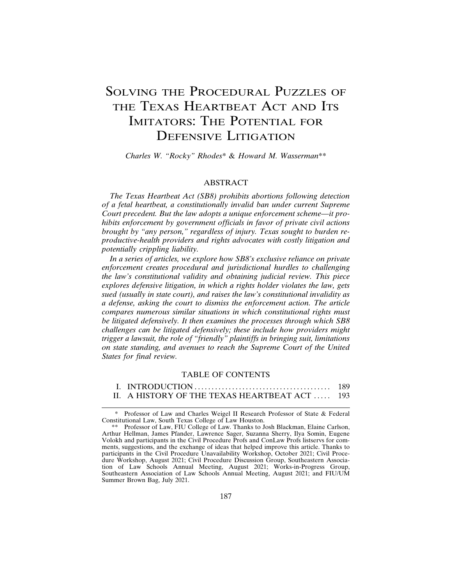## SOLVING THE PROCEDURAL PUZZLES OF THE TEXAS HEARTBEAT ACT AND ITS IMITATORS: THE POTENTIAL FOR DEFENSIVE LITIGATION

*Charles W. "Rocky" Rhodes*\* & *Howard M. Wasserman*\*\*

## ABSTRACT

*The Texas Heartbeat Act (SB8) prohibits abortions following detection of a fetal heartbeat, a constitutionally invalid ban under current Supreme Court precedent. But the law adopts a unique enforcement scheme—it prohibits enforcement by government officials in favor of private civil actions brought by "any person," regardless of injury. Texas sought to burden reproductive-health providers and rights advocates with costly litigation and potentially crippling liability.*

*In a series of articles, we explore how SB8's exclusive reliance on private enforcement creates procedural and jurisdictional hurdles to challenging the law's constitutional validity and obtaining judicial review. This piece explores defensive litigation, in which a rights holder violates the law, gets sued (usually in state court), and raises the law's constitutional invalidity as a defense, asking the court to dismiss the enforcement action. The article compares numerous similar situations in which constitutional rights must be litigated defensively. It then examines the processes through which SB8 challenges can be litigated defensively; these include how providers might trigger a lawsuit, the role of "friendly" plaintiffs in bringing suit, limitations on state standing, and avenues to reach the Supreme Court of the United States for final review.*

## TABLE OF CONTENTS

|                                              | 189 |
|----------------------------------------------|-----|
| II. A HISTORY OF THE TEXAS HEARTBEAT ACT 193 |     |

<sup>\*</sup> Professor of Law and Charles Weigel II Research Professor of State & Federal Constitutional Law, South Texas College of Law Houston.

<sup>\*\*</sup> Professor of Law, FIU College of Law. Thanks to Josh Blackman, Elaine Carlson, Arthur Hellman, James Pfander, Lawrence Sager, Suzanna Sherry, Ilya Somin, Eugene Volokh and participants in the Civil Procedure Profs and ConLaw Profs listservs for comments, suggestions, and the exchange of ideas that helped improve this article. Thanks to participants in the Civil Procedure Unavailability Workshop, October 2021; Civil Procedure Workshop, August 2021; Civil Procedure Discussion Group, Southeastern Association of Law Schools Annual Meeting, August 2021; Works-in-Progress Group, Southeastern Association of Law Schools Annual Meeting, August 2021; and FIU/UM Summer Brown Bag, July 2021.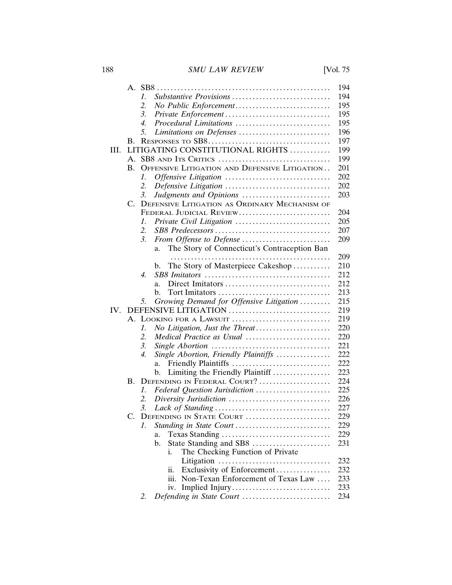188 *SMU LAW REVIEW* [Vol. 75

|     |                                      |                                                          | 194 |  |  |  |  |  |
|-----|--------------------------------------|----------------------------------------------------------|-----|--|--|--|--|--|
|     |                                      | Substantive Provisions<br>1.                             | 194 |  |  |  |  |  |
|     |                                      | 2.                                                       | 195 |  |  |  |  |  |
|     |                                      | 3.                                                       | 195 |  |  |  |  |  |
|     |                                      | Procedural Limitations<br>4.                             | 195 |  |  |  |  |  |
|     |                                      | 5.<br>Limitations on Defenses                            | 196 |  |  |  |  |  |
|     | B.                                   |                                                          | 197 |  |  |  |  |  |
| HI. | LITIGATING CONSTITUTIONAL RIGHTS     |                                                          |     |  |  |  |  |  |
|     | $\mathsf{A}$ .                       | SB8 AND ITS CRITICS                                      | 199 |  |  |  |  |  |
|     | B.                                   | OFFENSIVE LITIGATION AND DEFENSIVE LITIGATION            | 201 |  |  |  |  |  |
|     |                                      | Offensive Litigation<br>I.                               | 202 |  |  |  |  |  |
|     |                                      | 2.                                                       | 202 |  |  |  |  |  |
|     |                                      | Judgments and Opinions<br>3.                             | 203 |  |  |  |  |  |
|     | $C_{\cdot}$                          | DEFENSIVE LITIGATION AS ORDINARY MECHANISM OF            |     |  |  |  |  |  |
|     |                                      | FEDERAL JUDICIAL REVIEW                                  | 204 |  |  |  |  |  |
|     |                                      | 7.                                                       | 205 |  |  |  |  |  |
|     |                                      | 2.                                                       | 207 |  |  |  |  |  |
|     |                                      | 3.<br>From Offense to Defense                            | 209 |  |  |  |  |  |
|     |                                      | The Story of Connecticut's Contraception Ban<br>a.       |     |  |  |  |  |  |
|     |                                      | .                                                        | 209 |  |  |  |  |  |
|     |                                      | The Story of Masterpiece Cakeshop<br>b.                  | 210 |  |  |  |  |  |
|     |                                      | $\overline{4}$ .                                         | 212 |  |  |  |  |  |
|     |                                      | Direct Imitators<br>a.                                   | 212 |  |  |  |  |  |
|     |                                      | h.                                                       | 213 |  |  |  |  |  |
|     |                                      | Growing Demand for Offensive Litigation<br>5.            | 215 |  |  |  |  |  |
| IV. |                                      | DEFENSIVE LITIGATION                                     | 219 |  |  |  |  |  |
|     |                                      | A. LOOKING FOR A LAWSUIT                                 | 219 |  |  |  |  |  |
|     | No Litigation, Just the Threat<br>1. |                                                          |     |  |  |  |  |  |
|     |                                      | Medical Practice as Usual<br>2.                          |     |  |  |  |  |  |
|     | 3.                                   |                                                          |     |  |  |  |  |  |
|     |                                      | Single Abortion, Friendly Plaintiffs<br>$\overline{4}$ . | 222 |  |  |  |  |  |
|     |                                      | Friendly Plaintiffs<br>a.                                | 222 |  |  |  |  |  |
|     |                                      | Limiting the Friendly Plaintiff<br>b.                    | 223 |  |  |  |  |  |
|     | B.                                   | DEFENDING IN FEDERAL COURT?                              | 224 |  |  |  |  |  |
|     |                                      | Federal Question Jurisdiction<br>1.                      | 225 |  |  |  |  |  |
|     |                                      | 2.                                                       | 226 |  |  |  |  |  |
|     |                                      | 3.                                                       | 227 |  |  |  |  |  |
|     |                                      | C. DEFENDING IN STATE COURT                              | 229 |  |  |  |  |  |
|     |                                      | Standing in State Court<br>1.                            | 229 |  |  |  |  |  |
|     |                                      | a.                                                       | 229 |  |  |  |  |  |
|     |                                      | State Standing and SB8<br>$\mathbf{b}$ .                 | 231 |  |  |  |  |  |
|     |                                      | The Checking Function of Private<br>i.                   |     |  |  |  |  |  |
|     |                                      |                                                          | 232 |  |  |  |  |  |
|     |                                      | Exclusivity of Enforcement<br>ii.                        | 232 |  |  |  |  |  |
|     |                                      | iii. Non-Texan Enforcement of Texas Law                  | 233 |  |  |  |  |  |
|     |                                      | iv.                                                      | 233 |  |  |  |  |  |
|     |                                      | Defending in State Court<br>2.                           | 234 |  |  |  |  |  |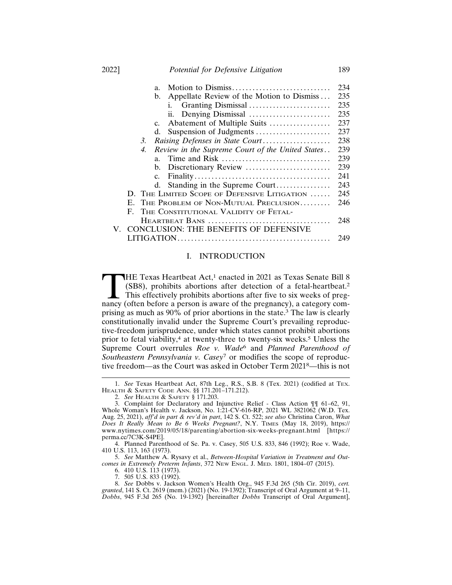|    |                                            |    | a.             |                                                                             | 234 |  |
|----|--------------------------------------------|----|----------------|-----------------------------------------------------------------------------|-----|--|
|    |                                            |    | b.             | Appellate Review of the Motion to Dismiss                                   | 235 |  |
|    |                                            |    |                | Granting Dismissal<br>i.                                                    | 235 |  |
|    |                                            |    |                | Denying Dismissal<br>11.                                                    | 235 |  |
|    |                                            |    | $c_{\cdot}$    | Abatement of Multiple Suits                                                 | 237 |  |
|    |                                            |    | d.             |                                                                             | 237 |  |
|    |                                            | 3. |                | Raising Defenses in State Court                                             | 238 |  |
|    |                                            | 4. |                | Review in the Supreme Court of the United States                            | 239 |  |
|    |                                            |    | a <sub>z</sub> | Time and Risk $\dots \dots \dots \dots \dots \dots \dots \dots \dots \dots$ | 239 |  |
|    |                                            |    | $b_{1}$        |                                                                             | 239 |  |
|    |                                            |    | $c_{\cdot}$    |                                                                             | 241 |  |
|    |                                            |    | d.             | Standing in the Supreme Court                                               | 243 |  |
|    |                                            |    |                | D. THE LIMITED SCOPE OF DEFENSIVE LITIGATION                                | 245 |  |
|    | THE PROBLEM OF NON-MUTUAL PRECLUSION<br>Е. |    |                |                                                                             |     |  |
|    | $\mathbf{F}$                               |    |                | THE CONSTITUTIONAL VALIDITY OF FETAL-                                       |     |  |
|    |                                            |    |                |                                                                             | 248 |  |
| V. |                                            |    |                | <b>CONCLUSION: THE BENEFITS OF DEFENSIVE</b>                                |     |  |
|    |                                            |    |                |                                                                             | 249 |  |

#### I. INTRODUCTION

THE Texas Heartbeat Act,<sup>1</sup> enacted in 2021 as Texas Senate Bill 8 (SB8), prohibits abortions after detection of a fetal-heartbeat.<sup>2</sup> This effectively prohibits abortions after five to six weeks of pregnancy (often before (SB8), prohibits abortions after detection of a fetal-heartbeat.<sup>2</sup> This effectively prohibits abortions after five to six weeks of pregprising as much as 90% of prior abortions in the state.3 The law is clearly constitutionally invalid under the Supreme Court's prevailing reproductive-freedom jurisprudence, under which states cannot prohibit abortions prior to fetal viability,<sup>4</sup> at twenty-three to twenty-six weeks.<sup>5</sup> Unless the Supreme Court overrules *Roe v. Wade*6 and *Planned Parenthood of Southeastern Pennsylvania v. Casey*7 or modifies the scope of reproductive freedom—as the Court was asked in October Term 20218—this is not

6. 410 U.S. 113 (1973).

<sup>1.</sup> *See* Texas Heartbeat Act, 87th Leg., R.S., S.B. 8 (Tex. 2021) (codified at TEX. HEALTH & SAFETY CODE ANN. §§ 171.201–171.212).

<sup>2.</sup> *See* HEALTH & SAFETY § 171.203.

<sup>3.</sup> Complaint for Declaratory and Injunctive Relief - Class Action ¶¶ 61–62, 91, Whole Woman's Health v. Jackson, No. 1:21-CV-616-RP, 2021 WL 3821062 (W.D. Tex. Aug. 25, 2021), *aff'd in part & rev'd in part*, 142 S. Ct. 522; *see also* Christina Caron, *What Does It Really Mean to Be 6 Weeks Pregnant?*, N.Y. TIMES (May 18, 2019), https:// www.nytimes.com/2019/05/18/parenting/abortion-six-weeks-pregnant.html [https:// perma.cc/7C3K-S4PE].

<sup>4.</sup> Planned Parenthood of Se. Pa. v. Casey, 505 U.S. 833, 846 (1992); Roe v. Wade, 410 U.S. 113, 163 (1973).

<sup>5.</sup> *See* Matthew A. Rysavy et al., *Between-Hospital Variation in Treatment and Outcomes in Extremely Preterm Infants*, 372 NEW ENGL. J. MED. 1801, 1804–07 (2015).

<sup>7. 505</sup> U.S. 833 (1992).

<sup>8.</sup> *See* Dobbs v. Jackson Women's Health Org., 945 F.3d 265 (5th Cir. 2019), *cert. granted*, 141 S. Ct. 2619 (mem.) (2021) (No. 19-1392); Transcript of Oral Argument at 9–11, *Dobbs*, 945 F.3d 265 (No. 19-1392) [hereinafter *Dobbs* Transcript of Oral Argument],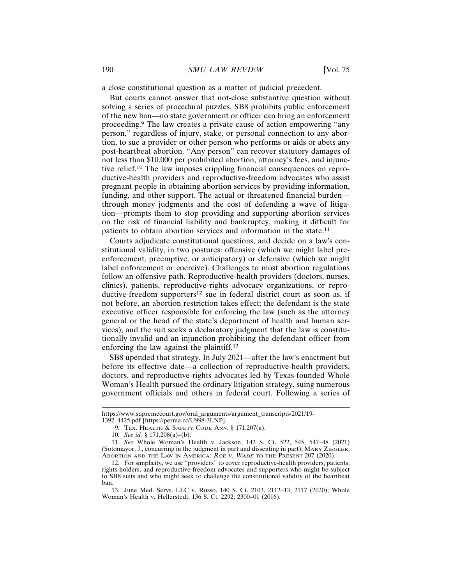a close constitutional question as a matter of judicial precedent.

But courts cannot answer that not-close substantive question without solving a series of procedural puzzles. SB8 prohibits public enforcement of the new ban—no state government or officer can bring an enforcement proceeding.9 The law creates a private cause of action empowering "any person," regardless of injury, stake, or personal connection to any abortion, to sue a provider or other person who performs or aids or abets any post-heartbeat abortion. "Any person" can recover statutory damages of not less than \$10,000 per prohibited abortion, attorney's fees, and injunctive relief.10 The law imposes crippling financial consequences on reproductive-health providers and reproductive-freedom advocates who assist pregnant people in obtaining abortion services by providing information, funding, and other support. The actual or threatened financial burden through money judgments and the cost of defending a wave of litigation—prompts them to stop providing and supporting abortion services on the risk of financial liability and bankruptcy, making it difficult for patients to obtain abortion services and information in the state.<sup>11</sup>

Courts adjudicate constitutional questions, and decide on a law's constitutional validity, in two postures: offensive (which we might label preenforcement, preemptive, or anticipatory) or defensive (which we might label enforcement or coercive). Challenges to most abortion regulations follow an offensive path. Reproductive-health providers (doctors, nurses, clinics), patients, reproductive-rights advocacy organizations, or reproductive-freedom supporters<sup>12</sup> sue in federal district court as soon as, if not before, an abortion restriction takes effect; the defendant is the state executive officer responsible for enforcing the law (such as the attorney general or the head of the state's department of health and human services); and the suit seeks a declaratory judgment that the law is constitutionally invalid and an injunction prohibiting the defendant officer from enforcing the law against the plaintiff.<sup>13</sup>

SB8 upended that strategy. In July 2021—after the law's enactment but before its effective date—a collection of reproductive-health providers, doctors, and reproductive-rights advocates led by Texas-founded Whole Woman's Health pursued the ordinary litigation strategy, suing numerous government officials and others in federal court. Following a series of

https://www.supremecourt.gov/oral\_arguments/argument\_transcripts/2021/19- 1392\_4425.pdf [https://perma.cc/U998-3LNP].

<sup>9.</sup> TEX. HEALTH & SAFETY CODE ANN. § 171.207(a).

<sup>10.</sup> *See id.* § 171.208(a)–(b).

<sup>11.</sup> *See* Whole Woman's Health v. Jackson, 142 S. Ct. 522, 545, 547–48 (2021) (Sotomayor, J., concurring in the judgment in part and dissenting in part); MARY ZIEGLER, ABORTION AND THE LAW IN AMERICA: <sup>R</sup>OE <sup>V</sup>. WADE TO THE PRESENT 207 (2020).

<sup>12.</sup> For simplicity, we use "providers" to cover reproductive-health providers, patients, rights holders, and reproductive-freedom advocates and supporters who might be subject to SB8 suits and who might seek to challenge the constitutional validity of the heartbeat ban.

<sup>13.</sup> June Med. Servs. LLC v. Russo, 140 S. Ct. 2103, 2112–13, 2117 (2020); Whole Woman's Health v. Hellerstedt, 136 S. Ct. 2292, 2300–01 (2016).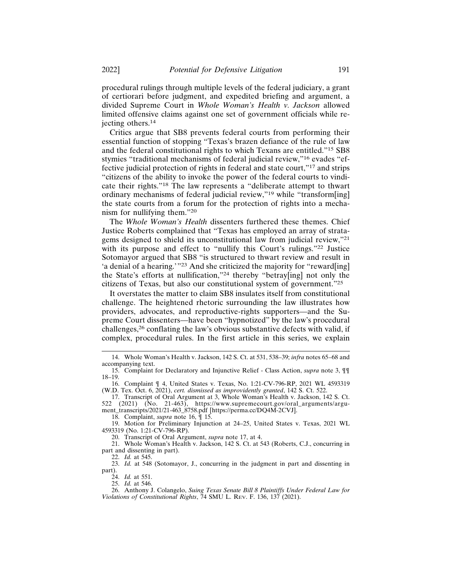procedural rulings through multiple levels of the federal judiciary, a grant of certiorari before judgment, and expedited briefing and argument, a divided Supreme Court in *Whole Woman's Health v. Jackson* allowed limited offensive claims against one set of government officials while rejecting others.<sup>14</sup>

Critics argue that SB8 prevents federal courts from performing their essential function of stopping "Texas's brazen defiance of the rule of law and the federal constitutional rights to which Texans are entitled."15 SB8 stymies "traditional mechanisms of federal judicial review,"16 evades "effective judicial protection of rights in federal and state court,"17 and strips "citizens of the ability to invoke the power of the federal courts to vindicate their rights."18 The law represents a "deliberate attempt to thwart ordinary mechanisms of federal judicial review,"19 while "transform[ing] the state courts from a forum for the protection of rights into a mechanism for nullifying them."<sup>20</sup>

The *Whole Woman's Health* dissenters furthered these themes. Chief Justice Roberts complained that "Texas has employed an array of stratagems designed to shield its unconstitutional law from judicial review,"<sup>21</sup> with its purpose and effect to "nullify this Court's rulings."<sup>22</sup> Justice Sotomayor argued that SB8 "is structured to thwart review and result in 'a denial of a hearing.'"23 And she criticized the majority for "reward[ing] the State's efforts at nullification,"24 thereby "betray[ing] not only the citizens of Texas, but also our constitutional system of government."<sup>25</sup>

It overstates the matter to claim SB8 insulates itself from constitutional challenge. The heightened rhetoric surrounding the law illustrates how providers, advocates, and reproductive-rights supporters—and the Supreme Court dissenters—have been "hypnotized" by the law's procedural challenges,26 conflating the law's obvious substantive defects with valid, if complex, procedural rules. In the first article in this series, we explain

19. Motion for Preliminary Injunction at 24–25, United States v. Texas, 2021 WL 4593319 (No. 1:21-CV-796-RP).

20. Transcript of Oral Argument, *supra* note 17, at 4.

21. Whole Woman's Health v. Jackson, 142 S. Ct. at 543 (Roberts, C.J., concurring in part and dissenting in part).

<sup>14.</sup> Whole Woman's Health v. Jackson, 142 S. Ct. at 531, 538–39; *infra* notes 65–68 and accompanying text.

<sup>15.</sup> Complaint for Declaratory and Injunctive Relief - Class Action, *supra* note 3, ¶¶ 18–19.

<sup>16.</sup> Complaint ¶ 4, United States v. Texas, No. 1:21-CV-796-RP, 2021 WL 4593319 (W.D. Tex. Oct. 6, 2021), *cert. dismissed as improvidently granted*, 142 S. Ct. 522.

<sup>17.</sup> Transcript of Oral Argument at 3, Whole Woman's Health v. Jackson, 142 S. Ct. 522 (2021) (No. 21-463), https://www.supremecourt.gov/oral\_arguments/argument\_transcripts/2021/21-463\_8758.pdf [https://perma.cc/DQ4M-2CVJ].

<sup>18.</sup> Complaint, *supra* note 16, ¶ 15.

<sup>22.</sup> *Id.* at 545.

<sup>23.</sup> *Id.* at 548 (Sotomayor, J., concurring in the judgment in part and dissenting in part).

<sup>24.</sup> *Id.* at 551.

<sup>25.</sup> *Id.* at 546.

<sup>26.</sup> Anthony J. Colangelo, *Suing Texas Senate Bill 8 Plaintiffs Under Federal Law for Violations of Constitutional Rights*, 74 SMU L. REV. F. 136, 137 (2021).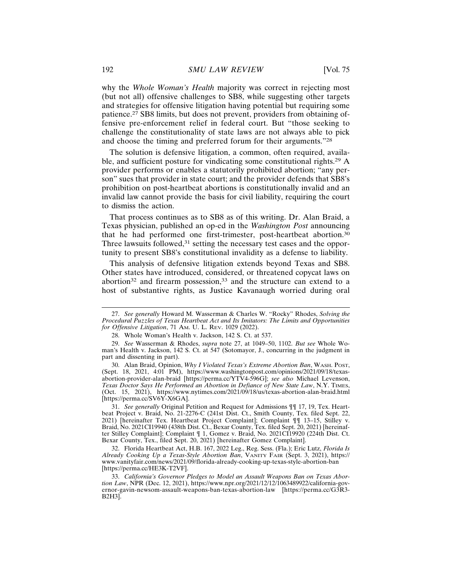why the *Whole Woman's Health* majority was correct in rejecting most (but not all) offensive challenges to SB8, while suggesting other targets and strategies for offensive litigation having potential but requiring some patience.27 SB8 limits, but does not prevent, providers from obtaining offensive pre-enforcement relief in federal court. But "those seeking to challenge the constitutionality of state laws are not always able to pick and choose the timing and preferred forum for their arguments."<sup>28</sup>

The solution is defensive litigation, a common, often required, available, and sufficient posture for vindicating some constitutional rights.29 A provider performs or enables a statutorily prohibited abortion; "any person" sues that provider in state court; and the provider defends that SB8's prohibition on post-heartbeat abortions is constitutionally invalid and an invalid law cannot provide the basis for civil liability, requiring the court to dismiss the action.

That process continues as to SB8 as of this writing. Dr. Alan Braid, a Texas physician, published an op-ed in the *Washington Post* announcing that he had performed one first-trimester, post-heartbeat abortion.<sup>30</sup> Three lawsuits followed,<sup>31</sup> setting the necessary test cases and the opportunity to present SB8's constitutional invalidity as a defense to liability.

This analysis of defensive litigation extends beyond Texas and SB8. Other states have introduced, considered, or threatened copycat laws on abortion<sup>32</sup> and firearm possession,<sup>33</sup> and the structure can extend to a host of substantive rights, as Justice Kavanaugh worried during oral

<sup>27.</sup> *See generally* Howard M. Wasserman & Charles W. "Rocky" Rhodes, *Solving the Procedural Puzzles of Texas Heartbeat Act and Its Imitators: The Limits and Opportunities for Offensive Litigation*, 71 AM. U. L. REV. 1029 (2022).

<sup>28.</sup> Whole Woman's Health v. Jackson, 142 S. Ct. at 537.

<sup>29.</sup> *See* Wasserman & Rhodes, *supra* note 27, at 1049–50, 1102. *But see* Whole Woman's Health v. Jackson, 142 S. Ct. at 547 (Sotomayor, J., concurring in the judgment in part and dissenting in part).

<sup>30.</sup> Alan Braid, Opinion, *Why I Violated Texas's Extreme Abortion Ban*, WASH. POST, (Sept. 18, 2021, 4:01 PM), https://www.washingtonpost.com/opinions/2021/09/18/texasabortion-provider-alan-braid [https://perma.cc/YTV4-596G]; *see also* Michael Levenson, *Texas Doctor Says He Performed an Abortion in Defiance of New State Law*, N.Y. TIMES, (Oct. 15, 2021), https://www.nytimes.com/2021/09/18/us/texas-abortion-alan-braid.html [https://perma.cc/SV6Y-X6GA].

<sup>31.</sup> *See generally* Original Petition and Request for Admissions ¶¶ 17, 19, Tex. Heartbeat Project v. Braid, No. 21-2276-C (241st Dist. Ct., Smith County, Tex. filed Sept. 22, 2021) [hereinafter Tex. Heartbeat Project Complaint]; Complaint ¶¶ 13–15, Stilley v. Braid, No. 2021CI19940 (438th Dist. Ct., Bexar County, Tex. filed Sept. 20, 2021) [hereinafter Stilley Complaint]; Complaint ¶ 1, Gomez v. Braid, No. 2021CI19920 (224th Dist. Ct. Bexar County, Tex., filed Sept. 20, 2021) [hereinafter Gomez Complaint].

<sup>32.</sup> Florida Heartbeat Act, H.B. 167, 2022 Leg., Reg. Sess. (Fla.); Eric Lutz, *Florida Is Already Cooking Up a Texas-Style Abortion Ban*, VANITY FAIR (Sept. 3, 2021), https:// www.vanityfair.com/news/2021/09/florida-already-cooking-up-texas-style-abortion-ban [https://perma.cc/HE3K-T2VF].

<sup>33.</sup> *California's Governor Pledges to Model an Assault Weapons Ban on Texas Abortion Law*, NPR (Dec. 12, 2021), https://www.npr.org/2021/12/12/1063489922/california-governor-gavin-newsom-assault-weapons-ban-texas-abortion-law [https://perma.cc/G3R3- B2H3].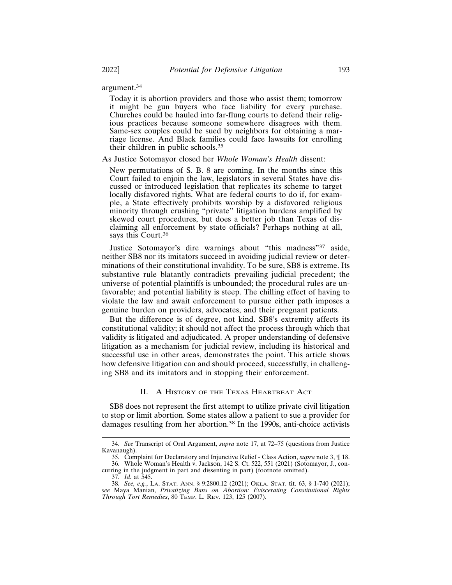argument.<sup>34</sup>

Today it is abortion providers and those who assist them; tomorrow it might be gun buyers who face liability for every purchase. Churches could be hauled into far-flung courts to defend their religious practices because someone somewhere disagrees with them. Same-sex couples could be sued by neighbors for obtaining a marriage license. And Black families could face lawsuits for enrolling their children in public schools.<sup>35</sup>

As Justice Sotomayor closed her *Whole Woman's Health* dissent:

New permutations of S. B. 8 are coming. In the months since this Court failed to enjoin the law, legislators in several States have discussed or introduced legislation that replicates its scheme to target locally disfavored rights. What are federal courts to do if, for example, a State effectively prohibits worship by a disfavored religious minority through crushing "private" litigation burdens amplified by skewed court procedures, but does a better job than Texas of disclaiming all enforcement by state officials? Perhaps nothing at all, says this Court.<sup>36</sup>

Justice Sotomayor's dire warnings about "this madness"37 aside, neither SB8 nor its imitators succeed in avoiding judicial review or determinations of their constitutional invalidity. To be sure, SB8 is extreme. Its substantive rule blatantly contradicts prevailing judicial precedent; the universe of potential plaintiffs is unbounded; the procedural rules are unfavorable; and potential liability is steep. The chilling effect of having to violate the law and await enforcement to pursue either path imposes a genuine burden on providers, advocates, and their pregnant patients.

But the difference is of degree, not kind. SB8's extremity affects its constitutional validity; it should not affect the process through which that validity is litigated and adjudicated. A proper understanding of defensive litigation as a mechanism for judicial review, including its historical and successful use in other areas, demonstrates the point. This article shows how defensive litigation can and should proceed, successfully, in challenging SB8 and its imitators and in stopping their enforcement.

#### II. A HISTORY OF THE TEXAS HEARTBEAT ACT

SB8 does not represent the first attempt to utilize private civil litigation to stop or limit abortion. Some states allow a patient to sue a provider for damages resulting from her abortion.38 In the 1990s, anti-choice activists

<sup>34.</sup> *See* Transcript of Oral Argument, *supra* note 17, at 72–75 (questions from Justice Kavanaugh).

<sup>35.</sup> Complaint for Declaratory and Injunctive Relief - Class Action, *supra* note 3, ¶ 18. 36. Whole Woman's Health v. Jackson, 142 S. Ct. 522, 551 (2021) (Sotomayor, J., concurring in the judgment in part and dissenting in part) (footnote omitted).

<sup>37.</sup> *Id.* at 545.

<sup>38.</sup> *See, e.g.*, LA. STAT. ANN. § 9:2800.12 (2021); OKLA. STAT. tit. 63, § 1-740 (2021); *see* Maya Manian, *Privatizing Bans on Abortion: Eviscerating Constitutional Rights Through Tort Remedies*, 80 TEMP. L. REV. 123, 125 (2007).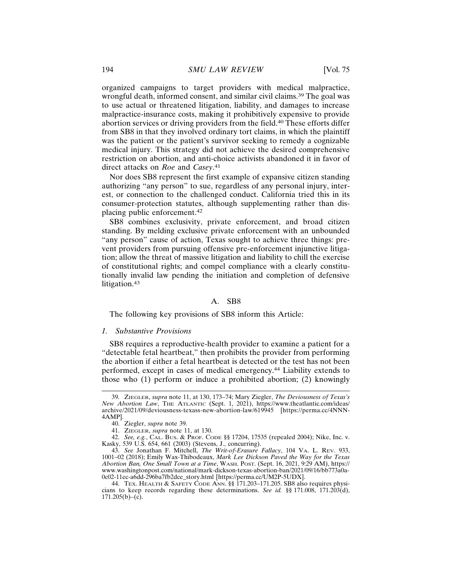organized campaigns to target providers with medical malpractice, wrongful death, informed consent, and similar civil claims.39 The goal was to use actual or threatened litigation, liability, and damages to increase malpractice-insurance costs, making it prohibitively expensive to provide abortion services or driving providers from the field.40 These efforts differ from SB8 in that they involved ordinary tort claims, in which the plaintiff was the patient or the patient's survivor seeking to remedy a cognizable medical injury. This strategy did not achieve the desired comprehensive restriction on abortion, and anti-choice activists abandoned it in favor of direct attacks on *Roe* and *Casey*. 41

Nor does SB8 represent the first example of expansive citizen standing authorizing "any person" to sue, regardless of any personal injury, interest, or connection to the challenged conduct. California tried this in its consumer-protection statutes, although supplementing rather than displacing public enforcement.<sup>42</sup>

SB8 combines exclusivity, private enforcement, and broad citizen standing. By melding exclusive private enforcement with an unbounded "any person" cause of action, Texas sought to achieve three things: prevent providers from pursuing offensive pre-enforcement injunctive litigation; allow the threat of massive litigation and liability to chill the exercise of constitutional rights; and compel compliance with a clearly constitutionally invalid law pending the initiation and completion of defensive litigation.<sup>43</sup>

## A. SB8

The following key provisions of SB8 inform this Article:

#### *1. Substantive Provisions*

SB8 requires a reproductive-health provider to examine a patient for a "detectable fetal heartbeat," then prohibits the provider from performing the abortion if either a fetal heartbeat is detected or the test has not been performed, except in cases of medical emergency.44 Liability extends to those who (1) perform or induce a prohibited abortion; (2) knowingly

<sup>39.</sup> ZIEGLER, *supra* note 11, at 130, 173–74; Mary Ziegler, *The Deviousness of Texas's New Abortion Law*, THE ATLANTIC (Sept. 1, 2021), https://www.theatlantic.com/ideas/ archive/2021/09/deviousness-texass-new-abortion-law/619945 [https://perma.cc/4NNN-4AMP].

<sup>40.</sup> Ziegler, *supra* note 39.

<sup>41.</sup> ZIEGLER, *supra* note 11, at 130.

<sup>42.</sup> *See, e.g.*, CAL. BUS. & PROF. CODE §§ 17204, 17535 (repealed 2004); Nike, Inc. v. Kasky, 539 U.S. 654, 661 (2003) (Stevens, J., concurring).

<sup>43.</sup> *See* Jonathan F. Mitchell, *The Writ-of-Erasure Fallacy*, 104 VA. L. REV. 933, 1001–02 (2018); Emily Wax-Thibodeaux, *Mark Lee Dickson Paved the Way for the Texas Abortion Ban, One Small Town at a Time*, WASH. POST. (Sept. 16, 2021, 9:29 AM), https:// www.washingtonpost.com/national/mark-dickson-texas-abortion-ban/2021/09/16/bb773a0a-0c02-11ec-a6dd-296ba7fb2dce\_story.html [https://perma.cc/UM2P-5UDX].

<sup>44.</sup> TEX. HEALTH & SAFETY CODE ANN. §§ 171.203–171.205. SB8 also requires physicians to keep records regarding these determinations. *See id.* §§ 171.008, 171.203(d),  $171.205(b) - (c)$ .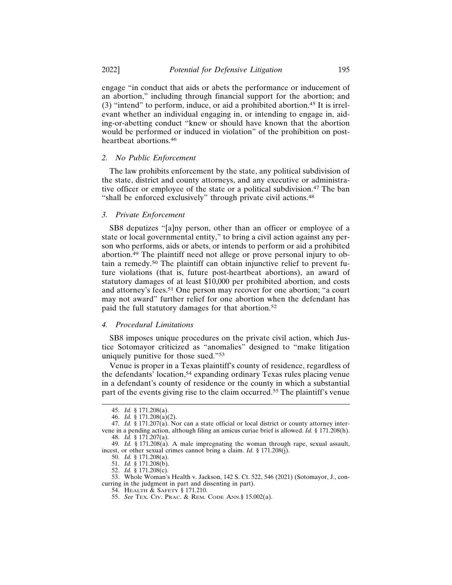engage "in conduct that aids or abets the performance or inducement of an abortion," including through financial support for the abortion; and (3) "intend" to perform, induce, or aid a prohibited abortion.45 It is irrelevant whether an individual engaging in, or intending to engage in, aiding-or-abetting conduct "knew or should have known that the abortion would be performed or induced in violation" of the prohibition on postheartbeat abortions.<sup>46</sup>

#### *2. No Public Enforcement*

The law prohibits enforcement by the state, any political subdivision of the state, district and county attorneys, and any executive or administrative officer or employee of the state or a political subdivision.<sup>47</sup> The ban "shall be enforced exclusively" through private civil actions.<sup>48</sup>

## *3. Private Enforcement*

SB8 deputizes "[a]ny person, other than an officer or employee of a state or local governmental entity," to bring a civil action against any person who performs, aids or abets, or intends to perform or aid a prohibited abortion.49 The plaintiff need not allege or prove personal injury to obtain a remedy.50 The plaintiff can obtain injunctive relief to prevent future violations (that is, future post-heartbeat abortions), an award of statutory damages of at least \$10,000 per prohibited abortion, and costs and attorney's fees.51 One person may recover for one abortion; "a court may not award" further relief for one abortion when the defendant has paid the full statutory damages for that abortion.<sup>52</sup>

#### *4. Procedural Limitations*

SB8 imposes unique procedures on the private civil action, which Justice Sotomayor criticized as "anomalies" designed to "make litigation uniquely punitive for those sued."<sup>53</sup>

Venue is proper in a Texas plaintiff's county of residence, regardless of the defendants' location,54 expanding ordinary Texas rules placing venue in a defendant's county of residence or the county in which a substantial part of the events giving rise to the claim occurred.55 The plaintiff's venue

53. Whole Woman's Health v. Jackson, 142 S. Ct. 522, 546 (2021) (Sotomayor, J., concurring in the judgment in part and dissenting in part).

<sup>45.</sup> *Id.* § 171.208(a).

<sup>46.</sup> *Id.* § 171.208(a)(2).

<sup>47.</sup> *Id.* § 171.207 $(a)$ . Nor can a state official or local district or county attorney intervene in a pending action, although filing an amicus curiae brief is allowed. *Id.* § 171.208(h). 48. *Id.* § 171.207(a).

<sup>49.</sup> *Id.* § 171.208(a). A male impregnating the woman through rape, sexual assault, incest, or other sexual crimes cannot bring a claim. *Id.* § 171.208(j).

<sup>50.</sup> *Id.* § 171.208(a).

<sup>51.</sup> *Id.* § 171.208(b).

<sup>52.</sup> *Id.* § 171.208(c).

<sup>54.</sup> HEALTH & SAFETY § 171.210.

<sup>55.</sup> *See* TEX. CIV. PRAC. & REM. CODE ANN.§ 15.002(a).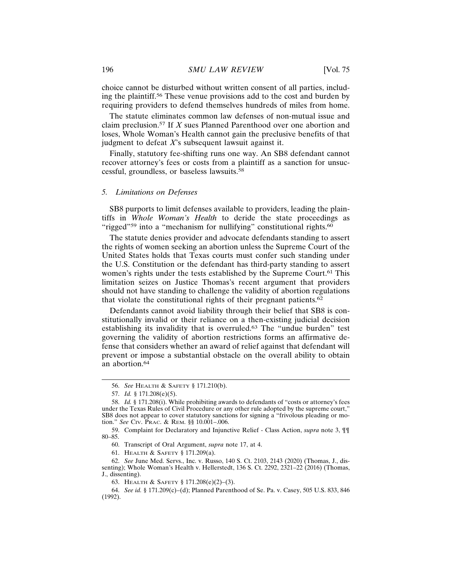choice cannot be disturbed without written consent of all parties, including the plaintiff.56 These venue provisions add to the cost and burden by requiring providers to defend themselves hundreds of miles from home.

The statute eliminates common law defenses of non-mutual issue and claim preclusion.57 If *X* sues Planned Parenthood over one abortion and loses, Whole Woman's Health cannot gain the preclusive benefits of that judgment to defeat *X*'s subsequent lawsuit against it.

Finally, statutory fee-shifting runs one way. An SB8 defendant cannot recover attorney's fees or costs from a plaintiff as a sanction for unsuccessful, groundless, or baseless lawsuits.<sup>58</sup>

#### *5. Limitations on Defenses*

SB8 purports to limit defenses available to providers, leading the plaintiffs in *Whole Woman's Health* to deride the state proceedings as "rigged"<sup>59</sup> into a "mechanism for nullifying" constitutional rights.<sup>60</sup>

The statute denies provider and advocate defendants standing to assert the rights of women seeking an abortion unless the Supreme Court of the United States holds that Texas courts must confer such standing under the U.S. Constitution or the defendant has third-party standing to assert women's rights under the tests established by the Supreme Court.<sup>61</sup> This limitation seizes on Justice Thomas's recent argument that providers should not have standing to challenge the validity of abortion regulations that violate the constitutional rights of their pregnant patients.<sup>62</sup>

Defendants cannot avoid liability through their belief that SB8 is constitutionally invalid or their reliance on a then-existing judicial decision establishing its invalidity that is overruled.63 The "undue burden" test governing the validity of abortion restrictions forms an affirmative defense that considers whether an award of relief against that defendant will prevent or impose a substantial obstacle on the overall ability to obtain an abortion.<sup>64</sup>

61. HEALTH & SAFETY § 171.209(a).

62. *See* June Med. Servs., Inc. v. Russo, 140 S. Ct. 2103, 2143 (2020) (Thomas, J., dissenting); Whole Woman's Health v. Hellerstedt, 136 S. Ct. 2292, 2321–22 (2016) (Thomas, J., dissenting).

63. HEALTH & SAFETY § 171.208(e)(2)–(3).

<sup>56.</sup> *See* HEALTH & SAFETY § 171.210(b).

<sup>57.</sup> *Id.* § 171.208(e)(5).

<sup>58.</sup> *Id.* § 171.208(i). While prohibiting awards to defendants of "costs or attorney's fees under the Texas Rules of Civil Procedure or any other rule adopted by the supreme court," SB8 does not appear to cover statutory sanctions for signing a "frivolous pleading or motion." *See* CIV. PRAC. & REM. §§ 10.001–.006.

<sup>59.</sup> Complaint for Declaratory and Injunctive Relief - Class Action, *supra* note 3, ¶¶ 80–85.

<sup>60.</sup> Transcript of Oral Argument, *supra* note 17, at 4.

<sup>64.</sup> *See id.* § 171.209(c)–(d); Planned Parenthood of Se. Pa. v. Casey, 505 U.S. 833, 846 (1992).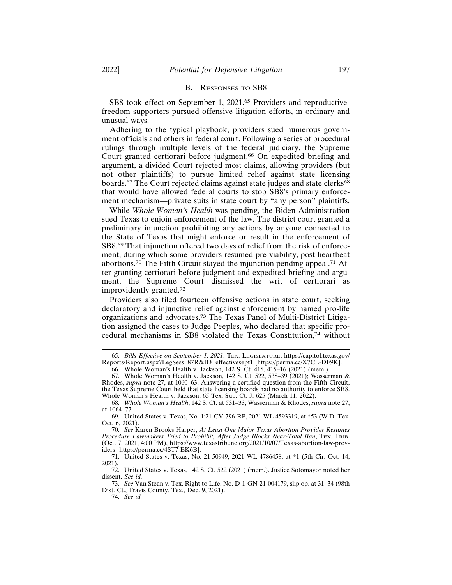#### B. RESPONSES TO SB8

SB8 took effect on September 1, 2021.<sup>65</sup> Providers and reproductivefreedom supporters pursued offensive litigation efforts, in ordinary and unusual ways.

Adhering to the typical playbook, providers sued numerous government officials and others in federal court. Following a series of procedural rulings through multiple levels of the federal judiciary, the Supreme Court granted certiorari before judgment.<sup>66</sup> On expedited briefing and argument, a divided Court rejected most claims, allowing providers (but not other plaintiffs) to pursue limited relief against state licensing boards.<sup>67</sup> The Court rejected claims against state judges and state clerks<sup>68</sup> that would have allowed federal courts to stop SB8's primary enforcement mechanism—private suits in state court by "any person" plaintiffs.

While *Whole Woman's Health* was pending, the Biden Administration sued Texas to enjoin enforcement of the law. The district court granted a preliminary injunction prohibiting any actions by anyone connected to the State of Texas that might enforce or result in the enforcement of SB8.69 That injunction offered two days of relief from the risk of enforcement, during which some providers resumed pre-viability, post-heartbeat abortions.70 The Fifth Circuit stayed the injunction pending appeal.71 After granting certiorari before judgment and expedited briefing and argument, the Supreme Court dismissed the writ of certiorari as improvidently granted.<sup>72</sup>

Providers also filed fourteen offensive actions in state court, seeking declaratory and injunctive relief against enforcement by named pro-life organizations and advocates.73 The Texas Panel of Multi-District Litigation assigned the cases to Judge Peeples, who declared that specific procedural mechanisms in SB8 violated the Texas Constitution,74 without

70. *See* Karen Brooks Harper, *At Least One Major Texas Abortion Provider Resumes Procedure Lawmakers Tried to Prohibit, After Judge Blocks Near-Total Ban*, TEX. TRIB. (Oct. 7, 2021, 4:00 PM), https://www.texastribune.org/2021/10/07/Texas-abortion-law-providers [https://perma.cc/4ST7-EK6B].

71. United States v. Texas, No. 21-50949, 2021 WL 4786458, at \*1 (5th Cir. Oct. 14, 2021).

72. United States v. Texas, 142 S. Ct. 522 (2021) (mem.). Justice Sotomayor noted her dissent. *See id.*

73. *See* Van Stean v. Tex. Right to Life, No. D-1-GN-21-004179, slip op. at 31–34 (98th Dist. Ct., Travis County, Tex., Dec. 9, 2021).

74. *See id.*

<sup>65.</sup> *Bills Effective on September 1, 2021*, TEX. LEGISLATURE, https://capitol.texas.gov/ Reports/Report.aspx?LegSess=87R&ID=effectivesept1 [https://perma.cc/X7CL-DF9K].

<sup>66.</sup> Whole Woman's Health v. Jackson, 142 S. Ct. 415, 415–16 (2021) (mem.).

<sup>67.</sup> Whole Woman's Health v. Jackson, 142 S. Ct. 522, 538–39 (2021); Wasserman & Rhodes, *supra* note 27, at 1060–63. Answering a certified question from the Fifth Circuit, the Texas Supreme Court held that state licensing boards had no authority to enforce SB8. Whole Woman's Health v. Jackson, 65 Tex. Sup. Ct. J. 625 (March 11, 2022).

<sup>68.</sup> *Whole Woman's Health*, 142 S. Ct. at 531–33; Wasserman & Rhodes, *supra* note 27, at 1064–77.

<sup>69.</sup> United States v. Texas, No. 1:21-CV-796-RP, 2021 WL 4593319, at \*53 (W.D. Tex. Oct. 6, 2021).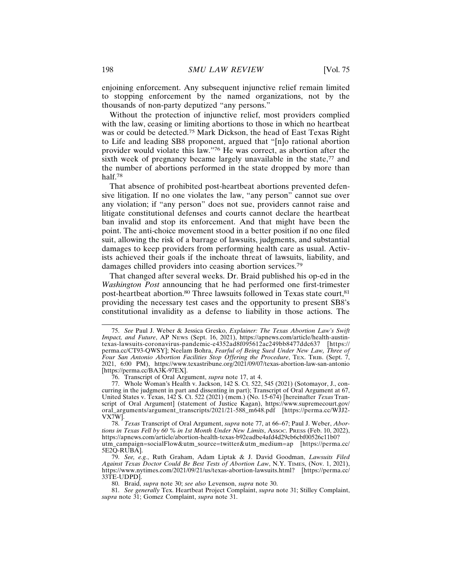enjoining enforcement. Any subsequent injunctive relief remain limited to stopping enforcement by the named organizations, not by the thousands of non-party deputized "any persons."

Without the protection of injunctive relief, most providers complied with the law, ceasing or limiting abortions to those in which no heartbeat was or could be detected.75 Mark Dickson, the head of East Texas Right to Life and leading SB8 proponent, argued that "[n]o rational abortion provider would violate this law."76 He was correct, as abortion after the sixth week of pregnancy became largely unavailable in the state,<sup>77</sup> and the number of abortions performed in the state dropped by more than half.78

That absence of prohibited post-heartbeat abortions prevented defensive litigation. If no one violates the law, "any person" cannot sue over any violation; if "any person" does not sue, providers cannot raise and litigate constitutional defenses and courts cannot declare the heartbeat ban invalid and stop its enforcement. And that might have been the point. The anti-choice movement stood in a better position if no one filed suit, allowing the risk of a barrage of lawsuits, judgments, and substantial damages to keep providers from performing health care as usual. Activists achieved their goals if the inchoate threat of lawsuits, liability, and damages chilled providers into ceasing abortion services.<sup>79</sup>

That changed after several weeks. Dr. Braid published his op-ed in the *Washington Post* announcing that he had performed one first-trimester post-heartbeat abortion.<sup>80</sup> Three lawsuits followed in Texas state court,<sup>81</sup> providing the necessary test cases and the opportunity to present SB8's constitutional invalidity as a defense to liability in those actions. The

<sup>75.</sup> *See* Paul J. Weber & Jessica Gresko, *Explainer: The Texas Abortion Law's Swift Impact, and Future*, AP NEWS (Sept. 16, 2021), https://apnews.com/article/health-austintexas-lawsuits-coronavirus-pandemic-e4352ad8f095612ac249bb8477ddc637 [https:// perma.cc/CT93-QWSY]; Neelam Bohra, *Fearful of Being Sued Under New Law, Three of Four San Antonio Abortion Facilities Stop Offering the Procedure*, TEX. TRIB. (Sept. 7, 2021, 6:00 PM), https://www.texastribune.org/2021/09/07/texas-abortion-law-san-antonio [https://perma.cc/BA3K-97EX].

<sup>76.</sup> Transcript of Oral Argument, *supra* note 17, at 4.

<sup>77.</sup> Whole Woman's Health v. Jackson, 142 S. Ct. 522, 545 (2021) (Sotomayor, J., concurring in the judgment in part and dissenting in part); Transcript of Oral Argument at 67, United States v. Texas, 142 S. Ct. 522 (2021) (mem.) (No. 15-674) [hereinafter *Texas* Transcript of Oral Argument] (statement of Justice Kagan), https://www.supremecourt.gov/ oral\_arguments/argument\_transcripts/2021/21-588\_m648.pdf [https://perma.cc/WJJ2- VX7W].

<sup>78.</sup> *Texas* Transcript of Oral Argument, *supra* note 77, at 66–67; Paul J. Weber, *Abortions in Texas Fell by 60 % in 1st Month Under New Limits*, ASSOC. PRESS (Feb. 10, 2022), https://apnews.com/article/abortion-health-texas-b92eadbe4afd4d29cb6cbf00526c11b0? utm\_campaign=socialFlow&utm\_source=twitter&utm\_medium=ap [https://perma.cc/ 5E2Q-RUBA].

<sup>79.</sup> *See, e.g.*, Ruth Graham, Adam Liptak & J. David Goodman, *Lawsuits Filed Against Texas Doctor Could Be Best Tests of Abortion Law*, N.Y. TIMES, (Nov. 1, 2021), https://www.nytimes.com/2021/09/21/us/texas-abortion-lawsuits.html? [https://perma.cc/ 33TE-UDPD].

<sup>80.</sup> Braid, *supra* note 30; *see also* Levenson, *supra* note 30.

<sup>81.</sup> *See generally* Tex. Heartbeat Project Complaint, *supra* note 31; Stilley Complaint, *supra* note 31; Gomez Complaint, *supra* note 31.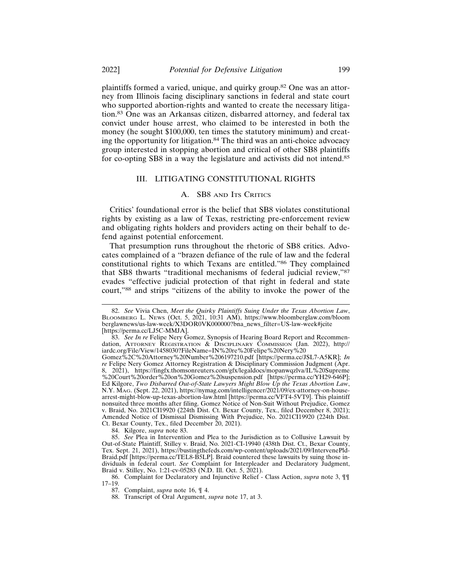plaintiffs formed a varied, unique, and quirky group.82 One was an attorney from Illinois facing disciplinary sanctions in federal and state court who supported abortion-rights and wanted to create the necessary litigation.83 One was an Arkansas citizen, disbarred attorney, and federal tax convict under house arrest, who claimed to be interested in both the money (he sought \$100,000, ten times the statutory minimum) and creating the opportunity for litigation.84 The third was an anti-choice advocacy group interested in stopping abortion and critical of other SB8 plaintiffs for co-opting SB8 in a way the legislature and activists did not intend.<sup>85</sup>

#### III. LITIGATING CONSTITUTIONAL RIGHTS

#### A. SB8 AND ITS CRITICS

Critics' foundational error is the belief that SB8 violates constitutional rights by existing as a law of Texas, restricting pre-enforcement review and obligating rights holders and providers acting on their behalf to defend against potential enforcement.

That presumption runs throughout the rhetoric of SB8 critics. Advocates complained of a "brazen defiance of the rule of law and the federal constitutional rights to which Texans are entitled."86 They complained that SB8 thwarts "traditional mechanisms of federal judicial review,"<sup>87</sup> evades "effective judicial protection of that right in federal and state court,"88 and strips "citizens of the ability to invoke the power of the

84. Kilgore, *supra* note 83.

85. *See* Plea in Intervention and Plea to the Jurisdiction as to Collusive Lawsuit by Out-of-State Plaintiff, Stilley v. Braid, No. 2021-CI-19940 (438th Dist. Ct., Bexar County, Tex. Sept. 21, 2021), https://bustingthefeds.com/wp-content/uploads/2021/09/IntervenePld-Braid.pdf [https://perma.cc/TEL8-B5LP]. Braid countered these lawsuits by suing those individuals in federal court. *See* Complaint for Interpleader and Declaratory Judgment, Braid v. Stilley, No. 1:21-cv-05283 (N.D. Ill. Oct. 5, 2021).

<sup>82.</sup> *See* Vivia Chen, *Meet the Quirky Plaintiffs Suing Under the Texas Abortion Law*, BLOOMBERG L. NEWS (Oct. 5, 2021, 10:31 AM), https://www.bloomberglaw.com/bloom berglawnews/us-law-week/X3DOR0VK000000?bna\_news\_filter=US-law-week#jcite [https://perma.cc/LJ5C-MMJA].

<sup>83.</sup> *See In re* Felipe Nery Gomez, Synopsis of Hearing Board Report and Recommendation, ATTORNEY REGISTRATION & DISCIPLINARY COMMISSION (Jan. 2022), http:// iardc.org/File/View/1458030?FileName=IN%20re%20Felipe%20Nery%20

Gomez%2C%20Attorney%20Number%206197210.pdf [https://perma.cc/JSL7-A5KR]; *In re* Felipe Nery Gomez Attorney Registration & Disciplinary Commission Judgment (Apr. 8, 2021), https://fingfx.thomsonreuters.com/gfx/legaldocs/mopanwqzlva/IL%20Supreme %20Court%20order%20on%20Gomez%20suspension.pdf [https://perma.cc/YH29-646P]; Ed Kilgore, *Two Disbarred Out-of-State Lawyers Might Blow Up the Texas Abortion Law*, N.Y. MAG. (Sept. 22, 2021), https://nymag.com/intelligencer/2021/09/ex-attorney-on-housearrest-might-blow-up-texas-abortion-law.html [https://perma.cc/VFT4-5VT9]. This plaintiff nonsuited three months after filing. Gomez Notice of Non-Suit Without Prejudice, Gomez v. Braid, No. 2021CI19920 (224th Dist. Ct. Bexar County, Tex., filed December 8, 2021); Amended Notice of Dismissal Dismissing With Prejudice, No. 2021CI19920 (224th Dist. Ct. Bexar County, Tex., filed December 20, 2021).

<sup>86.</sup> Complaint for Declaratory and Injunctive Relief - Class Action, *supra* note 3, ¶¶ 17–19.

<sup>87.</sup> Complaint, *supra* note 16, ¶ 4.

<sup>88.</sup> Transcript of Oral Argument, *supra* note 17, at 3.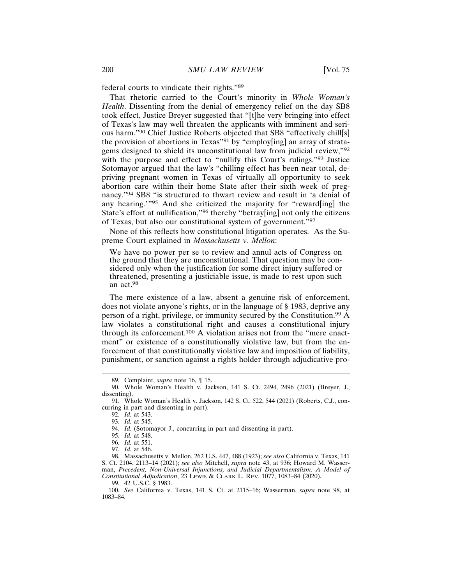federal courts to vindicate their rights."<sup>89</sup>

That rhetoric carried to the Court's minority in *Whole Woman's Health*. Dissenting from the denial of emergency relief on the day SB8 took effect, Justice Breyer suggested that "[t]he very bringing into effect of Texas's law may well threaten the applicants with imminent and serious harm."90 Chief Justice Roberts objected that SB8 "effectively chill[s] the provision of abortions in Texas"91 by "employ[ing] an array of stratagems designed to shield its unconstitutional law from judicial review,"<sup>92</sup> with the purpose and effect to "nullify this Court's rulings."<sup>93</sup> Justice Sotomayor argued that the law's "chilling effect has been near total, depriving pregnant women in Texas of virtually all opportunity to seek abortion care within their home State after their sixth week of pregnancy."94 SB8 "is structured to thwart review and result in 'a denial of any hearing.'"95 And she criticized the majority for "reward[ing] the State's effort at nullification,"96 thereby "betray[ing] not only the citizens of Texas, but also our constitutional system of government."<sup>97</sup>

None of this reflects how constitutional litigation operates. As the Supreme Court explained in *Massachusetts v. Mellon*:

We have no power per se to review and annul acts of Congress on the ground that they are unconstitutional. That question may be considered only when the justification for some direct injury suffered or threatened, presenting a justiciable issue, is made to rest upon such an act.<sup>98</sup>

The mere existence of a law, absent a genuine risk of enforcement, does not violate anyone's rights, or in the language of § 1983, deprive any person of a right, privilege, or immunity secured by the Constitution.99 A law violates a constitutional right and causes a constitutional injury through its enforcement.100 A violation arises not from the "mere enactment" or existence of a constitutionally violative law, but from the enforcement of that constitutionally violative law and imposition of liability, punishment, or sanction against a rights holder through adjudicative pro-

99. 42 U.S.C. § 1983.

<sup>89.</sup> Complaint, *supra* note 16, ¶ 15.

<sup>90.</sup> Whole Woman's Health v. Jackson, 141 S. Ct. 2494, 2496 (2021) (Breyer, J., dissenting).

<sup>91.</sup> Whole Woman's Health v. Jackson, 142 S. Ct. 522, 544 (2021) (Roberts, C.J., concurring in part and dissenting in part).

<sup>92.</sup> *Id.* at 543.

<sup>93.</sup> *Id.* at 545.

<sup>94.</sup> *Id.* (Sotomayor J., concurring in part and dissenting in part).

<sup>95.</sup> *Id.* at 548.

<sup>96.</sup> *Id.* at 551.

<sup>97.</sup> *Id.* at 546.

<sup>98.</sup> Massachusetts v. Mellon, 262 U.S. 447, 488 (1923); *see also* California v. Texas, 141 S. Ct. 2104, 2113–14 (2021); *see also* Mitchell, *supra* note 43, at 936; Howard M. Wasserman, *Precedent, Non-Universal Injunctions, and Judicial Departmentalism: A Model of Constitutional Adjudication*, 23 LEWIS & CLARK L. REV. 1077, 1083–84 (2020).

<sup>100.</sup> *See* California v. Texas, 141 S. Ct. at 2115–16; Wasserman, *supra* note 98, at 1083–84.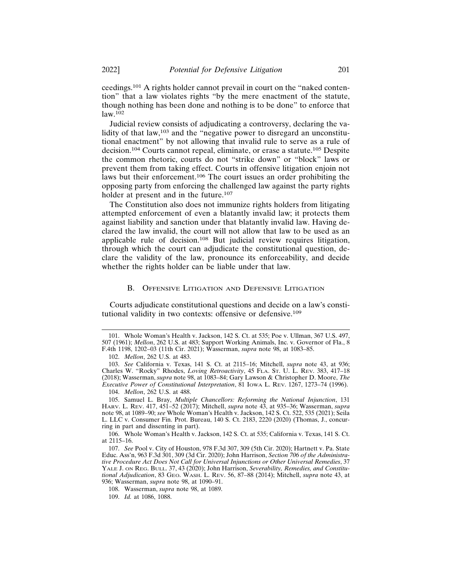ceedings.101 A rights holder cannot prevail in court on the "naked contention" that a law violates rights "by the mere enactment of the statute, though nothing has been done and nothing is to be done" to enforce that  $law.<sup>102</sup>$ 

Judicial review consists of adjudicating a controversy, declaring the validity of that law,<sup>103</sup> and the "negative power to disregard an unconstitutional enactment" by not allowing that invalid rule to serve as a rule of decision.104 Courts cannot repeal, eliminate, or erase a statute.105 Despite the common rhetoric, courts do not "strike down" or "block" laws or prevent them from taking effect. Courts in offensive litigation enjoin not laws but their enforcement.<sup>106</sup> The court issues an order prohibiting the opposing party from enforcing the challenged law against the party rights holder at present and in the future.<sup>107</sup>

The Constitution also does not immunize rights holders from litigating attempted enforcement of even a blatantly invalid law; it protects them against liability and sanction under that blatantly invalid law. Having declared the law invalid, the court will not allow that law to be used as an applicable rule of decision.108 But judicial review requires litigation, through which the court can adjudicate the constitutional question, declare the validity of the law, pronounce its enforceability, and decide whether the rights holder can be liable under that law.

#### B. OFFENSIVE LITIGATION AND DEFENSIVE LITIGATION

Courts adjudicate constitutional questions and decide on a law's constitutional validity in two contexts: offensive or defensive.<sup>109</sup>

<sup>101.</sup> Whole Woman's Health v. Jackson, 142 S. Ct. at 535; Poe v. Ullman, 367 U.S. 497, 507 (1961); *Mellon*, 262 U.S. at 483; Support Working Animals, Inc. v. Governor of Fla., 8 F.4th 1198, 1202–03 (11th Cir. 2021); Wasserman, *supra* note 98, at 1083–85.

<sup>102.</sup> *Mellon*, 262 U.S. at 483.

<sup>103.</sup> *See* California v. Texas, 141 S. Ct. at 2115–16; Mitchell, *supra* note 43, at 936; Charles W. "Rocky" Rhodes, *Loving Retroactivity*, 45 FLA. ST. U. L. REV. 383, 417–18 (2018); Wasserman, *supra* note 98, at 1083–84; Gary Lawson & Christopher D. Moore, *The Executive Power of Constitutional Interpretation*, 81 IOWA L. REV. 1267, 1273–74 (1996).

<sup>104.</sup> *Mellon*, 262 U.S. at 488.

<sup>105.</sup> Samuel L. Bray, *Multiple Chancellors: Reforming the National Injunction*, 131 HARV. L. REV. 417, 451–52 (2017); Mitchell, *supra* note 43, at 935–36; Wasserman, *supra* note 98, at 1089–90; *see* Whole Woman's Health v. Jackson, 142 S. Ct. 522, 535 (2021); Seila L. LLC v. Consumer Fin. Prot. Bureau, 140 S. Ct. 2183, 2220 (2020) (Thomas, J., concurring in part and dissenting in part).

<sup>106.</sup> Whole Woman's Health v. Jackson, 142 S. Ct. at 535; California v. Texas, 141 S. Ct. at 2115–16.

<sup>107.</sup> *See* Pool v. City of Houston, 978 F.3d 307, 309 (5th Cir. 2020); Hartnett v. Pa. State Educ. Ass'n, 963 F.3d 301, 309 (3d Cir. 2020); John Harrison, *Section 706 of the Administrative Procedure Act Does Not Call for Universal Injunctions or Other Universal Remedies*, 37 YALE J. ON REG. BULL. 37, 43 (2020); John Harrison, *Severability, Remedies, and Constitutional Adjudication*, 83 GEO. WASH. L. REV. 56, 87–88 (2014); Mitchell, *supra* note 43, at 936; Wasserman, *supra* note 98, at 1090–91.

<sup>108.</sup> Wasserman, *supra* note 98, at 1089.

<sup>109.</sup> *Id.* at 1086, 1088.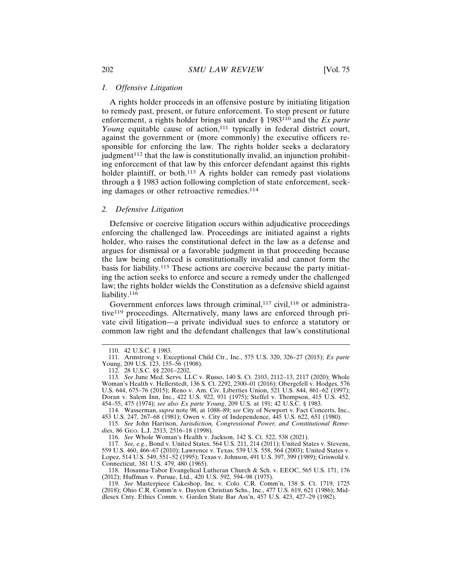#### *1. Offensive Litigation*

A rights holder proceeds in an offensive posture by initiating litigation to remedy past, present, or future enforcement. To stop present or future enforcement, a rights holder brings suit under § 1983110 and the *Ex parte Young* equitable cause of action,<sup>111</sup> typically in federal district court, against the government or (more commonly) the executive officers responsible for enforcing the law. The rights holder seeks a declaratory  $judgment<sup>112</sup>$  that the law is constitutionally invalid, an injunction prohibiting enforcement of that law by this enforcer defendant against this rights holder plaintiff, or both.<sup>113</sup> A rights holder can remedy past violations through a § 1983 action following completion of state enforcement, seeking damages or other retroactive remedies.<sup>114</sup>

#### *2. Defensive Litigation*

Defensive or coercive litigation occurs within adjudicative proceedings enforcing the challenged law. Proceedings are initiated against a rights holder, who raises the constitutional defect in the law as a defense and argues for dismissal or a favorable judgment in that proceeding because the law being enforced is constitutionally invalid and cannot form the basis for liability.115 These actions are coercive because the party initiating the action seeks to enforce and secure a remedy under the challenged law; the rights holder wields the Constitution as a defensive shield against liability.<sup>116</sup>

Government enforces laws through criminal, $117$  civil, $118$  or administrative119 proceedings. Alternatively, many laws are enforced through private civil litigation—a private individual sues to enforce a statutory or common law right and the defendant challenges that law's constitutional

116. *See* Whole Woman's Health v. Jackson, 142 S. Ct. 522, 538 (2021).

118. Hosanna-Tabor Evangelical Lutheran Church & Sch. v. EEOC, 565 U.S. 171, 176 (2012); Huffman v. Pursue, Ltd., 420 U.S. 592, 594–98 (1975).

<sup>110. 42</sup> U.S.C. § 1983.

<sup>111.</sup> Armstrong v. Exceptional Child Ctr., Inc., 575 U.S. 320, 326–27 (2015); *Ex parte* Young, 209 U.S. 123, 155–56 (1908).

<sup>112. 28</sup> U.S.C. §§ 2201–2202.

<sup>113.</sup> *See* June Med. Servs. LLC v. Russo, 140 S. Ct. 2103, 2112–13, 2117 (2020); Whole Woman's Health v. Hellerstedt, 136 S. Ct. 2292, 2300–01 (2016); Obergefell v. Hodges, 576 U.S. 644, 675–76 (2015); Reno v. Am. Civ. Liberties Union, 521 U.S. 844, 861–62 (1997); Doran v. Salem Inn, Inc., 422 U.S. 922, 931 (1975); Steffel v. Thompson, 415 U.S. 452, 454–55, 475 (1974); *see also Ex parte Young*, 209 U.S. at 191; 42 U.S.C. § 1983.

<sup>114.</sup> Wasserman, *supra* note 98, at 1088–89; *see* City of Newport v. Fact Concerts, Inc., 453 U.S. 247, 267–68 (1981); Owen v. City of Independence, 445 U.S. 622, 651 (1980).

<sup>115.</sup> *See* John Harrison, *Jurisdiction, Congressional Power, and Constitutional Remedies*, 86 GEO. L.J. 2513, 2516–18 (1998).

<sup>117.</sup> *See, e.g.*, Bond v. United States, 564 U.S. 211, 214 (2011); United States v. Stevens, 559 U.S. 460, 466–67 (2010); Lawrence v. Texas, 539 U.S. 558, 564 (2003); United States v. Lopez, 514 U.S. 549, 551–52 (1995); Texas v. Johnson, 491 U.S. 397, 399 (1989); Griswold v. Connecticut, 381 U.S. 479, 480 (1965).

<sup>119.</sup> *See* Masterpiece Cakeshop, Inc. v. Colo. C.R. Comm'n, 138 S. Ct. 1719, 1725 (2018); Ohio C.R. Comm'n v. Dayton Christian Schs., Inc., 477 U.S. 619, 621 (1986); Middlesex Cnty. Ethics Comm. v. Garden State Bar Ass'n, 457 U.S. 423, 427–29 (1982).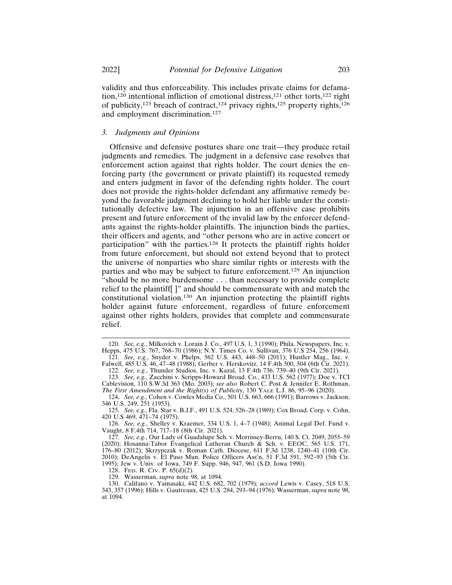validity and thus enforceability. This includes private claims for defamation,<sup>120</sup> intentional infliction of emotional distress,<sup>121</sup> other torts,<sup>122</sup> right of publicity,<sup>123</sup> breach of contract,<sup>124</sup> privacy rights,<sup>125</sup> property rights,<sup>126</sup> and employment discrimination.<sup>127</sup>

#### *3. Judgments and Opinions*

Offensive and defensive postures share one trait—they produce retail judgments and remedies. The judgment in a defensive case resolves that enforcement action against that rights holder. The court denies the enforcing party (the government or private plaintiff) its requested remedy and enters judgment in favor of the defending rights holder. The court does not provide the rights-holder defendant any affirmative remedy beyond the favorable judgment declining to hold her liable under the constitutionally defective law. The injunction in an offensive case prohibits present and future enforcement of the invalid law by the enforcer defendants against the rights-holder plaintiffs. The injunction binds the parties, their officers and agents, and "other persons who are in active concert or participation" with the parties.128 It protects the plaintiff rights holder from future enforcement, but should not extend beyond that to protect the universe of nonparties who share similar rights or interests with the parties and who may be subject to future enforcement.129 An injunction "should be no more burdensome . . . than necessary to provide complete relief to the plaintiff[ ]" and should be commensurate with and match the constitutional violation.130 An injunction protecting the plaintiff rights holder against future enforcement, regardless of future enforcement against other rights holders, provides that complete and commensurate relief.

<sup>120.</sup> *See, e.g.*, Milkovich v. Lorain J. Co., 497 U.S. 1, 3 (1990); Phila. Newspapers, Inc. v. Hepps, 475 U.S. 767, 768–70 (1986); N.Y. Times Co. v. Sullivan, 376 U.S 254, 256 (1964). 121. *See, e.g.*, Snyder v. Phelps, 562 U.S. 443, 448–50 (2011); Hustler Mag., Inc. v.

Falwell, 485 U.S. 46, 47–48 (1988); Gerber v. Herskovitz, 14 F.4th 500, 504 (6th Cir. 2021). 122. *See, e.g.*, Thunder Studios, Inc. v. Kazal, 13 F.4th 736, 739–40 (9th Cir. 2021).

<sup>123.</sup> *See, e.g.*, Zacchini v. Scripps-Howard Broad. Co., 433 U.S. 562 (1977); Doe v. TCI Cablevision, 110 S.W.3d 363 (Mo. 2003); *see also* Robert C. Post & Jennifer E. Rothman, *The First Amendment and the Right(s) of Publicity*, 130 YALE L.J. 86, 95–96 (2020).

<sup>124.</sup> *See, e.g.*, Cohen v. Cowles Media Co., 501 U.S. 663, 666 (1991); Barrows v. Jackson, 346 U.S. 249, 251 (1953).

<sup>125.</sup> *See, e.g.*, Fla. Star v. B.J.F., 491 U.S. 524, 526–28 (1989); Cox Broad. Corp. v. Cohn, 420 U.S 469, 471–74 (1975).

<sup>126.</sup> *See, e.g.*, Shelley v. Kraemer, 334 U.S. 1, 4–7 (1948); Animal Legal Def. Fund v. Vaught, 8 F.4th 714, 717–18 (8th Cir. 2021).

<sup>127.</sup> *See, e.g.*, Our Lady of Guadalupe Sch. v. Morrissey-Berru, 140 S. Ct. 2049, 2055–59 (2020); Hosanna-Tabor Evangelical Lutheran Church & Sch. v. EEOC, 565 U.S. 171, 176–80 (2012); Skrzypczak v. Roman Cath. Diocese, 611 F.3d 1238, 1240–41 (10th Cir. 2010); DeAngelis v. El Paso Mun. Police Officers Ass'n, 51 F.3d 591, 592–93 (5th Cir. 1995); Jew v. Univ. of Iowa, 749 F. Supp. 946, 947, 961 (S.D. Iowa 1990).

<sup>128.</sup> FED. R. CIV. P. 65(d)(2).

<sup>129.</sup> Wasserman, *supra* note 98, at 1094.

<sup>130.</sup> Califano v. Yamasaki, 442 U.S. 682, 702 (1979); *accord* Lewis v. Casey, 518 U.S. 343, 357 (1996); Hills v. Gautreaux, 425 U.S. 284, 293–94 (1976); Wasserman, *supra* note 98, at 1094.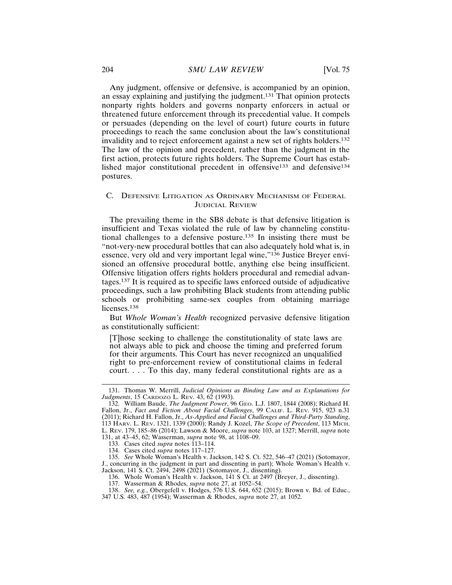Any judgment, offensive or defensive, is accompanied by an opinion, an essay explaining and justifying the judgment.131 That opinion protects nonparty rights holders and governs nonparty enforcers in actual or threatened future enforcement through its precedential value. It compels or persuades (depending on the level of court) future courts in future proceedings to reach the same conclusion about the law's constitutional invalidity and to reject enforcement against a new set of rights holders.<sup>132</sup> The law of the opinion and precedent, rather than the judgment in the first action, protects future rights holders. The Supreme Court has established major constitutional precedent in offensive133 and defensive134 postures.

## C. DEFENSIVE LITIGATION AS ORDINARY MECHANISM OF FEDERAL JUDICIAL REVIEW

The prevailing theme in the SB8 debate is that defensive litigation is insufficient and Texas violated the rule of law by channeling constitutional challenges to a defensive posture.135 In insisting there must be "not-very-new procedural bottles that can also adequately hold what is, in essence, very old and very important legal wine,"136 Justice Breyer envisioned an offensive procedural bottle, anything else being insufficient. Offensive litigation offers rights holders procedural and remedial advantages.137 It is required as to specific laws enforced outside of adjudicative proceedings, such a law prohibiting Black students from attending public schools or prohibiting same-sex couples from obtaining marriage licenses.<sup>138</sup>

But *Whole Woman's Health* recognized pervasive defensive litigation as constitutionally sufficient:

[T]hose seeking to challenge the constitutionality of state laws are not always able to pick and choose the timing and preferred forum for their arguments. This Court has never recognized an unqualified right to pre-enforcement review of constitutional claims in federal court. . . . To this day, many federal constitutional rights are as a

<sup>131.</sup> Thomas W. Merrill, *Judicial Opinions as Binding Law and as Explanations for Judgments*, 15 CARDOZO L. REV. 43, 62 (1993).

<sup>132.</sup> William Baude, *The Judgment Power*, 96 GEO. L.J. 1807, 1844 (2008); Richard H. Fallon, Jr., *Fact and Fiction About Facial Challenges*, 99 CALIF. L. REV. 915, 923 n.31 (2011); Richard H. Fallon, Jr., *As-Applied and Facial Challenges and Third-Party Standing*, 113 HARV. L. REV. 1321, 1339 (2000); Randy J. Kozel, *The Scope of Precedent*, 113 MICH. L. REV. 179, 185–86 (2014); Lawson & Moore, *supra* note 103, at 1327; Merrill, *supra* note 131, at 43–45, 62; Wasserman, *supra* note 98, at 1108–09.

<sup>133.</sup> Cases cited *supra* notes 113–114.

<sup>134.</sup> Cases cited *supra* notes 117–127.

<sup>135.</sup> *See* Whole Woman's Health v. Jackson, 142 S. Ct. 522, 546–47 (2021) (Sotomayor, J., concurring in the judgment in part and dissenting in part); Whole Woman's Health v. Jackson, 141 S. Ct. 2494, 2498 (2021) (Sotomayor, J., dissenting).

<sup>136.</sup> Whole Woman's Health v. Jackson, 141 S Ct. at 2497 (Breyer, J., dissenting).

<sup>137.</sup> Wasserman & Rhodes, *supra* note 27, at 1052–54.

<sup>138.</sup> *See, e.g.*, Obergefell v. Hodges, 576 U.S. 644, 652 (2015); Brown v. Bd. of Educ.,

<sup>347</sup> U.S. 483, 487 (1954); Wasserman & Rhodes, *supra* note 27, at 1052.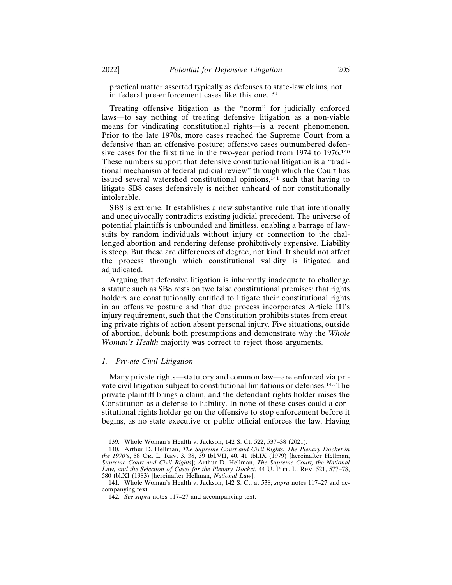practical matter asserted typically as defenses to state-law claims, not in federal pre-enforcement cases like this one.<sup>139</sup>

Treating offensive litigation as the "norm" for judicially enforced laws—to say nothing of treating defensive litigation as a non-viable means for vindicating constitutional rights—is a recent phenomenon. Prior to the late 1970s, more cases reached the Supreme Court from a defensive than an offensive posture; offensive cases outnumbered defensive cases for the first time in the two-year period from 1974 to 1976.<sup>140</sup> These numbers support that defensive constitutional litigation is a "traditional mechanism of federal judicial review" through which the Court has issued several watershed constitutional opinions,<sup>141</sup> such that having to litigate SB8 cases defensively is neither unheard of nor constitutionally intolerable.

SB8 is extreme. It establishes a new substantive rule that intentionally and unequivocally contradicts existing judicial precedent. The universe of potential plaintiffs is unbounded and limitless, enabling a barrage of lawsuits by random individuals without injury or connection to the challenged abortion and rendering defense prohibitively expensive. Liability is steep. But these are differences of degree, not kind. It should not affect the process through which constitutional validity is litigated and adjudicated.

Arguing that defensive litigation is inherently inadequate to challenge a statute such as SB8 rests on two false constitutional premises: that rights holders are constitutionally entitled to litigate their constitutional rights in an offensive posture and that due process incorporates Article III's injury requirement, such that the Constitution prohibits states from creating private rights of action absent personal injury. Five situations, outside of abortion, debunk both presumptions and demonstrate why the *Whole Woman's Health* majority was correct to reject those arguments.

## *1. Private Civil Litigation*

Many private rights—statutory and common law—are enforced via private civil litigation subject to constitutional limitations or defenses.142 The private plaintiff brings a claim, and the defendant rights holder raises the Constitution as a defense to liability. In none of these cases could a constitutional rights holder go on the offensive to stop enforcement before it begins, as no state executive or public official enforces the law. Having

<sup>139.</sup> Whole Woman's Health v. Jackson, 142 S. Ct. 522, 537–38 (2021).

<sup>140.</sup> Arthur D. Hellman, *The Supreme Court and Civil Rights: The Plenary Docket in the 1970's*, 58 OR. L. REV. 3, 38, 39 tbl.VII, 40, 41 tbl.IX (1979) [hereinafter Hellman, *Supreme Court and Civil Rights*]; Arthur D. Hellman, *The Supreme Court, the National Law, and the Selection of Cases for the Plenary Docket*, 44 U. PITT. L. REV. 521, 577–78, 580 tbl.XI (1983) [hereinafter Hellman, *National Law*].

<sup>141.</sup> Whole Woman's Health v. Jackson, 142 S. Ct. at 538; *supra* notes 117–27 and accompanying text.

<sup>142.</sup> *See supra* notes 117–27 and accompanying text.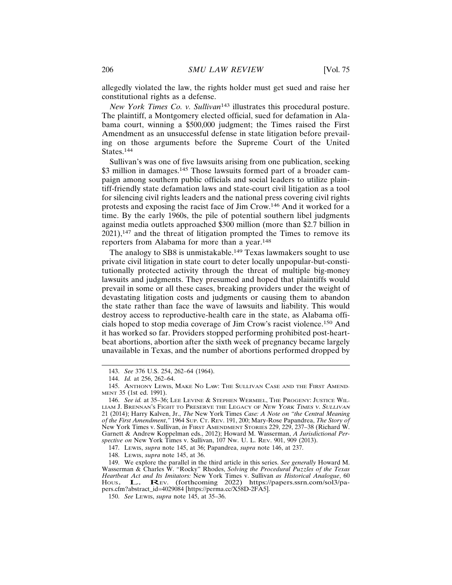allegedly violated the law, the rights holder must get sued and raise her constitutional rights as a defense.

*New York Times Co. v. Sullivan*143 illustrates this procedural posture. The plaintiff, a Montgomery elected official, sued for defamation in Alabama court, winning a \$500,000 judgment; the Times raised the First Amendment as an unsuccessful defense in state litigation before prevailing on those arguments before the Supreme Court of the United States.144

Sullivan's was one of five lawsuits arising from one publication, seeking \$3 million in damages.<sup>145</sup> Those lawsuits formed part of a broader campaign among southern public officials and social leaders to utilize plaintiff-friendly state defamation laws and state-court civil litigation as a tool for silencing civil rights leaders and the national press covering civil rights protests and exposing the racist face of Jim Crow.146 And it worked for a time. By the early 1960s, the pile of potential southern libel judgments against media outlets approached \$300 million (more than \$2.7 billion in  $2021$ ,<sup>147</sup> and the threat of litigation prompted the Times to remove its reporters from Alabama for more than a year.<sup>148</sup>

The analogy to SB8 is unmistakable.<sup>149</sup> Texas lawmakers sought to use private civil litigation in state court to deter locally unpopular-but-constitutionally protected activity through the threat of multiple big-money lawsuits and judgments. They presumed and hoped that plaintiffs would prevail in some or all these cases, breaking providers under the weight of devastating litigation costs and judgments or causing them to abandon the state rather than face the wave of lawsuits and liability. This would destroy access to reproductive-health care in the state, as Alabama officials hoped to stop media coverage of Jim Crow's racist violence.150 And it has worked so far. Providers stopped performing prohibited post-heartbeat abortions, abortion after the sixth week of pregnancy became largely unavailable in Texas, and the number of abortions performed dropped by

<sup>143.</sup> *See* 376 U.S. 254, 262–64 (1964).

<sup>144.</sup> *Id.* at 256, 262–64.

<sup>145.</sup> ANTHONY LEWIS, MAKE NO LAW: THE SULLIVAN CASE AND THE FIRST AMEND-MENT 35 (1st ed. 1991).

<sup>146.</sup> *See id.* at 35–36; LEE LEVINE & STEPHEN WERMIEL, THE PROGENY: JUSTICE WIL-LIAM J. BRENNAN'S FIGHT TO PRESERVE THE LEGACY OF NEW YORK TIMES V. SULLIVAN 21 (2014); Harry Kalven, Jr., *The* New York Times *Case: A Note on "the Central Meaning of the First Amendment*,*"* 1964 SUP. CT. REV. 191, 200; Mary-Rose Papandrea, *The Story of* New York Times v. Sullivan, *in* FIRST AMENDMENT STORIES 229, 229, 237–38 (Richard W. Garnett & Andrew Koppelman eds., 2012); Howard M. Wasserman, *A Jurisdictional Perspective on* New York Times v. Sullivan, 107 NW. U. L. REV. 901, 909 (2013).

<sup>147.</sup> LEWIS, *supra* note 145, at 36; Papandrea, *supra* note 146, at 237.

<sup>148.</sup> LEWIS, *supra* note 145, at 36.

<sup>149.</sup> We explore the parallel in the third article in this series. *See generally* Howard M. Wasserman & Charles W. "Rocky" Rhodes, *Solving the Procedural Puzzles of the Texas Heartbeat Act and Its Imitators:* New York Times v. Sullivan *as Historical Analogue*, 60<br>HOUS. L. REV. (forthcoming 2022) https://papers.ssrn.com/sol3/papers.cfm?abstract\_id=4029084 [https://perma.cc/X58D-2FA5].

<sup>150.</sup> *See* LEWIS, *supra* note 145, at 35–36.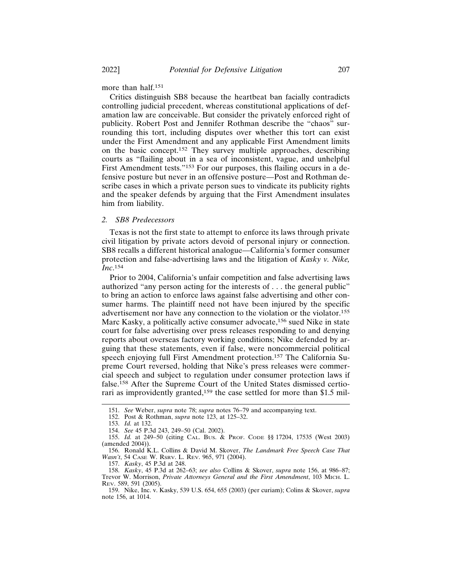more than half.<sup>151</sup>

Critics distinguish SB8 because the heartbeat ban facially contradicts controlling judicial precedent, whereas constitutional applications of defamation law are conceivable. But consider the privately enforced right of publicity. Robert Post and Jennifer Rothman describe the "chaos" surrounding this tort, including disputes over whether this tort can exist under the First Amendment and any applicable First Amendment limits on the basic concept.152 They survey multiple approaches, describing courts as "flailing about in a sea of inconsistent, vague, and unhelpful First Amendment tests."<sup>153</sup> For our purposes, this flailing occurs in a defensive posture but never in an offensive posture—Post and Rothman describe cases in which a private person sues to vindicate its publicity rights and the speaker defends by arguing that the First Amendment insulates him from liability.

## *2. SB8 Predecessors*

Texas is not the first state to attempt to enforce its laws through private civil litigation by private actors devoid of personal injury or connection. SB8 recalls a different historical analogue—California's former consumer protection and false-advertising laws and the litigation of *Kasky v. Nike, Inc*. 154

Prior to 2004, California's unfair competition and false advertising laws authorized "any person acting for the interests of . . . the general public" to bring an action to enforce laws against false advertising and other consumer harms. The plaintiff need not have been injured by the specific advertisement nor have any connection to the violation or the violator.<sup>155</sup> Marc Kasky, a politically active consumer advocate,<sup>156</sup> sued Nike in state court for false advertising over press releases responding to and denying reports about overseas factory working conditions; Nike defended by arguing that these statements, even if false, were noncommercial political speech enjoying full First Amendment protection.<sup>157</sup> The California Supreme Court reversed, holding that Nike's press releases were commercial speech and subject to regulation under consumer protection laws if false.158 After the Supreme Court of the United States dismissed certiorari as improvidently granted,<sup>159</sup> the case settled for more than \$1.5 mil-

157. *Kasky*, 45 P.3d at 248.

<sup>151.</sup> *See* Weber, *supra* note 78; *supra* notes 76–79 and accompanying text.

<sup>152.</sup> Post & Rothman, *supra* note 123, at 125–32.

<sup>153.</sup> *Id.* at 132.

<sup>154.</sup> *See* 45 P.3d 243, 249–50 (Cal. 2002).

<sup>155.</sup> *Id.* at 249–50 (citing CAL. BUS. & PROF. CODE §§ 17204, 17535 (West 2003) (amended 2004)).

<sup>156.</sup> Ronald K.L. Collins & David M. Skover, *The Landmark Free Speech Case That Wasn't*, 54 CASE W. RSRV. L. REV. 965, 971 (2004).

<sup>158.</sup> *Kasky*, 45 P.3d at 262–63; *see also* Collins & Skover, *supra* note 156, at 986–87; Trevor W. Morrison, *Private Attorneys General and the First Amendment*, 103 MICH. L. REV. 589, 591 (2005).

<sup>159.</sup> Nike, Inc. v. Kasky, 539 U.S. 654, 655 (2003) (per curiam); Colins & Skover, *supra* note 156, at 1014.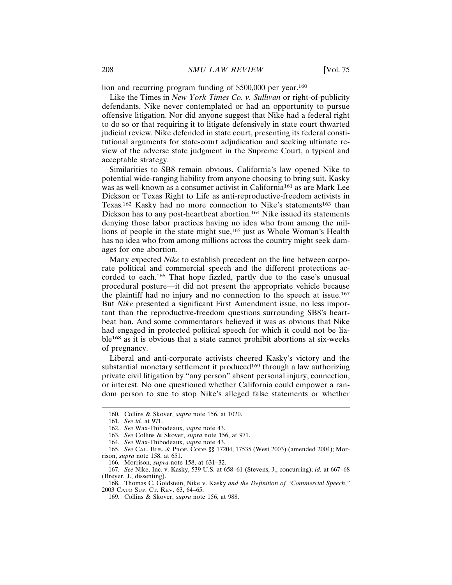lion and recurring program funding of \$500,000 per year.<sup>160</sup>

Like the Times in *New York Times Co. v. Sullivan* or right-of-publicity defendants, Nike never contemplated or had an opportunity to pursue offensive litigation. Nor did anyone suggest that Nike had a federal right to do so or that requiring it to litigate defensively in state court thwarted judicial review. Nike defended in state court, presenting its federal constitutional arguments for state-court adjudication and seeking ultimate review of the adverse state judgment in the Supreme Court, a typical and acceptable strategy.

Similarities to SB8 remain obvious. California's law opened Nike to potential wide-ranging liability from anyone choosing to bring suit. Kasky was as well-known as a consumer activist in California<sup>161</sup> as are Mark Lee Dickson or Texas Right to Life as anti-reproductive-freedom activists in Texas.<sup>162</sup> Kasky had no more connection to Nike's statements<sup>163</sup> than Dickson has to any post-heartbeat abortion.<sup>164</sup> Nike issued its statements denying those labor practices having no idea who from among the millions of people in the state might sue,165 just as Whole Woman's Health has no idea who from among millions across the country might seek damages for one abortion.

Many expected *Nike* to establish precedent on the line between corporate political and commercial speech and the different protections accorded to each.166 That hope fizzled, partly due to the case's unusual procedural posture—it did not present the appropriate vehicle because the plaintiff had no injury and no connection to the speech at issue.<sup>167</sup> But *Nike* presented a significant First Amendment issue, no less important than the reproductive-freedom questions surrounding SB8's heartbeat ban. And some commentators believed it was as obvious that Nike had engaged in protected political speech for which it could not be liable168 as it is obvious that a state cannot prohibit abortions at six-weeks of pregnancy.

Liberal and anti-corporate activists cheered Kasky's victory and the substantial monetary settlement it produced<sup>169</sup> through a law authorizing private civil litigation by "any person" absent personal injury, connection, or interest. No one questioned whether California could empower a random person to sue to stop Nike's alleged false statements or whether

<sup>160.</sup> Collins & Skover, *supra* note 156, at 1020.

<sup>161.</sup> *See id.* at 971.

<sup>162.</sup> *See* Wax-Thibodeaux, *supra* note 43.

<sup>163.</sup> *See* Collins & Skover, *supra* note 156, at 971.

<sup>164.</sup> *See* Wax-Thibodeaux, *supra* note 43.

<sup>165.</sup> *See* CAL. BUS. & PROF. CODE §§ 17204, 17535 (West 2003) (amended 2004); Morrison, *supra* note 158, at 651.

<sup>166.</sup> Morrison, *supra* note 158, at 631–32.

<sup>167.</sup> *See* Nike, Inc. v. Kasky, 539 U.S. at 658–61 (Stevens, J., concurring); *id.* at 667–68 (Breyer, J., dissenting).

<sup>168.</sup> Thomas C. Goldstein, Nike v. Kasky *and the Definition of "Commercial Speech*,*"* 2003 CATO SUP. CT. REV. 63, 64–65.

<sup>169.</sup> Collins & Skover, *supra* note 156, at 988.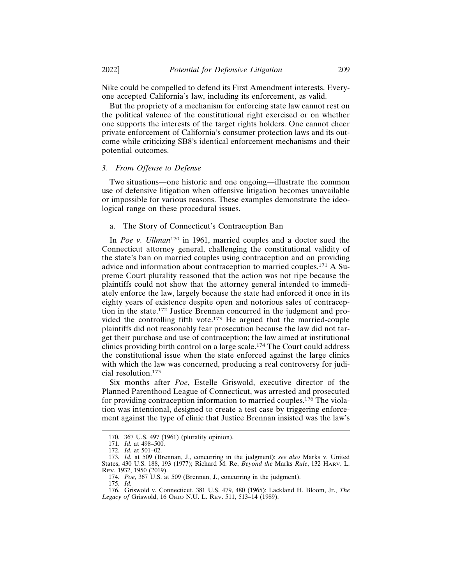Nike could be compelled to defend its First Amendment interests. Everyone accepted California's law, including its enforcement, as valid.

But the propriety of a mechanism for enforcing state law cannot rest on the political valence of the constitutional right exercised or on whether one supports the interests of the target rights holders. One cannot cheer private enforcement of California's consumer protection laws and its outcome while criticizing SB8's identical enforcement mechanisms and their potential outcomes.

## *3. From Offense to Defense*

Two situations—one historic and one ongoing—illustrate the common use of defensive litigation when offensive litigation becomes unavailable or impossible for various reasons. These examples demonstrate the ideological range on these procedural issues.

## a. The Story of Connecticut's Contraception Ban

In *Poe v. Ullman*170 in 1961, married couples and a doctor sued the Connecticut attorney general, challenging the constitutional validity of the state's ban on married couples using contraception and on providing advice and information about contraception to married couples.171 A Supreme Court plurality reasoned that the action was not ripe because the plaintiffs could not show that the attorney general intended to immediately enforce the law, largely because the state had enforced it once in its eighty years of existence despite open and notorious sales of contraception in the state.172 Justice Brennan concurred in the judgment and provided the controlling fifth vote.<sup>173</sup> He argued that the married-couple plaintiffs did not reasonably fear prosecution because the law did not target their purchase and use of contraception; the law aimed at institutional clinics providing birth control on a large scale.174 The Court could address the constitutional issue when the state enforced against the large clinics with which the law was concerned, producing a real controversy for judicial resolution.<sup>175</sup>

Six months after *Poe*, Estelle Griswold, executive director of the Planned Parenthood League of Connecticut, was arrested and prosecuted for providing contraception information to married couples.176 The violation was intentional, designed to create a test case by triggering enforcement against the type of clinic that Justice Brennan insisted was the law's

<sup>170. 367</sup> U.S. 497 (1961) (plurality opinion).

<sup>171.</sup> *Id.* at 498–500.

<sup>172.</sup> *Id.* at 501–02.

<sup>173.</sup> *Id.* at 509 (Brennan, J., concurring in the judgment); *see also* Marks v. United States, 430 U.S. 188, 193 (1977); Richard M. Re, *Beyond the* Marks *Rule*, 132 HARV. L. REV. 1932, 1950 (2019).

<sup>174.</sup> *Poe*, 367 U.S. at 509 (Brennan, J., concurring in the judgment).

<sup>175.</sup> *Id.*

<sup>176.</sup> Griswold v. Connecticut, 381 U.S. 479, 480 (1965); Lackland H. Bloom, Jr., *The Legacy of* Griswold, 16 OHIO N.U. L. REV. 511, 513–14 (1989).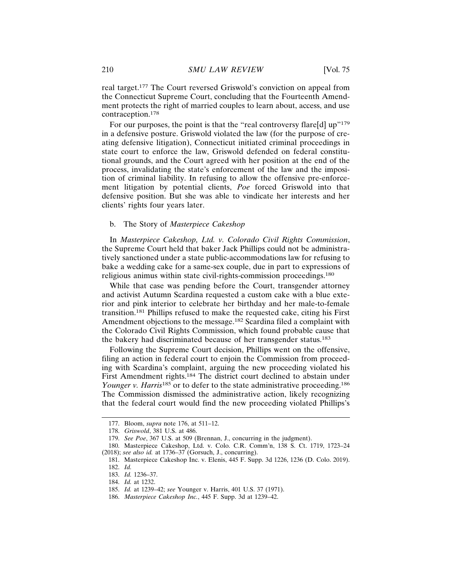real target.177 The Court reversed Griswold's conviction on appeal from the Connecticut Supreme Court, concluding that the Fourteenth Amendment protects the right of married couples to learn about, access, and use contraception.<sup>178</sup>

For our purposes, the point is that the "real controversy flare[d]  $up$ <sup>"179</sup> in a defensive posture. Griswold violated the law (for the purpose of creating defensive litigation), Connecticut initiated criminal proceedings in state court to enforce the law, Griswold defended on federal constitutional grounds, and the Court agreed with her position at the end of the process, invalidating the state's enforcement of the law and the imposition of criminal liability. In refusing to allow the offensive pre-enforcement litigation by potential clients, *Poe* forced Griswold into that defensive position. But she was able to vindicate her interests and her clients' rights four years later.

## b. The Story of *Masterpiece Cakeshop*

In *Masterpiece Cakeshop, Ltd. v. Colorado Civil Rights Commission*, the Supreme Court held that baker Jack Phillips could not be administratively sanctioned under a state public-accommodations law for refusing to bake a wedding cake for a same-sex couple, due in part to expressions of religious animus within state civil-rights-commission proceedings.<sup>180</sup>

While that case was pending before the Court, transgender attorney and activist Autumn Scardina requested a custom cake with a blue exterior and pink interior to celebrate her birthday and her male-to-female transition.181 Phillips refused to make the requested cake, citing his First Amendment objections to the message.<sup>182</sup> Scardina filed a complaint with the Colorado Civil Rights Commission, which found probable cause that the bakery had discriminated because of her transgender status.<sup>183</sup>

Following the Supreme Court decision, Phillips went on the offensive, filing an action in federal court to enjoin the Commission from proceeding with Scardina's complaint, arguing the new proceeding violated his First Amendment rights.<sup>184</sup> The district court declined to abstain under *Younger v. Harris*<sup>185</sup> or to defer to the state administrative proceeding.<sup>186</sup> The Commission dismissed the administrative action, likely recognizing that the federal court would find the new proceeding violated Phillips's

<sup>177.</sup> Bloom, *supra* note 176, at 511–12.

<sup>178.</sup> *Griswold*, 381 U.S. at 486.

<sup>179.</sup> *See Poe*, 367 U.S. at 509 (Brennan, J., concurring in the judgment).

<sup>180.</sup> Masterpiece Cakeshop, Ltd. v. Colo. C.R. Comm'n, 138 S. Ct. 1719, 1723–24 (2018); *see also id.* at 1736–37 (Gorsuch, J., concurring).

<sup>181.</sup> Masterpiece Cakeshop Inc. v. Elenis, 445 F. Supp. 3d 1226, 1236 (D. Colo. 2019). 182. *Id.*

<sup>183.</sup> *Id.* 1236–37.

<sup>184.</sup> *Id.* at 1232.

<sup>185.</sup> *Id.* at 1239–42; *see* Younger v. Harris, 401 U.S. 37 (1971).

<sup>186.</sup> *Masterpiece Cakeshop Inc.*, 445 F. Supp. 3d at 1239–42.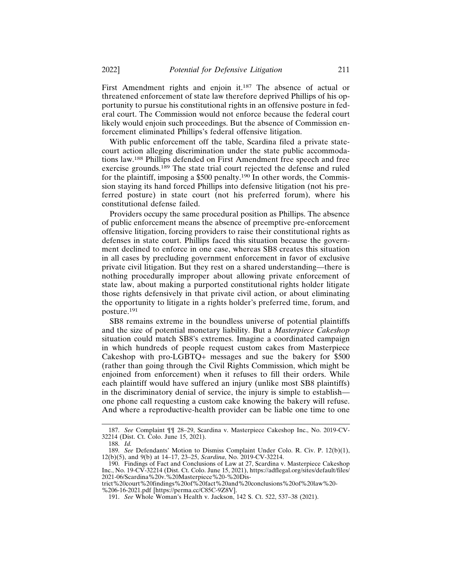First Amendment rights and enjoin it.187 The absence of actual or threatened enforcement of state law therefore deprived Phillips of his opportunity to pursue his constitutional rights in an offensive posture in federal court. The Commission would not enforce because the federal court likely would enjoin such proceedings. But the absence of Commission enforcement eliminated Phillips's federal offensive litigation.

With public enforcement off the table, Scardina filed a private statecourt action alleging discrimination under the state public accommodations law.188 Phillips defended on First Amendment free speech and free exercise grounds.<sup>189</sup> The state trial court rejected the defense and ruled for the plaintiff, imposing a \$500 penalty.<sup>190</sup> In other words, the Commission staying its hand forced Phillips into defensive litigation (not his preferred posture) in state court (not his preferred forum), where his constitutional defense failed.

Providers occupy the same procedural position as Phillips. The absence of public enforcement means the absence of preemptive pre-enforcement offensive litigation, forcing providers to raise their constitutional rights as defenses in state court. Phillips faced this situation because the government declined to enforce in one case, whereas SB8 creates this situation in all cases by precluding government enforcement in favor of exclusive private civil litigation. But they rest on a shared understanding—there is nothing procedurally improper about allowing private enforcement of state law, about making a purported constitutional rights holder litigate those rights defensively in that private civil action, or about eliminating the opportunity to litigate in a rights holder's preferred time, forum, and posture.191

SB8 remains extreme in the boundless universe of potential plaintiffs and the size of potential monetary liability. But a *Masterpiece Cakeshop* situation could match SB8's extremes. Imagine a coordinated campaign in which hundreds of people request custom cakes from Masterpiece Cakeshop with pro-LGBTQ+ messages and sue the bakery for \$500 (rather than going through the Civil Rights Commission, which might be enjoined from enforcement) when it refuses to fill their orders. While each plaintiff would have suffered an injury (unlike most SB8 plaintiffs) in the discriminatory denial of service, the injury is simple to establish one phone call requesting a custom cake knowing the bakery will refuse. And where a reproductive-health provider can be liable one time to one

<sup>187.</sup> *See* Complaint ¶¶ 28–29, Scardina v. Masterpiece Cakeshop Inc., No. 2019-CV-32214 (Dist. Ct. Colo. June 15, 2021).

<sup>188.</sup> *Id.*

<sup>189.</sup> *See* Defendants' Motion to Dismiss Complaint Under Colo. R. Civ. P. 12(b)(1), 12(b)(5), and 9(b) at 14–17, 23–25, *Scardina*, No. 2019-CV-32214.

<sup>190.</sup> Findings of Fact and Conclusions of Law at 27, Scardina v. Masterpiece Cakeshop Inc., No. 19-CV-32214 (Dist. Ct. Colo. June 15, 2021), https://adflegal.org/sites/default/files/ 2021-06/Scardina%20v.%20Masterpiece%20-%20Dis-

trict%20court%20findings%20of%20fact%20and%20conclusions%20of%20law%20- %206-16-2021.pdf [https://perma.cc/C85C-9Z8V].

<sup>191.</sup> *See* Whole Woman's Health v. Jackson, 142 S. Ct. 522, 537–38 (2021).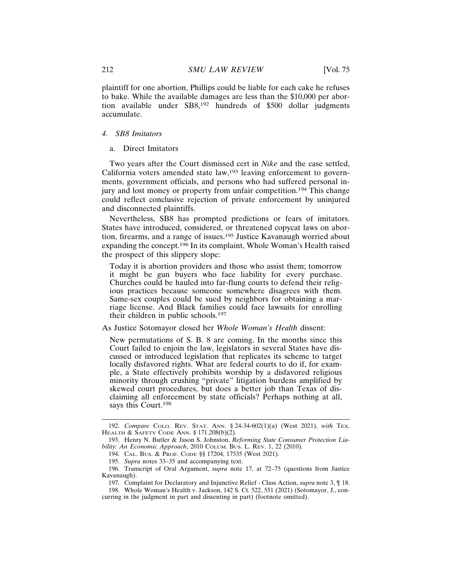plaintiff for one abortion, Phillips could be liable for each cake he refuses to bake. While the available damages are less than the \$10,000 per abortion available under SB8,192 hundreds of \$500 dollar judgments accumulate.

#### *4. SB8 Imitators*

#### a. Direct Imitators

Two years after the Court dismissed cert in *Nike* and the case settled, California voters amended state law, $193$  leaving enforcement to governments, government officials, and persons who had suffered personal injury and lost money or property from unfair competition.194 This change could reflect conclusive rejection of private enforcement by uninjured and disconnected plaintiffs.

Nevertheless, SB8 has prompted predictions or fears of imitators. States have introduced, considered, or threatened copycat laws on abortion, firearms, and a range of issues.195 Justice Kavanaugh worried about expanding the concept.196 In its complaint, Whole Woman's Health raised the prospect of this slippery slope:

Today it is abortion providers and those who assist them; tomorrow it might be gun buyers who face liability for every purchase. Churches could be hauled into far-flung courts to defend their religious practices because someone somewhere disagrees with them. Same-sex couples could be sued by neighbors for obtaining a marriage license. And Black families could face lawsuits for enrolling their children in public schools.<sup>197</sup>

## As Justice Sotomayor closed her *Whole Woman's Health* dissent:

New permutations of S. B. 8 are coming. In the months since this Court failed to enjoin the law, legislators in several States have discussed or introduced legislation that replicates its scheme to target locally disfavored rights. What are federal courts to do if, for example, a State effectively prohibits worship by a disfavored religious minority through crushing "private" litigation burdens amplified by skewed court procedures, but does a better job than Texas of disclaiming all enforcement by state officials? Perhaps nothing at all, says this Court.<sup>198</sup>

<sup>192.</sup> *Compare* COLO. REV. STAT. ANN. § 24-34-602(1)(a) (West 2021), *with* TEX. HEALTH & SAFETY CODE ANN. § 171.208(b)(2).

<sup>193.</sup> Henry N. Butler & Jason S. Johnston, *Reforming State Consumer Protection Liability: An Economic Approach*, 2010 COLUM. BUS. L. REV. 1, 22 (2010).

<sup>194.</sup> CAL. BUS. & PROF. CODE §§ 17204, 17535 (West 2021).

<sup>195.</sup> *Supra* notes 33–35 and accompanying text.

<sup>196.</sup> Transcript of Oral Argument, *supra* note 17, at 72–75 (questions from Justice Kavanaugh).

<sup>197.</sup> Complaint for Declaratory and Injunctive Relief - Class Action, *supra* note 3, ¶ 18. 198. Whole Woman's Health v. Jackson, 142 S. Ct. 522, 551 (2021) (Sotomayor, J., con-

curring in the judgment in part and dissenting in part) (footnote omitted).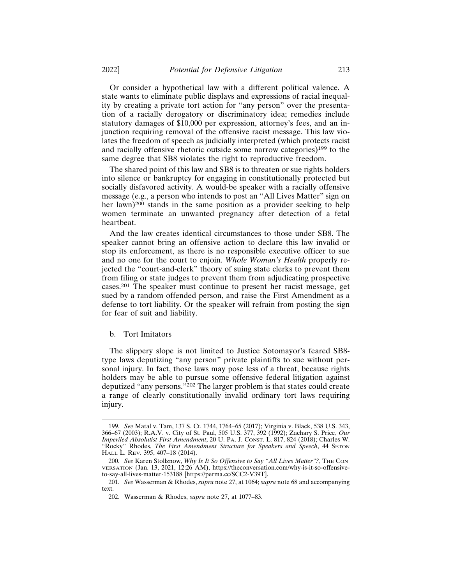Or consider a hypothetical law with a different political valence. A state wants to eliminate public displays and expressions of racial inequality by creating a private tort action for "any person" over the presentation of a racially derogatory or discriminatory idea; remedies include statutory damages of \$10,000 per expression, attorney's fees, and an injunction requiring removal of the offensive racist message. This law violates the freedom of speech as judicially interpreted (which protects racist and racially offensive rhetoric outside some narrow categories)199 to the same degree that SB8 violates the right to reproductive freedom.

The shared point of this law and SB8 is to threaten or sue rights holders into silence or bankruptcy for engaging in constitutionally protected but socially disfavored activity. A would-be speaker with a racially offensive message (e.g., a person who intends to post an "All Lives Matter" sign on her lawn)<sup>200</sup> stands in the same position as a provider seeking to help women terminate an unwanted pregnancy after detection of a fetal heartbeat.

And the law creates identical circumstances to those under SB8. The speaker cannot bring an offensive action to declare this law invalid or stop its enforcement, as there is no responsible executive officer to sue and no one for the court to enjoin. *Whole Woman's Health* properly rejected the "court-and-clerk" theory of suing state clerks to prevent them from filing or state judges to prevent them from adjudicating prospective cases.201 The speaker must continue to present her racist message, get sued by a random offended person, and raise the First Amendment as a defense to tort liability. Or the speaker will refrain from posting the sign for fear of suit and liability.

#### b. Tort Imitators

The slippery slope is not limited to Justice Sotomayor's feared SB8 type laws deputizing "any person" private plaintiffs to sue without personal injury. In fact, those laws may pose less of a threat, because rights holders may be able to pursue some offensive federal litigation against deputized "any persons."202 The larger problem is that states could create a range of clearly constitutionally invalid ordinary tort laws requiring injury.

<sup>199.</sup> *See* Matal v. Tam, 137 S. Ct. 1744, 1764–65 (2017); Virginia v. Black, 538 U.S. 343, 366–67 (2003); R.A.V. v. City of St. Paul, 505 U.S. 377, 392 (1992); Zachary S. Price, *Our Imperiled Absolutist First Amendment*, 20 U. PA. J. CONST. L. 817, 824 (2018); Charles W. "Rocky" Rhodes, *The First Amendment Structure for Speakers and Speech*, 44 SETON HALL L. REV. 395, 407–18 (2014).

<sup>200.</sup> *See* Karen Stollznow, *Why Is It So Offensive to Say "All Lives Matter"?*, THE CON-VERSATION (Jan. 13, 2021, 12:26 AM), https://theconversation.com/why-is-it-so-offensiveto-say-all-lives-matter-153188 [https://perma.cc/SCC2-V39T].

<sup>201.</sup> *See* Wasserman & Rhodes, *supra* note 27, at 1064; *supra* note 68 and accompanying text.

<sup>202.</sup> Wasserman & Rhodes, *supra* note 27, at 1077–83.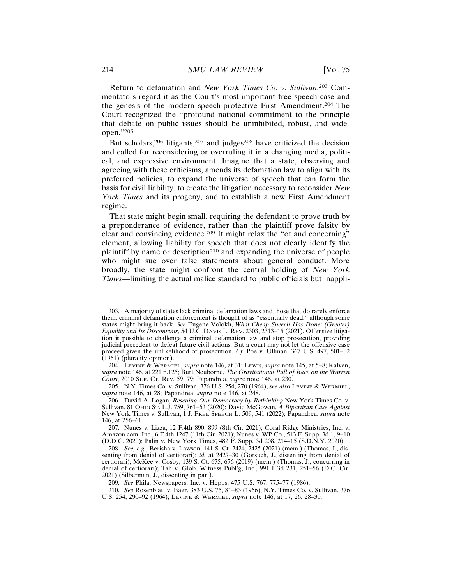Return to defamation and *New York Times Co. v. Sullivan*. 203 Commentators regard it as the Court's most important free speech case and the genesis of the modern speech-protective First Amendment.204 The Court recognized the "profound national commitment to the principle that debate on public issues should be uninhibited, robust, and wideopen."<sup>205</sup>

But scholars,<sup>206</sup> litigants,<sup>207</sup> and judges<sup>208</sup> have criticized the decision and called for reconsidering or overruling it in a changing media, political, and expressive environment. Imagine that a state, observing and agreeing with these criticisms, amends its defamation law to align with its preferred policies, to expand the universe of speech that can form the basis for civil liability, to create the litigation necessary to reconsider *New York Times* and its progeny, and to establish a new First Amendment regime.

That state might begin small, requiring the defendant to prove truth by a preponderance of evidence, rather than the plaintiff prove falsity by clear and convincing evidence.<sup>209</sup> It might relax the "of and concerning" element, allowing liability for speech that does not clearly identify the plaintiff by name or description<sup>210</sup> and expanding the universe of people who might sue over false statements about general conduct. More broadly, the state might confront the central holding of *New York Times*—limiting the actual malice standard to public officials but inappli-

205. N.Y. Times Co. v. Sullivan, 376 U.S. 254, 270 (1964); *see also* LEVINE & WERMIEL, *supra* note 146, at 28; Papandrea, *supra* note 146, at 248.

<sup>203.</sup> A majority of states lack criminal defamation laws and those that do rarely enforce them; criminal defamation enforcement is thought of as "essentially dead," although some states might bring it back. *See* Eugene Volokh, *What Cheap Speech Has Done: (Greater) Equality and Its Discontents*, 54 U.C. DAVIS L. REV. 2303, 2313–15 (2021). Offensive litigation is possible to challenge a criminal defamation law and stop prosecution, providing judicial precedent to defeat future civil actions. But a court may not let the offensive case proceed given the unlikelihood of prosecution. *Cf.* Poe v. Ullman, 367 U.S. 497, 501–02 (1961) (plurality opinion).

<sup>204.</sup> LEVINE & WERMIEL, *supra* note 146, at 31; LEWIS, *supra* note 145, at 5–8; Kalven, *supra* note 146, at 221 n.125; Burt Neuborne, *The Gravitational Pull of Race on the Warren Court*, 2010 SUP. CT. Rev. 59, 79; Papandrea, *supra* note 146, at 230.

<sup>206.</sup> David A. Logan, *Rescuing Our Democracy by Rethinking* New York Times Co. v. Sullivan, 81 OHIO ST. L.J. 759, 761–62 (2020); David McGowan, *A Bipartisan Case Against* New York Times v. Sullivan, 1 J. FREE SPEECH L. 509, 541 (2022); Papandrea, *supra* note 146, at 256–61.

<sup>207.</sup> Nunes v. Lizza, 12 F.4th 890, 899 (8th Cir. 2021); Coral Ridge Ministries, Inc. v. Amazon.com, Inc., 6 F.4th 1247 (11th Cir. 2021); Nunes v. WP Co., 513 F. Supp. 3d 1, 9–10 (D.D.C. 2020); Palin v. New York Times, 482 F. Supp. 3d 208, 214–15 (S.D.N.Y. 2020).

<sup>208.</sup> *See, e.g.*, Berisha v. Lawson, 141 S. Ct. 2424, 2425 (2021) (mem.) (Thomas, J., dissenting from denial of certiorari); *id.* at 2427–30 (Gorsuch, J., dissenting from denial of certiorari); McKee v. Cosby, 139 S. Ct. 675, 676 (2019) (mem.) (Thomas, J., concurring in denial of certiorari); Tah v. Glob. Witness Publ'g, Inc., 991 F.3d 231, 251–56 (D.C. Cir. 2021) (Silberman, J., dissenting in part).

<sup>209.</sup> *See* Phila. Newspapers, Inc. v. Hepps, 475 U.S. 767, 775–77 (1986).

<sup>210.</sup> *See* Rosenblatt v. Baer, 383 U.S. 75, 81–83 (1966); N.Y. Times Co. v. Sullivan, 376 U.S. 254, 290–92 (1964); LEVINE & WERMIEL, *supra* note 146, at 17, 26, 28–30.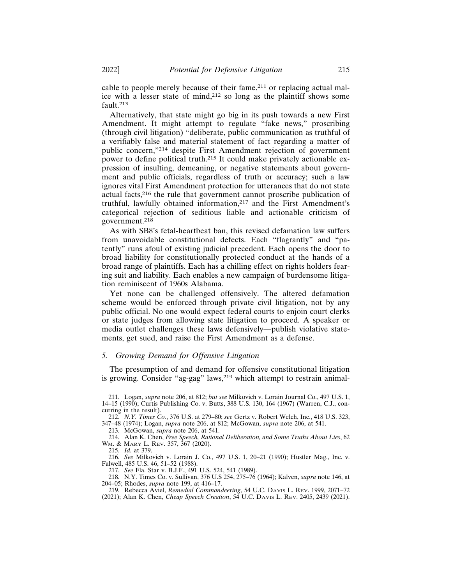cable to people merely because of their fame, $2^{11}$  or replacing actual malice with a lesser state of mind,212 so long as the plaintiff shows some fault.213

Alternatively, that state might go big in its push towards a new First Amendment. It might attempt to regulate "fake news," proscribing (through civil litigation) "deliberate, public communication as truthful of a verifiably false and material statement of fact regarding a matter of public concern,"214 despite First Amendment rejection of government power to define political truth.215 It could make privately actionable expression of insulting, demeaning, or negative statements about government and public officials, regardless of truth or accuracy; such a law ignores vital First Amendment protection for utterances that do not state actual facts,216 the rule that government cannot proscribe publication of truthful, lawfully obtained information,217 and the First Amendment's categorical rejection of seditious liable and actionable criticism of government.<sup>218</sup>

As with SB8's fetal-heartbeat ban, this revised defamation law suffers from unavoidable constitutional defects. Each "flagrantly" and "patently" runs afoul of existing judicial precedent. Each opens the door to broad liability for constitutionally protected conduct at the hands of a broad range of plaintiffs. Each has a chilling effect on rights holders fearing suit and liability. Each enables a new campaign of burdensome litigation reminiscent of 1960s Alabama.

Yet none can be challenged offensively. The altered defamation scheme would be enforced through private civil litigation, not by any public official. No one would expect federal courts to enjoin court clerks or state judges from allowing state litigation to proceed. A speaker or media outlet challenges these laws defensively—publish violative statements, get sued, and raise the First Amendment as a defense.

## *5. Growing Demand for Offensive Litigation*

The presumption of and demand for offensive constitutional litigation is growing. Consider "ag-gag" laws,<sup>219</sup> which attempt to restrain animal-

213. McGowan, *supra* note 206, at 541.

215. *Id.* at 379.

217. *See* Fla. Star v. B.J.F., 491 U.S. 524, 541 (1989).

218. N.Y. Times Co. v. Sullivan, 376 U.S 254, 275–76 (1964); Kalven, *supra* note 146, at 204–05; Rhodes, *supra* note 199, at 416–17.

<sup>211.</sup> Logan, *supra* note 206, at 812; *but see* Milkovich v. Lorain Journal Co., 497 U.S. 1, 14–15 (1990); Curtis Publishing Co. v. Butts, 388 U.S. 130, 164 (1967) (Warren, C.J., concurring in the result).

<sup>212.</sup> *N.Y. Times Co.*, 376 U.S. at 279–80; *see* Gertz v. Robert Welch, Inc., 418 U.S. 323, 347–48 (1974); Logan, *supra* note 206, at 812; McGowan, *supra* note 206, at 541.

<sup>214.</sup> Alan K. Chen, *Free Speech, Rational Deliberation, and Some Truths About Lies*, 62 WM. & MARY L. REV. 357, 367 (2020).

<sup>216.</sup> *See* Milkovich v. Lorain J. Co., 497 U.S. 1, 20–21 (1990); Hustler Mag., Inc. v. Falwell, 485 U.S. 46, 51–52 (1988).

<sup>219.</sup> Rebecca Aviel, *Remedial Commandeering*, 54 U.C. DAVIS L. REV. 1999, 2071–72 (2021); Alan K. Chen, *Cheap Speech Creation*, 54 U.C. DAVIS L. REV. 2405, 2439 (2021).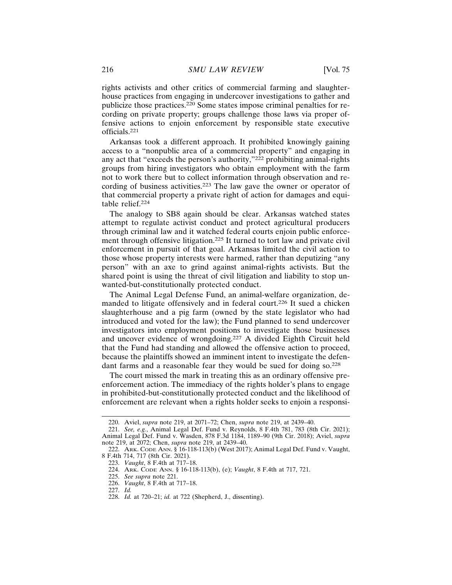rights activists and other critics of commercial farming and slaughterhouse practices from engaging in undercover investigations to gather and publicize those practices.220 Some states impose criminal penalties for recording on private property; groups challenge those laws via proper offensive actions to enjoin enforcement by responsible state executive officials.221

Arkansas took a different approach. It prohibited knowingly gaining access to a "nonpublic area of a commercial property" and engaging in any act that "exceeds the person's authority,"<sup>222</sup> prohibiting animal-rights groups from hiring investigators who obtain employment with the farm not to work there but to collect information through observation and recording of business activities.223 The law gave the owner or operator of that commercial property a private right of action for damages and equitable relief.<sup>224</sup>

The analogy to SB8 again should be clear. Arkansas watched states attempt to regulate activist conduct and protect agricultural producers through criminal law and it watched federal courts enjoin public enforcement through offensive litigation.225 It turned to tort law and private civil enforcement in pursuit of that goal. Arkansas limited the civil action to those whose property interests were harmed, rather than deputizing "any person" with an axe to grind against animal-rights activists. But the shared point is using the threat of civil litigation and liability to stop unwanted-but-constitutionally protected conduct.

The Animal Legal Defense Fund, an animal-welfare organization, demanded to litigate offensively and in federal court.226 It sued a chicken slaughterhouse and a pig farm (owned by the state legislator who had introduced and voted for the law); the Fund planned to send undercover investigators into employment positions to investigate those businesses and uncover evidence of wrongdoing.227 A divided Eighth Circuit held that the Fund had standing and allowed the offensive action to proceed, because the plaintiffs showed an imminent intent to investigate the defendant farms and a reasonable fear they would be sued for doing so.<sup>228</sup>

The court missed the mark in treating this as an ordinary offensive preenforcement action. The immediacy of the rights holder's plans to engage in prohibited-but-constitutionally protected conduct and the likelihood of enforcement are relevant when a rights holder seeks to enjoin a responsi-

<sup>220.</sup> Aviel, *supra* note 219, at 2071–72; Chen, *supra* note 219, at 2439–40.

<sup>221.</sup> *See, e.g.*, Animal Legal Def. Fund v. Reynolds, 8 F.4th 781, 783 (8th Cir. 2021); Animal Legal Def. Fund v. Wasden, 878 F.3d 1184, 1189–90 (9th Cir. 2018); Aviel, *supra* note 219, at 2072; Chen, *supra* note 219, at 2439–40.

<sup>222.</sup> ARK. CODE ANN. § 16-118-113(b) (West 2017); Animal Legal Def. Fund v. Vaught, 8 F.4th 714, 717 (8th Cir. 2021).

<sup>223.</sup> *Vaught*, 8 F.4th at 717–18.

<sup>224.</sup> ARK. CODE ANN. § 16-118-113(b), (e); *Vaught*, 8 F.4th at 717, 721.

<sup>225.</sup> *See supra* note 221.

<sup>226.</sup> *Vaught*, 8 F.4th at 717–18. 227. *Id.*

<sup>228.</sup> *Id.* at 720–21; *id.* at 722 (Shepherd, J., dissenting).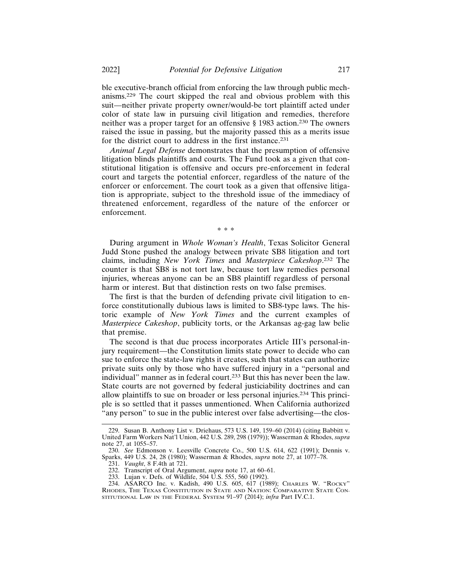ble executive-branch official from enforcing the law through public mechanisms.229 The court skipped the real and obvious problem with this suit—neither private property owner/would-be tort plaintiff acted under color of state law in pursuing civil litigation and remedies, therefore neither was a proper target for an offensive § 1983 action.230 The owners raised the issue in passing, but the majority passed this as a merits issue for the district court to address in the first instance.<sup>231</sup>

*Animal Legal Defense* demonstrates that the presumption of offensive litigation blinds plaintiffs and courts. The Fund took as a given that constitutional litigation is offensive and occurs pre-enforcement in federal court and targets the potential enforcer, regardless of the nature of the enforcer or enforcement. The court took as a given that offensive litigation is appropriate, subject to the threshold issue of the immediacy of threatened enforcement, regardless of the nature of the enforcer or enforcement.

\* \* \*

During argument in *Whole Woman's Health*, Texas Solicitor General Judd Stone pushed the analogy between private SB8 litigation and tort claims, including *New York Times* and *Masterpiece Cakeshop*. 232 The counter is that SB8 is not tort law, because tort law remedies personal injuries, whereas anyone can be an SB8 plaintiff regardless of personal harm or interest. But that distinction rests on two false premises.

The first is that the burden of defending private civil litigation to enforce constitutionally dubious laws is limited to SB8-type laws. The historic example of *New York Times* and the current examples of *Masterpiece Cakeshop*, publicity torts, or the Arkansas ag-gag law belie that premise.

The second is that due process incorporates Article III's personal-injury requirement—the Constitution limits state power to decide who can sue to enforce the state-law rights it creates, such that states can authorize private suits only by those who have suffered injury in a "personal and individual" manner as in federal court.233 But this has never been the law. State courts are not governed by federal justiciability doctrines and can allow plaintiffs to sue on broader or less personal injuries.234 This principle is so settled that it passes unmentioned. When California authorized "any person" to sue in the public interest over false advertising—the clos-

<sup>229.</sup> Susan B. Anthony List v. Driehaus, 573 U.S. 149, 159–60 (2014) (citing Babbitt v. United Farm Workers Nat'l Union, 442 U.S. 289, 298 (1979)); Wasserman & Rhodes, *supra* note 27, at 1055–57.

<sup>230.</sup> *See* Edmonson v. Leesville Concrete Co., 500 U.S. 614, 622 (1991); Dennis v. Sparks, 449 U.S. 24, 28 (1980); Wasserman & Rhodes, *supra* note 27, at 1077–78.

<sup>231.</sup> *Vaught*, 8 F.4th at 721.

<sup>232.</sup> Transcript of Oral Argument, *supra* note 17, at 60–61.

<sup>233.</sup> Lujan v. Defs. of Wildlife, 504 U.S. 555, 560 (1992).

<sup>234.</sup> ASARCO Inc. v. Kadish, 490 U.S. 605, 617 (1989); CHARLES W. "ROCKY" RHODES, THE TEXAS CONSTITUTION IN STATE AND NATION: COMPARATIVE STATE CON-STITUTIONAL LAW IN THE FEDERAL SYSTEM 91–97 (2014); *infra* Part IV.C.1.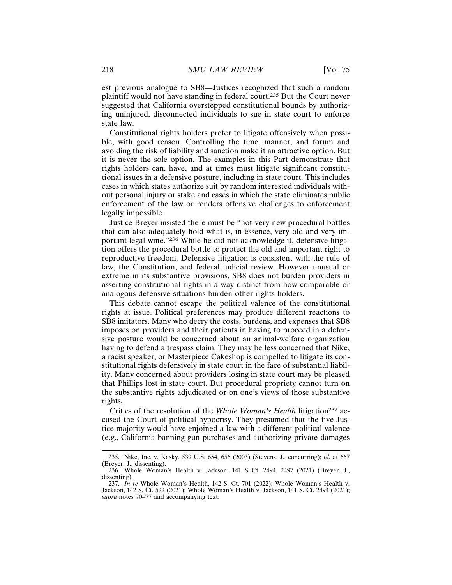est previous analogue to SB8—Justices recognized that such a random plaintiff would not have standing in federal court.235 But the Court never suggested that California overstepped constitutional bounds by authorizing uninjured, disconnected individuals to sue in state court to enforce state law.

Constitutional rights holders prefer to litigate offensively when possible, with good reason. Controlling the time, manner, and forum and avoiding the risk of liability and sanction make it an attractive option. But it is never the sole option. The examples in this Part demonstrate that rights holders can, have, and at times must litigate significant constitutional issues in a defensive posture, including in state court. This includes cases in which states authorize suit by random interested individuals without personal injury or stake and cases in which the state eliminates public enforcement of the law or renders offensive challenges to enforcement legally impossible.

Justice Breyer insisted there must be "not-very-new procedural bottles that can also adequately hold what is, in essence, very old and very important legal wine."236 While he did not acknowledge it, defensive litigation offers the procedural bottle to protect the old and important right to reproductive freedom. Defensive litigation is consistent with the rule of law, the Constitution, and federal judicial review. However unusual or extreme in its substantive provisions, SB8 does not burden providers in asserting constitutional rights in a way distinct from how comparable or analogous defensive situations burden other rights holders.

This debate cannot escape the political valence of the constitutional rights at issue. Political preferences may produce different reactions to SB8 imitators. Many who decry the costs, burdens, and expenses that SB8 imposes on providers and their patients in having to proceed in a defensive posture would be concerned about an animal-welfare organization having to defend a trespass claim. They may be less concerned that Nike, a racist speaker, or Masterpiece Cakeshop is compelled to litigate its constitutional rights defensively in state court in the face of substantial liability. Many concerned about providers losing in state court may be pleased that Phillips lost in state court. But procedural propriety cannot turn on the substantive rights adjudicated or on one's views of those substantive rights.

Critics of the resolution of the *Whole Woman's Health* litigation<sup>237</sup> accused the Court of political hypocrisy. They presumed that the five-Justice majority would have enjoined a law with a different political valence (e.g., California banning gun purchases and authorizing private damages

<sup>235.</sup> Nike, Inc. v. Kasky, 539 U.S. 654, 656 (2003) (Stevens, J., concurring); *id.* at 667 (Breyer, J., dissenting).

<sup>236.</sup> Whole Woman's Health v. Jackson, 141 S Ct. 2494, 2497 (2021) (Breyer, J., dissenting).

<sup>237.</sup> *In re* Whole Woman's Health, 142 S. Ct. 701 (2022); Whole Woman's Health v. Jackson, 142 S. Ct. 522 (2021); Whole Woman's Health v. Jackson, 141 S. Ct. 2494 (2021); *supra* notes 70–77 and accompanying text.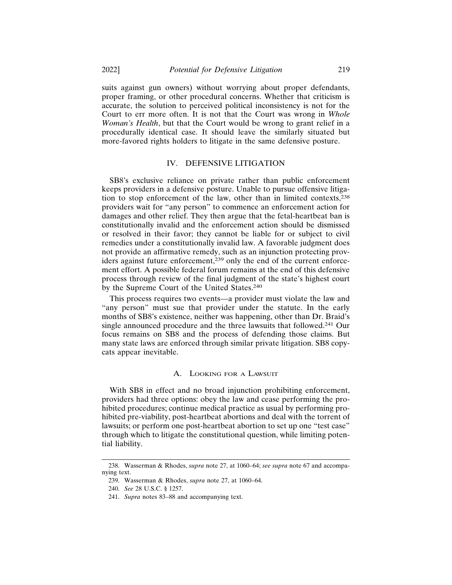suits against gun owners) without worrying about proper defendants, proper framing, or other procedural concerns. Whether that criticism is accurate, the solution to perceived political inconsistency is not for the Court to err more often. It is not that the Court was wrong in *Whole Woman's Health*, but that the Court would be wrong to grant relief in a procedurally identical case. It should leave the similarly situated but more-favored rights holders to litigate in the same defensive posture.

#### IV. DEFENSIVE LITIGATION

SB8's exclusive reliance on private rather than public enforcement keeps providers in a defensive posture. Unable to pursue offensive litigation to stop enforcement of the law, other than in limited contexts,<sup>238</sup> providers wait for "any person" to commence an enforcement action for damages and other relief. They then argue that the fetal-heartbeat ban is constitutionally invalid and the enforcement action should be dismissed or resolved in their favor; they cannot be liable for or subject to civil remedies under a constitutionally invalid law. A favorable judgment does not provide an affirmative remedy, such as an injunction protecting providers against future enforcement,239 only the end of the current enforcement effort. A possible federal forum remains at the end of this defensive process through review of the final judgment of the state's highest court by the Supreme Court of the United States.<sup>240</sup>

This process requires two events—a provider must violate the law and "any person" must sue that provider under the statute. In the early months of SB8's existence, neither was happening, other than Dr. Braid's single announced procedure and the three lawsuits that followed.241 Our focus remains on SB8 and the process of defending those claims. But many state laws are enforced through similar private litigation. SB8 copycats appear inevitable.

## A. LOOKING FOR A LAWSUIT

With SB8 in effect and no broad injunction prohibiting enforcement, providers had three options: obey the law and cease performing the prohibited procedures; continue medical practice as usual by performing prohibited pre-viability, post-heartbeat abortions and deal with the torrent of lawsuits; or perform one post-heartbeat abortion to set up one "test case" through which to litigate the constitutional question, while limiting potential liability.

<sup>238.</sup> Wasserman & Rhodes, *supra* note 27, at 1060–64; *see supra* note 67 and accompanying text.

<sup>239.</sup> Wasserman & Rhodes, *supra* note 27, at 1060–64.

<sup>240.</sup> *See* 28 U.S.C. § 1257.

<sup>241.</sup> *Supra* notes 83–88 and accompanying text.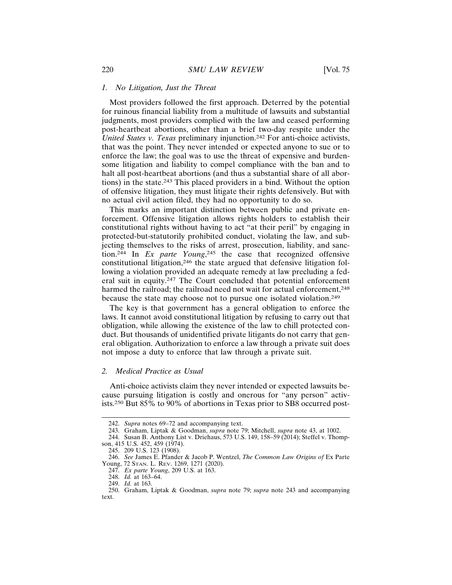#### *1. No Litigation, Just the Threat*

Most providers followed the first approach. Deterred by the potential for ruinous financial liability from a multitude of lawsuits and substantial judgments, most providers complied with the law and ceased performing post-heartbeat abortions, other than a brief two-day respite under the *United States v. Texas* preliminary injunction.242 For anti-choice activists, that was the point. They never intended or expected anyone to sue or to enforce the law; the goal was to use the threat of expensive and burdensome litigation and liability to compel compliance with the ban and to halt all post-heartbeat abortions (and thus a substantial share of all abortions) in the state.243 This placed providers in a bind. Without the option of offensive litigation, they must litigate their rights defensively. But with no actual civil action filed, they had no opportunity to do so.

This marks an important distinction between public and private enforcement. Offensive litigation allows rights holders to establish their constitutional rights without having to act "at their peril" by engaging in protected-but-statutorily prohibited conduct, violating the law, and subjecting themselves to the risks of arrest, prosecution, liability, and sanction.244 In *Ex parte Young*, 245 the case that recognized offensive constitutional litigation,246 the state argued that defensive litigation following a violation provided an adequate remedy at law precluding a federal suit in equity.247 The Court concluded that potential enforcement harmed the railroad; the railroad need not wait for actual enforcement,<sup>248</sup> because the state may choose not to pursue one isolated violation.<sup>249</sup>

The key is that government has a general obligation to enforce the laws. It cannot avoid constitutional litigation by refusing to carry out that obligation, while allowing the existence of the law to chill protected conduct. But thousands of unidentified private litigants do not carry that general obligation. Authorization to enforce a law through a private suit does not impose a duty to enforce that law through a private suit.

#### *2. Medical Practice as Usual*

Anti-choice activists claim they never intended or expected lawsuits because pursuing litigation is costly and onerous for "any person" activists.250 But 85% to 90% of abortions in Texas prior to SB8 occurred post-

<sup>242.</sup> *Supra* notes 69–72 and accompanying text.

<sup>243.</sup> Graham, Liptak & Goodman, *supra* note 79; Mitchell, *supra* note 43, at 1002.

<sup>244.</sup> Susan B. Anthony List v. Driehaus, 573 U.S. 149, 158–59 (2014); Steffel v. Thompson, 415 U.S. 452, 459 (1974).

<sup>245. 209</sup> U.S. 123 (1908).

<sup>246.</sup> *See* James E. Pfander & Jacob P. Wentzel, *The Common Law Origins of* Ex Parte Young, 72 STAN. L. REV. 1269, 1271 (2020).

<sup>247.</sup> *Ex parte Young*, 209 U.S. at 163.

<sup>248.</sup> *Id.* at 163–64.

<sup>249.</sup> *Id.* at 163.

<sup>250.</sup> Graham, Liptak & Goodman, *supra* note 79; *supra* note 243 and accompanying text.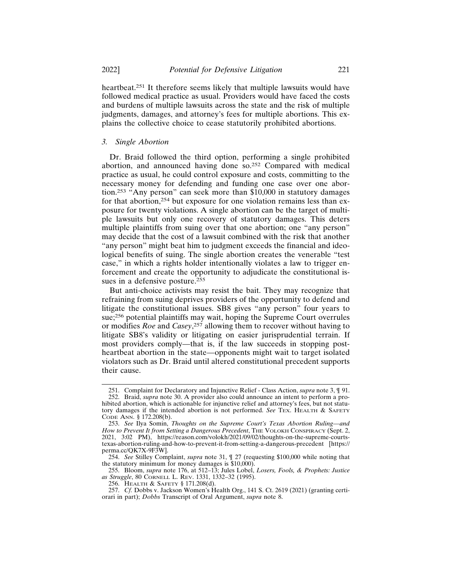heartbeat.251 It therefore seems likely that multiple lawsuits would have followed medical practice as usual. Providers would have faced the costs and burdens of multiple lawsuits across the state and the risk of multiple judgments, damages, and attorney's fees for multiple abortions. This explains the collective choice to cease statutorily prohibited abortions.

## *3. Single Abortion*

Dr. Braid followed the third option, performing a single prohibited abortion, and announced having done so.252 Compared with medical practice as usual, he could control exposure and costs, committing to the necessary money for defending and funding one case over one abortion.253 "Any person" can seek more than \$10,000 in statutory damages for that abortion,254 but exposure for one violation remains less than exposure for twenty violations. A single abortion can be the target of multiple lawsuits but only one recovery of statutory damages. This deters multiple plaintiffs from suing over that one abortion; one "any person" may decide that the cost of a lawsuit combined with the risk that another "any person" might beat him to judgment exceeds the financial and ideological benefits of suing. The single abortion creates the venerable "test case," in which a rights holder intentionally violates a law to trigger enforcement and create the opportunity to adjudicate the constitutional issues in a defensive posture.<sup>255</sup>

But anti-choice activists may resist the bait. They may recognize that refraining from suing deprives providers of the opportunity to defend and litigate the constitutional issues. SB8 gives "any person" four years to sue;256 potential plaintiffs may wait, hoping the Supreme Court overrules or modifies *Roe* and *Casey*, 257 allowing them to recover without having to litigate SB8's validity or litigating on easier jurisprudential terrain. If most providers comply—that is, if the law succeeds in stopping postheartbeat abortion in the state—opponents might wait to target isolated violators such as Dr. Braid until altered constitutional precedent supports their cause.

255. Bloom, *supra* note 176, at 512–13; Jules Lobel, *Losers, Fools, & Prophets: Justice as Struggle*, 80 CORNELL L. REV. 1331, 1332–32 (1995).

<sup>251.</sup> Complaint for Declaratory and Injunctive Relief - Class Action, *supra* note 3, ¶ 91.

<sup>252.</sup> Braid, *supra* note 30. A provider also could announce an intent to perform a prohibited abortion, which is actionable for injunctive relief and attorney's fees, but not statutory damages if the intended abortion is not performed. *See* TEX. HEALTH & SAFETY CODE ANN. § 172.208(b).

<sup>253.</sup> *See* Ilya Somin, *Thoughts on the Supreme Court's Texas Abortion Ruling—and* How to Prevent It from Setting a Dangerous Precedent, THE VOLOKH CONSPIRACY (Sept. 2, 2021, 3:02 PM), https://reason.com/volokh/2021/09/02/thoughts-on-the-supreme-courtstexas-abortion-ruling-and-how-to-prevent-it-from-setting-a-dangerous-precedent [https:// perma.cc/QK7X-9F3W].

<sup>254.</sup> *See* Stilley Complaint, *supra* note 31, ¶ 27 (requesting \$100,000 while noting that the statutory minimum for money damages is \$10,000).

<sup>256.</sup> HEALTH & SAFETY § 171.208(d).

<sup>257.</sup> *Cf.* Dobbs v. Jackson Women's Health Org., 141 S. Ct. 2619 (2021) (granting certiorari in part); *Dobbs* Transcript of Oral Argument, *supra* note 8.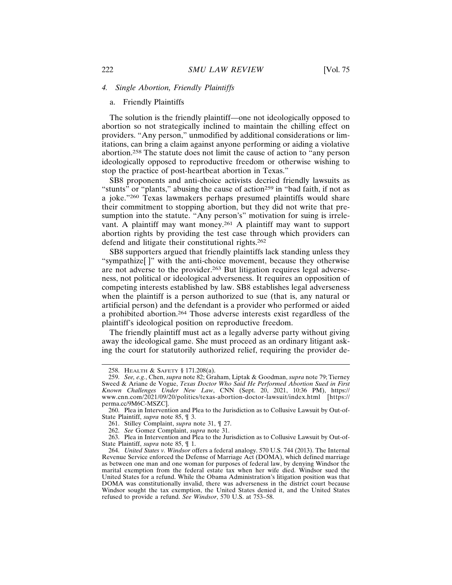#### a. Friendly Plaintiffs

The solution is the friendly plaintiff—one not ideologically opposed to abortion so not strategically inclined to maintain the chilling effect on providers. "Any person," unmodified by additional considerations or limitations, can bring a claim against anyone performing or aiding a violative abortion.258 The statute does not limit the cause of action to "any person ideologically opposed to reproductive freedom or otherwise wishing to stop the practice of post-heartbeat abortion in Texas."

SB8 proponents and anti-choice activists decried friendly lawsuits as "stunts" or "plants," abusing the cause of action<sup>259</sup> in "bad faith, if not as a joke."260 Texas lawmakers perhaps presumed plaintiffs would share their commitment to stopping abortion, but they did not write that presumption into the statute. "Any person's" motivation for suing is irrelevant. A plaintiff may want money.261 A plaintiff may want to support abortion rights by providing the test case through which providers can defend and litigate their constitutional rights.<sup>262</sup>

SB8 supporters argued that friendly plaintiffs lack standing unless they "sympathize[ ]" with the anti-choice movement, because they otherwise are not adverse to the provider.263 But litigation requires legal adverseness, not political or ideological adverseness. It requires an opposition of competing interests established by law. SB8 establishes legal adverseness when the plaintiff is a person authorized to sue (that is, any natural or artificial person) and the defendant is a provider who performed or aided a prohibited abortion.264 Those adverse interests exist regardless of the plaintiff's ideological position on reproductive freedom.

The friendly plaintiff must act as a legally adverse party without giving away the ideological game. She must proceed as an ordinary litigant asking the court for statutorily authorized relief, requiring the provider de-

<sup>258.</sup> HEALTH & SAFETY § 171.208(a).

<sup>259.</sup> *See, e.g.*, Chen, *supra* note 82; Graham, Liptak & Goodman, *supra* note 79; Tierney Sweed & Ariane de Vogue, *Texas Doctor Who Said He Performed Abortion Sued in First Known Challenges Under New Law*, CNN (Sept. 20, 2021, 10:36 PM), https:// www.cnn.com/2021/09/20/politics/texas-abortion-doctor-lawsuit/index.html [https:// perma.cc/9M6C-MSZC].

<sup>260.</sup> Plea in Intervention and Plea to the Jurisdiction as to Collusive Lawsuit by Out-of-State Plaintiff, *supra* note 85, ¶ 3.

<sup>261.</sup> Stilley Complaint, *supra* note 31, ¶ 27.

<sup>262.</sup> *See* Gomez Complaint, *supra* note 31.

<sup>263.</sup> Plea in Intervention and Plea to the Jurisdiction as to Collusive Lawsuit by Out-of-State Plaintiff, *supra* note 85, ¶ 1.

<sup>264.</sup> *United States v. Windsor* offers a federal analogy. 570 U.S. 744 (2013). The Internal Revenue Service enforced the Defense of Marriage Act (DOMA), which defined marriage as between one man and one woman for purposes of federal law, by denying Windsor the marital exemption from the federal estate tax when her wife died. Windsor sued the United States for a refund. While the Obama Administration's litigation position was that DOMA was constitutionally invalid, there was adverseness in the district court because Windsor sought the tax exemption, the United States denied it, and the United States refused to provide a refund. *See Windsor*, 570 U.S. at 753–58.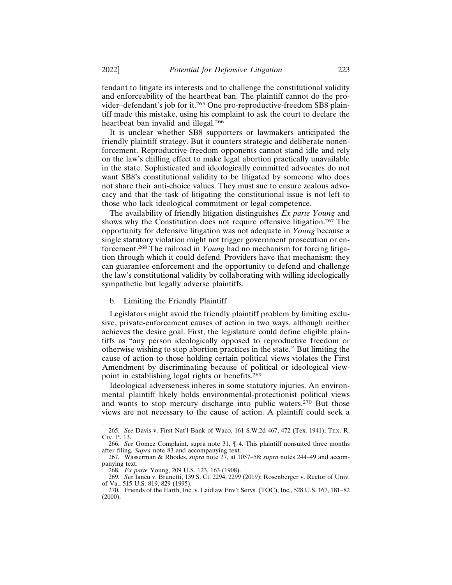fendant to litigate its interests and to challenge the constitutional validity and enforceability of the heartbeat ban. The plaintiff cannot do the provider–defendant's job for it.265 One pro-reproductive-freedom SB8 plaintiff made this mistake, using his complaint to ask the court to declare the heartbeat ban invalid and illegal.<sup>266</sup>

It is unclear whether SB8 supporters or lawmakers anticipated the friendly plaintiff strategy. But it counters strategic and deliberate nonenforcement. Reproductive-freedom opponents cannot stand idle and rely on the law's chilling effect to make legal abortion practically unavailable in the state. Sophisticated and ideologically committed advocates do not want SB8's constitutional validity to be litigated by someone who does not share their anti-choice values. They must sue to ensure zealous advocacy and that the task of litigating the constitutional issue is not left to those who lack ideological commitment or legal competence.

The availability of friendly litigation distinguishes *Ex parte Young* and shows why the Constitution does not require offensive litigation.267 The opportunity for defensive litigation was not adequate in *Young* because a single statutory violation might not trigger government prosecution or enforcement.268 The railroad in *Young* had no mechanism for forcing litigation through which it could defend. Providers have that mechanism; they can guarantee enforcement and the opportunity to defend and challenge the law's constitutional validity by collaborating with willing ideologically sympathetic but legally adverse plaintiffs.

## b. Limiting the Friendly Plaintiff

Legislators might avoid the friendly plaintiff problem by limiting exclusive, private-enforcement causes of action in two ways, although neither achieves the desire goal. First, the legislature could define eligible plaintiffs as "any person ideologically opposed to reproductive freedom or otherwise wishing to stop abortion practices in the state." But limiting the cause of action to those holding certain political views violates the First Amendment by discriminating because of political or ideological viewpoint in establishing legal rights or benefits.<sup>269</sup>

Ideological adverseness inheres in some statutory injuries. An environmental plaintiff likely holds environmental-protectionist political views and wants to stop mercury discharge into public waters.270 But those views are not necessary to the cause of action. A plaintiff could seek a

<sup>265.</sup> *See* Davis v. First Nat'l Bank of Waco, 161 S.W.2d 467, 472 (Tex. 1941); TEX. R. CIV. P. 13.

<sup>266.</sup> *See* Gomez Complaint, supra note 31, ¶ 4. This plaintiff nonsuited three months after filing. *Supra* note 83 and accompanying text.

<sup>267.</sup> Wasserman & Rhodes, *supra* note 27, at 1057–58; *supra* notes 244–49 and accompanying text.

<sup>268.</sup> *Ex parte* Young, 209 U.S. 123, 163 (1908).

<sup>269.</sup> *See* Iancu v. Brunetti, 139 S. Ct. 2294, 2299 (2019); Rosenberger v. Rector of Univ. of Va., 515 U.S. 819, 829 (1995).

<sup>270.</sup> Friends of the Earth, Inc. v. Laidlaw Env't Servs. (TOC), Inc., 528 U.S. 167, 181–82 (2000).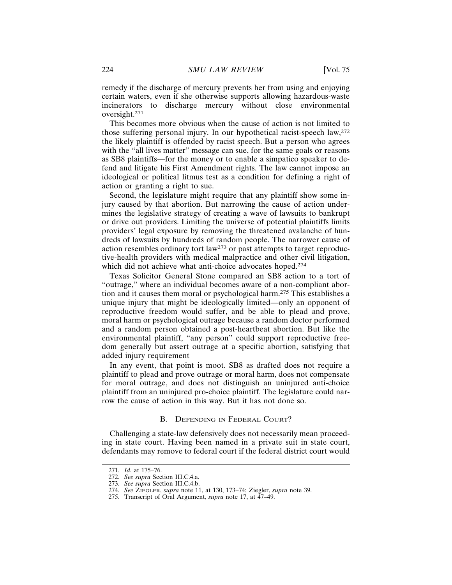remedy if the discharge of mercury prevents her from using and enjoying certain waters, even if she otherwise supports allowing hazardous-waste incinerators to discharge mercury without close environmental oversight.271

This becomes more obvious when the cause of action is not limited to those suffering personal injury. In our hypothetical racist-speech law,<sup>272</sup> the likely plaintiff is offended by racist speech. But a person who agrees with the "all lives matter" message can sue, for the same goals or reasons as SB8 plaintiffs—for the money or to enable a simpatico speaker to defend and litigate his First Amendment rights. The law cannot impose an ideological or political litmus test as a condition for defining a right of action or granting a right to sue.

Second, the legislature might require that any plaintiff show some injury caused by that abortion. But narrowing the cause of action undermines the legislative strategy of creating a wave of lawsuits to bankrupt or drive out providers. Limiting the universe of potential plaintiffs limits providers' legal exposure by removing the threatened avalanche of hundreds of lawsuits by hundreds of random people. The narrower cause of action resembles ordinary tort law<sup>273</sup> or past attempts to target reproductive-health providers with medical malpractice and other civil litigation, which did not achieve what anti-choice advocates hoped.<sup>274</sup>

Texas Solicitor General Stone compared an SB8 action to a tort of "outrage," where an individual becomes aware of a non-compliant abortion and it causes them moral or psychological harm.275 This establishes a unique injury that might be ideologically limited—only an opponent of reproductive freedom would suffer, and be able to plead and prove, moral harm or psychological outrage because a random doctor performed and a random person obtained a post-heartbeat abortion. But like the environmental plaintiff, "any person" could support reproductive freedom generally but assert outrage at a specific abortion, satisfying that added injury requirement

In any event, that point is moot. SB8 as drafted does not require a plaintiff to plead and prove outrage or moral harm, does not compensate for moral outrage, and does not distinguish an uninjured anti-choice plaintiff from an uninjured pro-choice plaintiff. The legislature could narrow the cause of action in this way. But it has not done so.

#### B. DEFENDING IN FEDERAL COURT?

Challenging a state-law defensively does not necessarily mean proceeding in state court. Having been named in a private suit in state court, defendants may remove to federal court if the federal district court would

<sup>271.</sup> *Id.* at 175–76.

<sup>272.</sup> *See supra* Section III.C.4.a.

<sup>273.</sup> *See supra* Section III.C.4.b.

<sup>274.</sup> *See* ZIEGLER, *supra* note 11, at 130, 173–74; Ziegler, *supra* note 39.

<sup>275.</sup> Transcript of Oral Argument, *supra* note 17, at  $\overline{47}$ –49.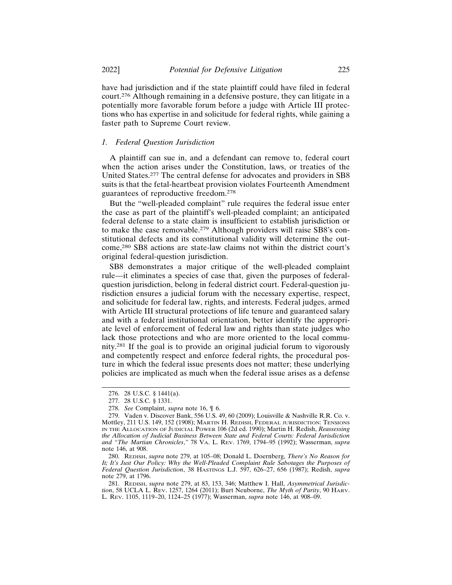have had jurisdiction and if the state plaintiff could have filed in federal court.276 Although remaining in a defensive posture, they can litigate in a potentially more favorable forum before a judge with Article III protections who has expertise in and solicitude for federal rights, while gaining a faster path to Supreme Court review.

## *1. Federal Question Jurisdiction*

A plaintiff can sue in, and a defendant can remove to, federal court when the action arises under the Constitution, laws, or treaties of the United States.277 The central defense for advocates and providers in SB8 suits is that the fetal-heartbeat provision violates Fourteenth Amendment guarantees of reproductive freedom.<sup>278</sup>

But the "well-pleaded complaint" rule requires the federal issue enter the case as part of the plaintiff's well-pleaded complaint; an anticipated federal defense to a state claim is insufficient to establish jurisdiction or to make the case removable.279 Although providers will raise SB8's constitutional defects and its constitutional validity will determine the outcome,280 SB8 actions are state-law claims not within the district court's original federal-question jurisdiction.

SB8 demonstrates a major critique of the well-pleaded complaint rule—it eliminates a species of case that, given the purposes of federalquestion jurisdiction, belong in federal district court. Federal-question jurisdiction ensures a judicial forum with the necessary expertise, respect, and solicitude for federal law, rights, and interests. Federal judges, armed with Article III structural protections of life tenure and guaranteed salary and with a federal institutional orientation, better identify the appropriate level of enforcement of federal law and rights than state judges who lack those protections and who are more oriented to the local community.281 If the goal is to provide an original judicial forum to vigorously and competently respect and enforce federal rights, the procedural posture in which the federal issue presents does not matter; these underlying policies are implicated as much when the federal issue arises as a defense

<sup>276. 28</sup> U.S.C. § 1441(a).

<sup>277. 28</sup> U.S.C. § 1331.

<sup>278.</sup> *See* Complaint, *supra* note 16, ¶ 6.

<sup>279.</sup> Vaden v. Discover Bank, 556 U.S. 49, 60 (2009); Louisville & Nashville R.R. Co. v. Mottley, 211 U.S. 149, 152 (1908); MARTIN H. REDISH, FEDERAL JURISDICTION: TENSIONS IN THE ALLOCATION OF JUDICIAL POWER 106 (2d ed. 1990); Martin H. Redish, *Reassessing the Allocation of Judicial Business Between State and Federal Courts: Federal Jurisdiction and "The Martian Chronicles*,*"* 78 VA. L. REV. 1769, 1794–95 (1992); Wasserman, *supra* note 146, at 908.

<sup>280.</sup> REDISH, *supra* note 279, at 105–08; Donald L. Doernberg, *There's No Reason for It; It's Just Our Policy: Why the Well-Pleaded Complaint Rule Sabotages the Purposes of Federal Question Jurisdiction*, 38 HASTINGS L.J. 597, 626–27, 656 (1987); Redish, *supra* note 279, at 1796.

<sup>281.</sup> REDISH, *supra* note 279, at 83, 153, 346; Matthew I. Hall, *Asymmetrical Jurisdiction*, 58 UCLA L. REV. 1257, 1264 (2011); Burt Neuborne, *The Myth of Parity*, 90 HARV. L. REV. 1105, 1119–20, 1124–25 (1977); Wasserman, *supra* note 146, at 908–09.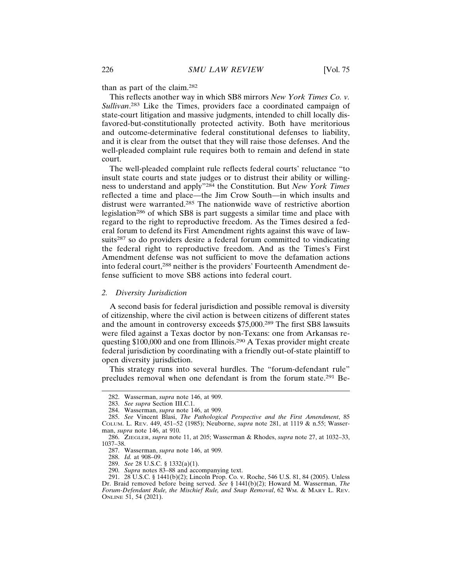than as part of the claim.<sup>282</sup>

This reflects another way in which SB8 mirrors *New York Times Co. v. Sullivan*. 283 Like the Times, providers face a coordinated campaign of state-court litigation and massive judgments, intended to chill locally disfavored-but-constitutionally protected activity. Both have meritorious and outcome-determinative federal constitutional defenses to liability, and it is clear from the outset that they will raise those defenses. And the well-pleaded complaint rule requires both to remain and defend in state court.

The well-pleaded complaint rule reflects federal courts' reluctance "to insult state courts and state judges or to distrust their ability or willingness to understand and apply"284 the Constitution. But *New York Times* reflected a time and place—the Jim Crow South—in which insults and distrust were warranted.285 The nationwide wave of restrictive abortion legislation286 of which SB8 is part suggests a similar time and place with regard to the right to reproductive freedom. As the Times desired a federal forum to defend its First Amendment rights against this wave of lawsuits<sup>287</sup> so do providers desire a federal forum committed to vindicating the federal right to reproductive freedom. And as the Times's First Amendment defense was not sufficient to move the defamation actions into federal court,<sup>288</sup> neither is the providers' Fourteenth Amendment defense sufficient to move SB8 actions into federal court.

#### *2. Diversity Jurisdiction*

A second basis for federal jurisdiction and possible removal is diversity of citizenship, where the civil action is between citizens of different states and the amount in controversy exceeds \$75,000.289 The first SB8 lawsuits were filed against a Texas doctor by non-Texans: one from Arkansas requesting \$100,000 and one from Illinois.290 A Texas provider might create federal jurisdiction by coordinating with a friendly out-of-state plaintiff to open diversity jurisdiction.

This strategy runs into several hurdles. The "forum-defendant rule" precludes removal when one defendant is from the forum state.291 Be-

<sup>282.</sup> Wasserman, *supra* note 146, at 909.

<sup>283.</sup> *See supra* Section III.C.1.

<sup>284.</sup> Wasserman, *supra* note 146, at 909.

<sup>285.</sup> *See* Vincent Blasi, *The Pathological Perspective and the First Amendment*, 85 COLUM. L. REV. 449, 451–52 (1985); Neuborne, *supra* note 281, at 1119 & n.55; Wasserman, *supra* note 146, at 910.

<sup>286.</sup> ZIEGLER, *supra* note 11, at 205; Wasserman & Rhodes, *supra* note 27, at 1032–33, 1037–38.

<sup>287.</sup> Wasserman, *supra* note 146, at 909.

<sup>288.</sup> *Id.* at 908–09.

<sup>289.</sup> *See* 28 U.S.C. § 1332(a)(1).

<sup>290.</sup> *Supra* notes 83–88 and accompanying text.

<sup>291. 28</sup> U.S.C. § 1441(b)(2); Lincoln Prop. Co. v. Roche, 546 U.S. 81, 84 (2005). Unless Dr. Braid removed before being served. *See* § 1441(b)(2); Howard M. Wasserman, *The Forum-Defendant Rule, the Mischief Rule, and Snap Removal*, 62 WM. & MARY L. REV. ONLINE 51, 54 (2021).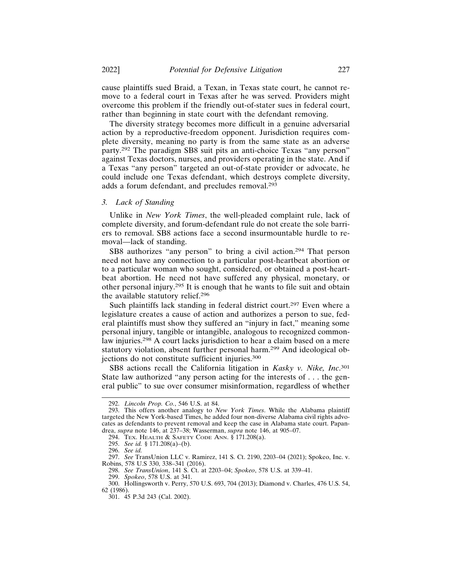cause plaintiffs sued Braid, a Texan, in Texas state court, he cannot remove to a federal court in Texas after he was served. Providers might overcome this problem if the friendly out-of-stater sues in federal court, rather than beginning in state court with the defendant removing.

The diversity strategy becomes more difficult in a genuine adversarial action by a reproductive-freedom opponent. Jurisdiction requires complete diversity, meaning no party is from the same state as an adverse party.292 The paradigm SB8 suit pits an anti-choice Texas "any person" against Texas doctors, nurses, and providers operating in the state. And if a Texas "any person" targeted an out-of-state provider or advocate, he could include one Texas defendant, which destroys complete diversity, adds a forum defendant, and precludes removal.<sup>293</sup>

#### *3. Lack of Standing*

Unlike in *New York Times*, the well-pleaded complaint rule, lack of complete diversity, and forum-defendant rule do not create the sole barriers to removal. SB8 actions face a second insurmountable hurdle to removal—lack of standing.

SB8 authorizes "any person" to bring a civil action.<sup>294</sup> That person need not have any connection to a particular post-heartbeat abortion or to a particular woman who sought, considered, or obtained a post-heartbeat abortion. He need not have suffered any physical, monetary, or other personal injury.295 It is enough that he wants to file suit and obtain the available statutory relief.<sup>296</sup>

Such plaintiffs lack standing in federal district court.<sup>297</sup> Even where a legislature creates a cause of action and authorizes a person to sue, federal plaintiffs must show they suffered an "injury in fact," meaning some personal injury, tangible or intangible, analogous to recognized commonlaw injuries.298 A court lacks jurisdiction to hear a claim based on a mere statutory violation, absent further personal harm.299 And ideological objections do not constitute sufficient injuries.<sup>300</sup>

SB8 actions recall the California litigation in *Kasky v. Nike, Inc*. 301 State law authorized "any person acting for the interests of . . . the general public" to sue over consumer misinformation, regardless of whether

<sup>292.</sup> *Lincoln Prop. Co.*, 546 U.S. at 84.

<sup>293.</sup> This offers another analogy to *New York Times*. While the Alabama plaintiff targeted the New York-based Times, he added four non-diverse Alabama civil rights advocates as defendants to prevent removal and keep the case in Alabama state court. Papandrea, *supra* note 146, at 237–38; Wasserman, *supra* note 146, at 905–07.

<sup>294.</sup> TEX. HEALTH & SAFETY CODE ANN. § 171.208(a).

<sup>295.</sup> *See id.* § 171.208(a)–(b).

<sup>296.</sup> *See id.*

<sup>297.</sup> *See* TransUnion LLC v. Ramirez, 141 S. Ct. 2190, 2203–04 (2021); Spokeo, Inc. v. Robins, 578 U.S 330, 338–341 (2016).

<sup>298.</sup> *See TransUnion*, 141 S. Ct. at 2203–04; *Spokeo*, 578 U.S. at 339–41.

<sup>299.</sup> *Spokeo*, 578 U.S. at 341.

<sup>300.</sup> Hollingsworth v. Perry, 570 U.S. 693, 704 (2013); Diamond v. Charles, 476 U.S. 54,

<sup>62 (1986).</sup>

<sup>301. 45</sup> P.3d 243 (Cal. 2002).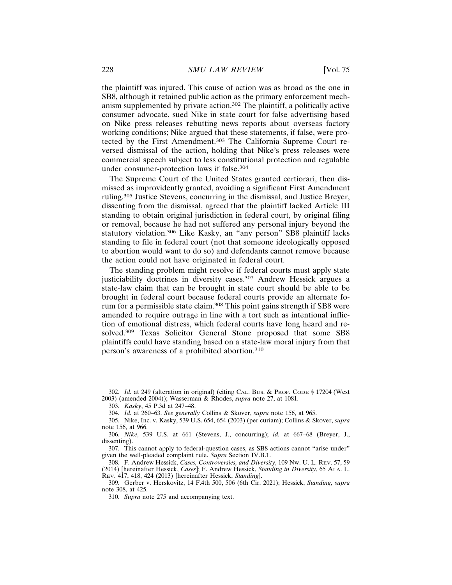the plaintiff was injured. This cause of action was as broad as the one in SB8, although it retained public action as the primary enforcement mechanism supplemented by private action.302 The plaintiff, a politically active consumer advocate, sued Nike in state court for false advertising based on Nike press releases rebutting news reports about overseas factory working conditions; Nike argued that these statements, if false, were protected by the First Amendment.303 The California Supreme Court reversed dismissal of the action, holding that Nike's press releases were commercial speech subject to less constitutional protection and regulable under consumer-protection laws if false.<sup>304</sup>

The Supreme Court of the United States granted certiorari, then dismissed as improvidently granted, avoiding a significant First Amendment ruling.305 Justice Stevens, concurring in the dismissal, and Justice Breyer, dissenting from the dismissal, agreed that the plaintiff lacked Article III standing to obtain original jurisdiction in federal court, by original filing or removal, because he had not suffered any personal injury beyond the statutory violation.306 Like Kasky, an "any person" SB8 plaintiff lacks standing to file in federal court (not that someone ideologically opposed to abortion would want to do so) and defendants cannot remove because the action could not have originated in federal court.

The standing problem might resolve if federal courts must apply state justiciability doctrines in diversity cases.<sup>307</sup> Andrew Hessick argues a state-law claim that can be brought in state court should be able to be brought in federal court because federal courts provide an alternate forum for a permissible state claim.308 This point gains strength if SB8 were amended to require outrage in line with a tort such as intentional infliction of emotional distress, which federal courts have long heard and resolved.309 Texas Solicitor General Stone proposed that some SB8 plaintiffs could have standing based on a state-law moral injury from that person's awareness of a prohibited abortion.<sup>310</sup>

<sup>302.</sup> *Id.* at 249 (alteration in original) (citing CAL. BUS. & PROF. CODE § 17204 (West 2003) (amended 2004)); Wasserman & Rhodes, *supra* note 27, at 1081.

<sup>303.</sup> *Kasky*, 45 P.3d at 247–48.

<sup>304.</sup> *Id.* at 260–63. *See generally* Collins & Skover, *supra* note 156, at 965.

<sup>305.</sup> Nike, Inc. v. Kasky, 539 U.S. 654, 654 (2003) (per curiam); Collins & Skover, *supra* note 156, at 966.

<sup>306.</sup> *Nike*, 539 U.S. at 661 (Stevens, J., concurring); *id.* at 667–68 (Breyer, J., dissenting).

<sup>307.</sup> This cannot apply to federal-question cases, as SB8 actions cannot "arise under" given the well-pleaded complaint rule. *Supra* Section IV.B.1.

<sup>308.</sup> F. Andrew Hessick, *Cases, Controversies, and Diversity*, 109 NW. U. L. REV. 57, 59 (2014) [hereinafter Hessick, *Cases*]; F. Andrew Hessick, *Standing in Diversity*, 65 ALA. L. REV. 417, 418, 424 (2013) [hereinafter Hessick, *Standing*].

<sup>309.</sup> Gerber v. Herskovitz, 14 F.4th 500, 506 (6th Cir. 2021); Hessick, *Standing*, *supra* note 308, at 425.

<sup>310.</sup> *Supra* note 275 and accompanying text.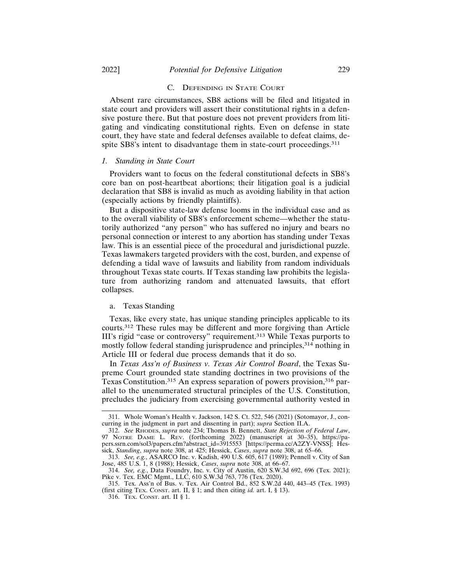#### C. DEFENDING IN STATE COURT

Absent rare circumstances, SB8 actions will be filed and litigated in state court and providers will assert their constitutional rights in a defensive posture there. But that posture does not prevent providers from litigating and vindicating constitutional rights. Even on defense in state court, they have state and federal defenses available to defeat claims, despite SB8's intent to disadvantage them in state-court proceedings.<sup>311</sup>

#### *1. Standing in State Court*

Providers want to focus on the federal constitutional defects in SB8's core ban on post-heartbeat abortions; their litigation goal is a judicial declaration that SB8 is invalid as much as avoiding liability in that action (especially actions by friendly plaintiffs).

But a dispositive state-law defense looms in the individual case and as to the overall viability of SB8's enforcement scheme—whether the statutorily authorized "any person" who has suffered no injury and bears no personal connection or interest to any abortion has standing under Texas law. This is an essential piece of the procedural and jurisdictional puzzle. Texas lawmakers targeted providers with the cost, burden, and expense of defending a tidal wave of lawsuits and liability from random individuals throughout Texas state courts. If Texas standing law prohibits the legislature from authorizing random and attenuated lawsuits, that effort collapses.

#### a. Texas Standing

Texas, like every state, has unique standing principles applicable to its courts.312 These rules may be different and more forgiving than Article III's rigid "case or controversy" requirement.313 While Texas purports to mostly follow federal standing jurisprudence and principles,<sup>314</sup> nothing in Article III or federal due process demands that it do so.

In *Texas Ass'n of Business v. Texas Air Control Board*, the Texas Supreme Court grounded state standing doctrines in two provisions of the Texas Constitution.<sup>315</sup> An express separation of powers provision,<sup>316</sup> parallel to the unenumerated structural principles of the U.S. Constitution, precludes the judiciary from exercising governmental authority vested in

<sup>311.</sup> Whole Woman's Health v. Jackson, 142 S. Ct. 522, 546 (2021) (Sotomayor, J., concurring in the judgment in part and dissenting in part); *supra* Section II.A.

<sup>312.</sup> *See* RHODES, *supra* note 234; Thomas B. Bennett, *State Rejection of Federal Law*, 97 NOTRE DAME L. REV. (forthcoming 2022) (manuscript at 30–35), https://papers.ssrn.com/sol3/papers.cfm?abstract\_id=3915553 [https://perma.cc/A2ZY-VNSS]; Hessick, *Standing*, *supra* note 308, at 425; Hessick, *Cases*, *supra* note 308, at 65–66.

<sup>313.</sup> *See, e.g.*, ASARCO Inc. v. Kadish, 490 U.S. 605, 617 (1989); Pennell v. City of San Jose, 485 U.S. 1, 8 (1988); Hessick, *Cases*, *supra* note 308, at 66–67.

<sup>314.</sup> *See, e.g.*, Data Foundry, Inc. v. City of Austin, 620 S.W.3d 692, 696 (Tex. 2021); Pike v. Tex. EMC Mgmt., LLC, 610 S.W.3d 763, 776 (Tex. 2020).

<sup>315.</sup> Tex. Ass'n of Bus. v. Tex. Air Control Bd., 852 S.W.2d 440, 443–45 (Tex. 1993) (first citing TEX. CONST. art. II, § 1; and then citing *id.* art. I, § 13).

<sup>316.</sup> TEX. CONST. art. II § 1.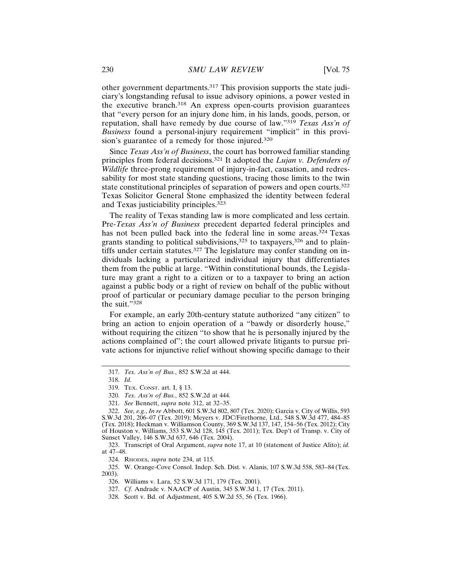other government departments.317 This provision supports the state judiciary's longstanding refusal to issue advisory opinions, a power vested in the executive branch.318 An express open-courts provision guarantees that "every person for an injury done him, in his lands, goods, person, or reputation, shall have remedy by due course of law."<sup>319</sup> *Texas Ass'n of Business* found a personal-injury requirement "implicit" in this provision's guarantee of a remedy for those injured.<sup>320</sup>

Since *Texas Ass'n of Business*, the court has borrowed familiar standing principles from federal decisions.321 It adopted the *Lujan v. Defenders of Wildlife* three-prong requirement of injury-in-fact, causation, and redressability for most state standing questions, tracing those limits to the twin state constitutional principles of separation of powers and open courts.<sup>322</sup> Texas Solicitor General Stone emphasized the identity between federal and Texas justiciability principles.<sup>323</sup>

The reality of Texas standing law is more complicated and less certain. Pre-*Texas Ass'n of Business* precedent departed federal principles and has not been pulled back into the federal line in some areas.<sup>324</sup> Texas grants standing to political subdivisions,<sup>325</sup> to taxpayers,<sup>326</sup> and to plaintiffs under certain statutes.<sup>327</sup> The legislature may confer standing on individuals lacking a particularized individual injury that differentiates them from the public at large. "Within constitutional bounds, the Legislature may grant a right to a citizen or to a taxpayer to bring an action against a public body or a right of review on behalf of the public without proof of particular or pecuniary damage peculiar to the person bringing the suit."<sup>328</sup>

For example, an early 20th-century statute authorized "any citizen" to bring an action to enjoin operation of a "bawdy or disorderly house," without requiring the citizen "to show that he is personally injured by the actions complained of"; the court allowed private litigants to pursue private actions for injunctive relief without showing specific damage to their

<sup>317.</sup> *Tex. Ass'n of Bus.*, 852 S.W.2d at 444.

<sup>318.</sup> *Id.*

<sup>319.</sup> TEX. CONST. art. I, § 13.

<sup>320.</sup> *Tex. Ass'n of Bus.*, 852 S.W.2d at 444.

<sup>321.</sup> *See* Bennett, *supra* note 312, at 32–35.

<sup>322.</sup> *See, e.g.*, *In re* Abbott, 601 S.W.3d 802, 807 (Tex. 2020); Garcia v. City of Willis, 593 S.W.3d 201, 206–07 (Tex. 2019); Meyers v. JDC/Firethorne, Ltd., 548 S.W.3d 477, 484–85 (Tex. 2018); Heckman v. Williamson County, 369 S.W.3d 137, 147, 154–56 (Tex. 2012); City of Houston v. Williams, 353 S.W.3d 128, 145 (Tex. 2011); Tex. Dep't of Transp. v. City of Sunset Valley, 146 S.W.3d 637, 646 (Tex. 2004).

<sup>323.</sup> Transcript of Oral Argument, *supra* note 17, at 10 (statement of Justice Alito); *id.* at 47–48.

<sup>324.</sup> RHODES, *supra* note 234, at 115.

<sup>325.</sup> W. Orange-Cove Consol. Indep. Sch. Dist. v. Alanis, 107 S.W.3d 558, 583–84 (Tex. 2003).

<sup>326.</sup> Williams v. Lara, 52 S.W.3d 171, 179 (Tex. 2001).

<sup>327.</sup> *Cf.* Andrade v. NAACP of Austin, 345 S.W.3d 1, 17 (Tex. 2011).

<sup>328.</sup> Scott v. Bd. of Adjustment, 405 S.W.2d 55, 56 (Tex. 1966).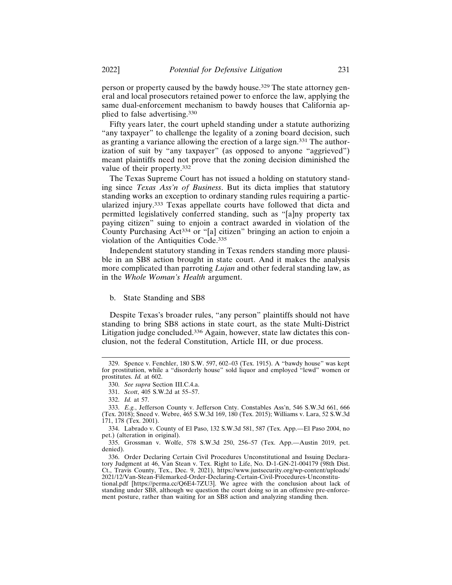person or property caused by the bawdy house.329 The state attorney general and local prosecutors retained power to enforce the law, applying the same dual-enforcement mechanism to bawdy houses that California applied to false advertising.<sup>330</sup>

Fifty years later, the court upheld standing under a statute authorizing "any taxpayer" to challenge the legality of a zoning board decision, such as granting a variance allowing the erection of a large sign.331 The authorization of suit by "any taxpayer" (as opposed to anyone "aggrieved") meant plaintiffs need not prove that the zoning decision diminished the value of their property.<sup>332</sup>

The Texas Supreme Court has not issued a holding on statutory standing since *Texas Ass'n of Business*. But its dicta implies that statutory standing works an exception to ordinary standing rules requiring a particularized injury.333 Texas appellate courts have followed that dicta and permitted legislatively conferred standing, such as "[a]ny property tax paying citizen" suing to enjoin a contract awarded in violation of the County Purchasing Act334 or "[a] citizen" bringing an action to enjoin a violation of the Antiquities Code.<sup>335</sup>

Independent statutory standing in Texas renders standing more plausible in an SB8 action brought in state court. And it makes the analysis more complicated than parroting *Lujan* and other federal standing law, as in the *Whole Woman's Health* argument.

#### b. State Standing and SB8

Despite Texas's broader rules, "any person" plaintiffs should not have standing to bring SB8 actions in state court, as the state Multi-District Litigation judge concluded.<sup>336</sup> Again, however, state law dictates this conclusion, not the federal Constitution, Article III, or due process.

<sup>329.</sup> Spence v. Fenchler, 180 S.W. 597, 602–03 (Tex. 1915). A "bawdy house" was kept for prostitution, while a "disorderly house" sold liquor and employed "lewd" women or prostitutes. *Id.* at 602.

<sup>330.</sup> *See supra* Section III.C.4.a.

<sup>331.</sup> *Scott*, 405 S.W.2d at 55–57.

<sup>332.</sup> *Id.* at 57.

<sup>333.</sup> *E.g.*, Jefferson County v. Jefferson Cnty. Constables Ass'n, 546 S.W.3d 661, 666 (Tex. 2018); Sneed v. Webre, 465 S.W.3d 169, 180 (Tex. 2015); Williams v. Lara, 52 S.W.3d 171, 178 (Tex. 2001).

<sup>334.</sup> Labrado v. County of El Paso, 132 S.W.3d 581, 587 (Tex. App.—El Paso 2004, no pet.) (alteration in original).

<sup>335.</sup> Grossman v. Wolfe, 578 S.W.3d 250, 256–57 (Tex. App.—Austin 2019, pet. denied).

<sup>336.</sup> Order Declaring Certain Civil Procedures Unconstitutional and Issuing Declaratory Judgment at 46, Van Stean v. Tex. Right to Life, No. D-1-GN-21-004179 (98th Dist. Ct., Travis County, Tex., Dec. 9, 2021), https://www.justsecurity.org/wp-content/uploads/ 2021/12/Van-Stean-Filemarked-Order-Declaring-Certain-Civil-Procedures-Unconstitutional.pdf [https://perma.cc/Q6E4-7ZU3]. We agree with the conclusion about lack of

standing under SB8, although we question the court doing so in an offensive pre-enforcement posture, rather than waiting for an SB8 action and analyzing standing then.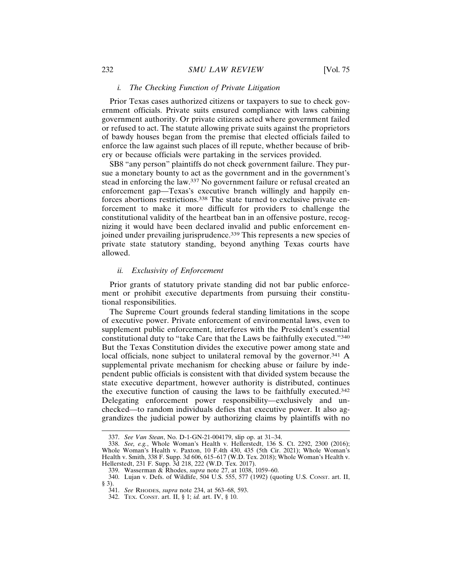#### *i. The Checking Function of Private Litigation*

Prior Texas cases authorized citizens or taxpayers to sue to check government officials. Private suits ensured compliance with laws cabining government authority. Or private citizens acted where government failed or refused to act. The statute allowing private suits against the proprietors of bawdy houses began from the premise that elected officials failed to enforce the law against such places of ill repute, whether because of bribery or because officials were partaking in the services provided.

SB8 "any person" plaintiffs do not check government failure. They pursue a monetary bounty to act as the government and in the government's stead in enforcing the law.337 No government failure or refusal created an enforcement gap—Texas's executive branch willingly and happily enforces abortions restrictions.338 The state turned to exclusive private enforcement to make it more difficult for providers to challenge the constitutional validity of the heartbeat ban in an offensive posture, recognizing it would have been declared invalid and public enforcement enjoined under prevailing jurisprudence.<sup>339</sup> This represents a new species of private state statutory standing, beyond anything Texas courts have allowed.

## *ii. Exclusivity of Enforcement*

Prior grants of statutory private standing did not bar public enforcement or prohibit executive departments from pursuing their constitutional responsibilities.

The Supreme Court grounds federal standing limitations in the scope of executive power. Private enforcement of environmental laws, even to supplement public enforcement, interferes with the President's essential constitutional duty to "take Care that the Laws be faithfully executed."<sup>340</sup> But the Texas Constitution divides the executive power among state and local officials, none subject to unilateral removal by the governor.<sup>341</sup> A supplemental private mechanism for checking abuse or failure by independent public officials is consistent with that divided system because the state executive department, however authority is distributed, continues the executive function of causing the laws to be faithfully executed.<sup>342</sup> Delegating enforcement power responsibility—exclusively and unchecked—to random individuals defies that executive power. It also aggrandizes the judicial power by authorizing claims by plaintiffs with no

<sup>337.</sup> *See Van Stean*, No. D-1-GN-21-004179, slip op. at 31–34.

<sup>338.</sup> *See, e.g.*, Whole Woman's Health v. Hellerstedt, 136 S. Ct. 2292, 2300 (2016); Whole Woman's Health v. Paxton, 10 F.4th 430, 435 (5th Cir. 2021); Whole Woman's Health v. Smith, 338 F. Supp. 3d 606, 615–617 (W.D. Tex. 2018); Whole Woman's Health v. Hellerstedt, 231 F. Supp. 3d 218, 222 (W.D. Tex. 2017).

<sup>339.</sup> Wasserman & Rhodes, *supra* note 27, at 1038, 1059–60.

<sup>340.</sup> Lujan v. Defs. of Wildlife, 504 U.S. 555, 577 (1992) (quoting U.S. CONST. art. II, § 3).

<sup>341.</sup> *See* RHODES, *supra* note 234, at 563–68, 593.

<sup>342.</sup> TEX. CONST. art. II, § 1; *id.* art. IV, § 10.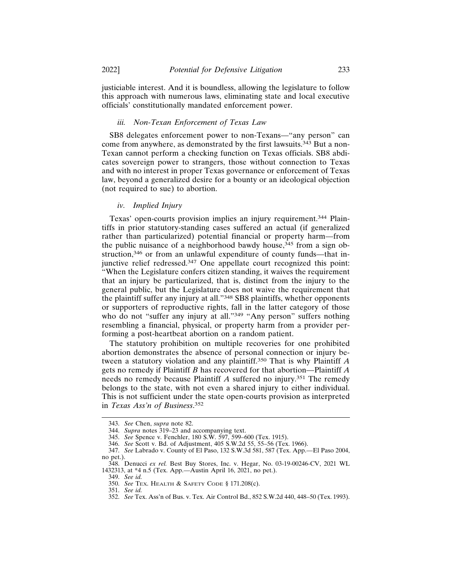justiciable interest. And it is boundless, allowing the legislature to follow this approach with numerous laws, eliminating state and local executive officials' constitutionally mandated enforcement power.

## *iii. Non-Texan Enforcement of Texas Law*

SB8 delegates enforcement power to non-Texans—"any person" can come from anywhere, as demonstrated by the first lawsuits.343 But a non-Texan cannot perform a checking function on Texas officials. SB8 abdicates sovereign power to strangers, those without connection to Texas and with no interest in proper Texas governance or enforcement of Texas law, beyond a generalized desire for a bounty or an ideological objection (not required to sue) to abortion.

#### *iv. Implied Injury*

Texas' open-courts provision implies an injury requirement.<sup>344</sup> Plaintiffs in prior statutory-standing cases suffered an actual (if generalized rather than particularized) potential financial or property harm—from the public nuisance of a neighborhood bawdy house,  $345$  from a sign obstruction,346 or from an unlawful expenditure of county funds—that injunctive relief redressed.347 One appellate court recognized this point: "When the Legislature confers citizen standing, it waives the requirement that an injury be particularized, that is, distinct from the injury to the general public, but the Legislature does not waive the requirement that the plaintiff suffer any injury at all."348 SB8 plaintiffs, whether opponents or supporters of reproductive rights, fall in the latter category of those who do not "suffer any injury at all."<sup>349</sup> "Any person" suffers nothing resembling a financial, physical, or property harm from a provider performing a post-heartbeat abortion on a random patient.

The statutory prohibition on multiple recoveries for one prohibited abortion demonstrates the absence of personal connection or injury between a statutory violation and any plaintiff.350 That is why Plaintiff *A* gets no remedy if Plaintiff *B* has recovered for that abortion—Plaintiff *A* needs no remedy because Plaintiff *A* suffered no injury.351 The remedy belongs to the state, with not even a shared injury to either individual. This is not sufficient under the state open-courts provision as interpreted in *Texas Ass'n of Business*. 352

<sup>343.</sup> *See* Chen, *supra* note 82.

<sup>344.</sup> *Supra* notes 319–23 and accompanying text.

<sup>345.</sup> *See* Spence v. Fenchler, 180 S.W. 597, 599–600 (Tex. 1915).

<sup>346.</sup> *See* Scott v. Bd. of Adjustment, 405 S.W.2d 55, 55–56 (Tex. 1966).

<sup>347.</sup> *See* Labrado v. County of El Paso, 132 S.W.3d 581, 587 (Tex. App.—El Paso 2004, no pet.).

<sup>348.</sup> Denucci *ex rel.* Best Buy Stores, Inc. v. Hegar, No. 03-19-00246-CV, 2021 WL 1432313, at \*4 n.5 (Tex. App.—Austin April 16, 2021, no pet.).

<sup>349.</sup> *See id.*

<sup>350.</sup> *See* TEX. HEALTH & SAFETY CODE § 171.208(c).

<sup>351.</sup> *See id.*

<sup>352.</sup> *See* Tex. Ass'n of Bus. v. Tex. Air Control Bd., 852 S.W.2d 440, 448–50 (Tex. 1993).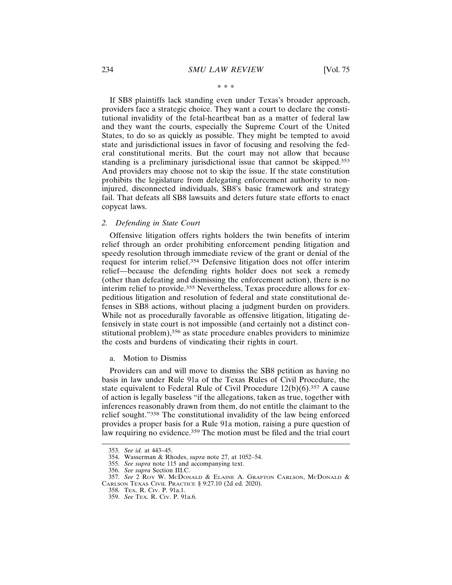\* \* \*

If SB8 plaintiffs lack standing even under Texas's broader approach, providers face a strategic choice. They want a court to declare the constitutional invalidity of the fetal-heartbeat ban as a matter of federal law and they want the courts, especially the Supreme Court of the United States, to do so as quickly as possible. They might be tempted to avoid state and jurisdictional issues in favor of focusing and resolving the federal constitutional merits. But the court may not allow that because standing is a preliminary jurisdictional issue that cannot be skipped.<sup>353</sup> And providers may choose not to skip the issue. If the state constitution prohibits the legislature from delegating enforcement authority to noninjured, disconnected individuals, SB8's basic framework and strategy fail. That defeats all SB8 lawsuits and deters future state efforts to enact copycat laws.

#### *2. Defending in State Court*

Offensive litigation offers rights holders the twin benefits of interim relief through an order prohibiting enforcement pending litigation and speedy resolution through immediate review of the grant or denial of the request for interim relief.354 Defensive litigation does not offer interim relief—because the defending rights holder does not seek a remedy (other than defeating and dismissing the enforcement action), there is no interim relief to provide.<sup>355</sup> Nevertheless, Texas procedure allows for expeditious litigation and resolution of federal and state constitutional defenses in SB8 actions, without placing a judgment burden on providers. While not as procedurally favorable as offensive litigation, litigating defensively in state court is not impossible (and certainly not a distinct constitutional problem),356 as state procedure enables providers to minimize the costs and burdens of vindicating their rights in court.

a. Motion to Dismiss

Providers can and will move to dismiss the SB8 petition as having no basis in law under Rule 91a of the Texas Rules of Civil Procedure, the state equivalent to Federal Rule of Civil Procedure  $12(b)(6)$ .<sup>357</sup> A cause of action is legally baseless "if the allegations, taken as true, together with inferences reasonably drawn from them, do not entitle the claimant to the relief sought."358 The constitutional invalidity of the law being enforced provides a proper basis for a Rule 91a motion, raising a pure question of law requiring no evidence.<sup>359</sup> The motion must be filed and the trial court

<sup>353.</sup> *See id.* at 443–45.

<sup>354.</sup> Wasserman & Rhodes, *supra* note 27, at 1052–54.

<sup>355.</sup> *See supra* note 115 and accompanying text.

<sup>356.</sup> *See supra* Section III.C.

<sup>357.</sup> *See* 2 ROY W. MCDONALD & ELAINE A. GRAFTON CARLSON, MCDONALD & CARLSON TEXAS CIVIL PRACTICE § 9:27.10 (2d ed. 2020).

<sup>358.</sup> TEX. R. CIV. P. 91a.1.

<sup>359.</sup> *See* TEX. R. CIV. P. 91a.6.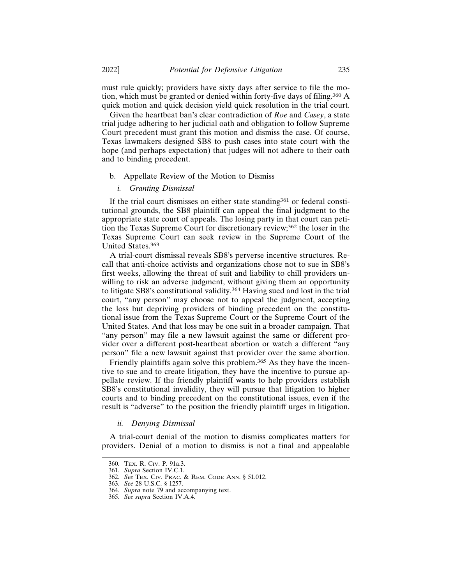must rule quickly; providers have sixty days after service to file the motion, which must be granted or denied within forty-five days of filing.360 A quick motion and quick decision yield quick resolution in the trial court.

Given the heartbeat ban's clear contradiction of *Roe* and *Casey*, a state trial judge adhering to her judicial oath and obligation to follow Supreme Court precedent must grant this motion and dismiss the case. Of course, Texas lawmakers designed SB8 to push cases into state court with the hope (and perhaps expectation) that judges will not adhere to their oath and to binding precedent.

- b. Appellate Review of the Motion to Dismiss
	- *i. Granting Dismissal*

If the trial court dismisses on either state standing $361$  or federal constitutional grounds, the SB8 plaintiff can appeal the final judgment to the appropriate state court of appeals. The losing party in that court can petition the Texas Supreme Court for discretionary review;362 the loser in the Texas Supreme Court can seek review in the Supreme Court of the United States.<sup>363</sup>

A trial-court dismissal reveals SB8's perverse incentive structures. Recall that anti-choice activists and organizations chose not to sue in SB8's first weeks, allowing the threat of suit and liability to chill providers unwilling to risk an adverse judgment, without giving them an opportunity to litigate SB8's constitutional validity.364 Having sued and lost in the trial court, "any person" may choose not to appeal the judgment, accepting the loss but depriving providers of binding precedent on the constitutional issue from the Texas Supreme Court or the Supreme Court of the United States. And that loss may be one suit in a broader campaign. That "any person" may file a new lawsuit against the same or different provider over a different post-heartbeat abortion or watch a different "any person" file a new lawsuit against that provider over the same abortion.

Friendly plaintiffs again solve this problem.<sup>365</sup> As they have the incentive to sue and to create litigation, they have the incentive to pursue appellate review. If the friendly plaintiff wants to help providers establish SB8's constitutional invalidity, they will pursue that litigation to higher courts and to binding precedent on the constitutional issues, even if the result is "adverse" to the position the friendly plaintiff urges in litigation.

## *ii. Denying Dismissal*

A trial-court denial of the motion to dismiss complicates matters for providers. Denial of a motion to dismiss is not a final and appealable

<sup>360.</sup> TEX. R. CIV. P. 91a.3.

<sup>361.</sup> *Supra* Section IV.C.1.

<sup>362.</sup> *See* TEX. CIV. PRAC. & REM. CODE ANN. § 51.012.

<sup>363.</sup> *See* 28 U.S.C. § 1257.

<sup>364.</sup> *Supra* note 79 and accompanying text.

<sup>365.</sup> *See supra* Section IV.A.4.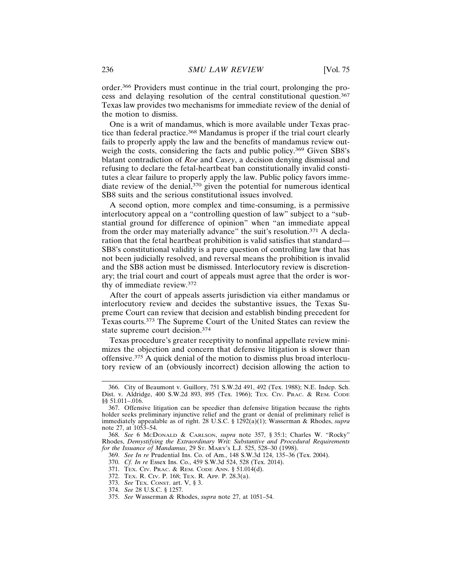order.366 Providers must continue in the trial court, prolonging the process and delaying resolution of the central constitutional question.<sup>367</sup> Texas law provides two mechanisms for immediate review of the denial of the motion to dismiss.

One is a writ of mandamus, which is more available under Texas practice than federal practice.368 Mandamus is proper if the trial court clearly fails to properly apply the law and the benefits of mandamus review outweigh the costs, considering the facts and public policy.<sup>369</sup> Given SB8's blatant contradiction of *Roe* and *Casey*, a decision denying dismissal and refusing to declare the fetal-heartbeat ban constitutionally invalid constitutes a clear failure to properly apply the law. Public policy favors immediate review of the denial,<sup>370</sup> given the potential for numerous identical SB8 suits and the serious constitutional issues involved.

A second option, more complex and time-consuming, is a permissive interlocutory appeal on a "controlling question of law" subject to a "substantial ground for difference of opinion" when "an immediate appeal from the order may materially advance" the suit's resolution.371 A declaration that the fetal heartbeat prohibition is valid satisfies that standard— SB8's constitutional validity is a pure question of controlling law that has not been judicially resolved, and reversal means the prohibition is invalid and the SB8 action must be dismissed. Interlocutory review is discretionary; the trial court and court of appeals must agree that the order is worthy of immediate review.<sup>372</sup>

After the court of appeals asserts jurisdiction via either mandamus or interlocutory review and decides the substantive issues, the Texas Supreme Court can review that decision and establish binding precedent for Texas courts.373 The Supreme Court of the United States can review the state supreme court decision.<sup>374</sup>

Texas procedure's greater receptivity to nonfinal appellate review minimizes the objection and concern that defensive litigation is slower than offensive.375 A quick denial of the motion to dismiss plus broad interlocutory review of an (obviously incorrect) decision allowing the action to

<sup>366.</sup> City of Beaumont v. Guillory, 751 S.W.2d 491, 492 (Tex. 1988); N.E. Indep. Sch. Dist. v. Aldridge, 400 S.W.2d 893, 895 (Tex. 1966); TEX. CIV. PRAC. & REM. CODE §§ 51.011-.016.

<sup>367.</sup> Offensive litigation can be speedier than defensive litigation because the rights holder seeks preliminary injunctive relief and the grant or denial of preliminary relief is immediately appealable as of right. 28 U.S.C. § 1292(a)(1); Wasserman & Rhodes, *supra* note 27, at 1053–54.

<sup>368.</sup> *See* 6 MCDONALD & CARLSON, *supra* note 357, § 35:1; Charles W. "Rocky" Rhodes, *Demystifying the Extraordinary Writ: Substantive and Procedural Requirements for the Issuance of Mandamus*, 29 ST. MARY'S L.J. 525, 528–30 (1998).

<sup>369.</sup> *See In re* Prudential Ins. Co. of Am., 148 S.W.3d 124, 135–36 (Tex. 2004).

<sup>370.</sup> *Cf. In re* Essex Ins. Co., 459 S.W.3d 524, 528 (Tex. 2014).

<sup>371.</sup> TEX. CIV. PRAC. & REM. CODE ANN. § 51.014(d).

<sup>372.</sup> TEX. R. CIV. P. 168; TEX. R. APP. P. 28.3(a).

<sup>373.</sup> *See* TEX. CONST. art. V, § 3.

<sup>374.</sup> *See* 28 U.S.C. § 1257.

<sup>375.</sup> *See* Wasserman & Rhodes, *supra* note 27, at 1051–54.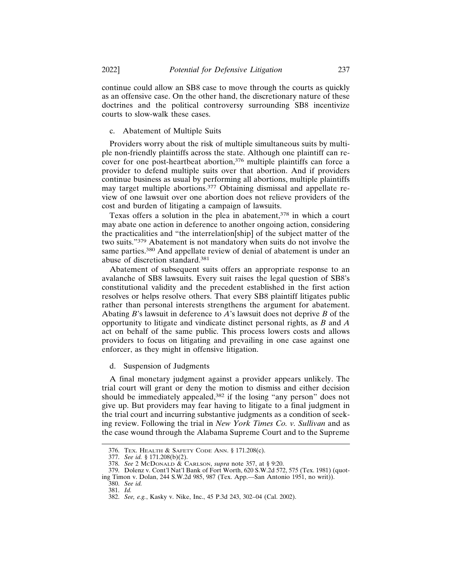continue could allow an SB8 case to move through the courts as quickly as an offensive case. On the other hand, the discretionary nature of these doctrines and the political controversy surrounding SB8 incentivize courts to slow-walk these cases.

## c. Abatement of Multiple Suits

Providers worry about the risk of multiple simultaneous suits by multiple non-friendly plaintiffs across the state. Although one plaintiff can recover for one post-heartbeat abortion,<sup>376</sup> multiple plaintiffs can force a provider to defend multiple suits over that abortion. And if providers continue business as usual by performing all abortions, multiple plaintiffs may target multiple abortions.377 Obtaining dismissal and appellate review of one lawsuit over one abortion does not relieve providers of the cost and burden of litigating a campaign of lawsuits.

Texas offers a solution in the plea in abatement,<sup>378</sup> in which a court may abate one action in deference to another ongoing action, considering the practicalities and "the interrelation[ship] of the subject matter of the two suits."379 Abatement is not mandatory when suits do not involve the same parties.380 And appellate review of denial of abatement is under an abuse of discretion standard.<sup>381</sup>

Abatement of subsequent suits offers an appropriate response to an avalanche of SB8 lawsuits. Every suit raises the legal question of SB8's constitutional validity and the precedent established in the first action resolves or helps resolve others. That every SB8 plaintiff litigates public rather than personal interests strengthens the argument for abatement. Abating *B*'s lawsuit in deference to *A*'s lawsuit does not deprive *B* of the opportunity to litigate and vindicate distinct personal rights, as *B* and *A* act on behalf of the same public. This process lowers costs and allows providers to focus on litigating and prevailing in one case against one enforcer, as they might in offensive litigation.

d. Suspension of Judgments

A final monetary judgment against a provider appears unlikely. The trial court will grant or deny the motion to dismiss and either decision should be immediately appealed,<sup>382</sup> if the losing "any person" does not give up. But providers may fear having to litigate to a final judgment in the trial court and incurring substantive judgments as a condition of seeking review. Following the trial in *New York Times Co. v. Sullivan* and as the case wound through the Alabama Supreme Court and to the Supreme

<sup>376.</sup> TEX. HEALTH & SAFETY CODE ANN. § 171.208(c).

<sup>377.</sup> *See id.* § 171.208(b)(2).

<sup>378.</sup> *See* 2 MCDONALD & CARLSON, *supra* note 357, at § 9:20.

<sup>379.</sup> Dolenz v. Cont'l Nat'l Bank of Fort Worth, 620 S.W.2d 572, 575 (Tex. 1981) (quoting Timon v. Dolan, 244 S.W.2d 985, 987 (Tex. App.—San Antonio 1951, no writ)).

<sup>380.</sup> *See id.*

<sup>381.</sup> *Id.*

<sup>382.</sup> *See, e.g.*, Kasky v. Nike, Inc., 45 P.3d 243, 302–04 (Cal. 2002).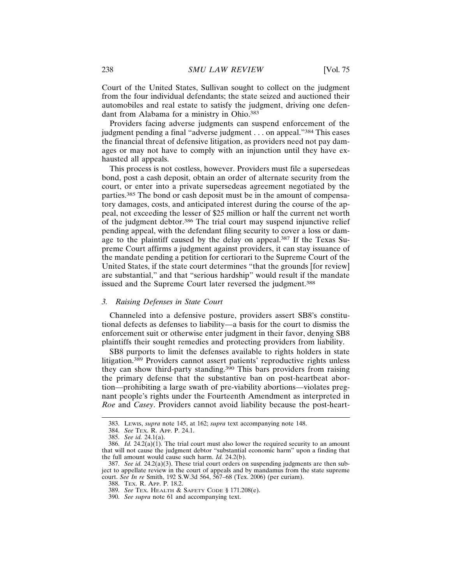Court of the United States, Sullivan sought to collect on the judgment from the four individual defendants; the state seized and auctioned their automobiles and real estate to satisfy the judgment, driving one defendant from Alabama for a ministry in Ohio.<sup>383</sup>

Providers facing adverse judgments can suspend enforcement of the judgment pending a final "adverse judgment . . . on appeal."384 This eases the financial threat of defensive litigation, as providers need not pay damages or may not have to comply with an injunction until they have exhausted all appeals.

This process is not costless, however. Providers must file a supersedeas bond, post a cash deposit, obtain an order of alternate security from the court, or enter into a private supersedeas agreement negotiated by the parties.385 The bond or cash deposit must be in the amount of compensatory damages, costs, and anticipated interest during the course of the appeal, not exceeding the lesser of \$25 million or half the current net worth of the judgment debtor.386 The trial court may suspend injunctive relief pending appeal, with the defendant filing security to cover a loss or damage to the plaintiff caused by the delay on appeal.<sup>387</sup> If the Texas Supreme Court affirms a judgment against providers, it can stay issuance of the mandate pending a petition for certiorari to the Supreme Court of the United States, if the state court determines "that the grounds [for review] are substantial," and that "serious hardship" would result if the mandate issued and the Supreme Court later reversed the judgment.<sup>388</sup>

## *3. Raising Defenses in State Court*

Channeled into a defensive posture, providers assert SB8's constitutional defects as defenses to liability—a basis for the court to dismiss the enforcement suit or otherwise enter judgment in their favor, denying SB8 plaintiffs their sought remedies and protecting providers from liability.

SB8 purports to limit the defenses available to rights holders in state litigation.389 Providers cannot assert patients' reproductive rights unless they can show third-party standing.390 This bars providers from raising the primary defense that the substantive ban on post-heartbeat abortion—prohibiting a large swath of pre-viability abortions—violates pregnant people's rights under the Fourteenth Amendment as interpreted in *Roe* and *Casey*. Providers cannot avoid liability because the post-heart-

<sup>383.</sup> LEWIS, *supra* note 145, at 162; *supra* text accompanying note 148.

<sup>384.</sup> *See* TEX. R. APP. P. 24.1.

<sup>385.</sup> *See id.* 24.1(a).

<sup>386.</sup> *Id.*  $24.2(a)(1)$ . The trial court must also lower the required security to an amount that will not cause the judgment debtor "substantial economic harm" upon a finding that the full amount would cause such harm. *Id.* 24.2(b).

<sup>387.</sup> *See id.*  $24.2(a)(3)$ . These trial court orders on suspending judgments are then subject to appellate review in the court of appeals and by mandamus from the state supreme court. *See In re* Smith, 192 S.W.3d 564, 567–68 (Tex. 2006) (per curiam).

<sup>388.</sup> TEX. R. APP. P. 18.2.

<sup>389.</sup> *See* TEX. HEALTH & SAFETY CODE § 171.208(e).

<sup>390.</sup> *See supra* note 61 and accompanying text.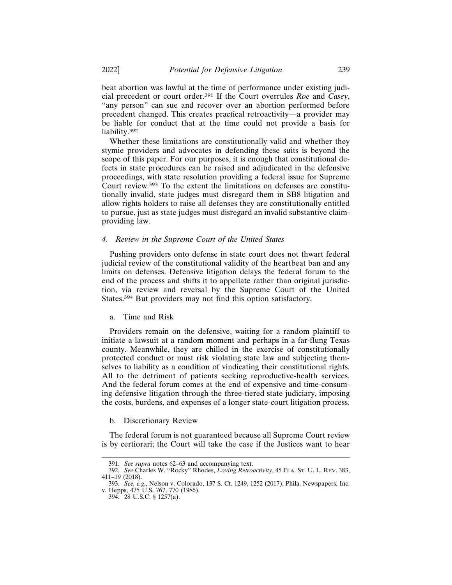beat abortion was lawful at the time of performance under existing judicial precedent or court order.391 If the Court overrules *Roe* and *Casey*, "any person" can sue and recover over an abortion performed before precedent changed. This creates practical retroactivity—a provider may be liable for conduct that at the time could not provide a basis for liability.392

Whether these limitations are constitutionally valid and whether they stymie providers and advocates in defending these suits is beyond the scope of this paper. For our purposes, it is enough that constitutional defects in state procedures can be raised and adjudicated in the defensive proceedings, with state resolution providing a federal issue for Supreme Court review.393 To the extent the limitations on defenses are constitutionally invalid, state judges must disregard them in SB8 litigation and allow rights holders to raise all defenses they are constitutionally entitled to pursue, just as state judges must disregard an invalid substantive claimproviding law.

## *4. Review in the Supreme Court of the United States*

Pushing providers onto defense in state court does not thwart federal judicial review of the constitutional validity of the heartbeat ban and any limits on defenses. Defensive litigation delays the federal forum to the end of the process and shifts it to appellate rather than original jurisdiction, via review and reversal by the Supreme Court of the United States.394 But providers may not find this option satisfactory.

#### a. Time and Risk

Providers remain on the defensive, waiting for a random plaintiff to initiate a lawsuit at a random moment and perhaps in a far-flung Texas county. Meanwhile, they are chilled in the exercise of constitutionally protected conduct or must risk violating state law and subjecting themselves to liability as a condition of vindicating their constitutional rights. All to the detriment of patients seeking reproductive-health services. And the federal forum comes at the end of expensive and time-consuming defensive litigation through the three-tiered state judiciary, imposing the costs, burdens, and expenses of a longer state-court litigation process.

#### b. Discretionary Review

The federal forum is not guaranteed because all Supreme Court review is by certiorari; the Court will take the case if the Justices want to hear

<sup>391.</sup> *See supra* notes 62–63 and accompanying text.

<sup>392.</sup> *See* Charles W. "Rocky" Rhodes, *Loving Retroactivity*, 45 FLA. ST. U. L. REV. 383, 411–19 (2018).

<sup>393.</sup> *See, e.g.*, Nelson v. Colorado, 137 S. Ct. 1249, 1252 (2017); Phila. Newspapers, Inc. v. Hepps, 475 U.S. 767, 770 (1986).

<sup>394. 28</sup> U.S.C. § 1257(a).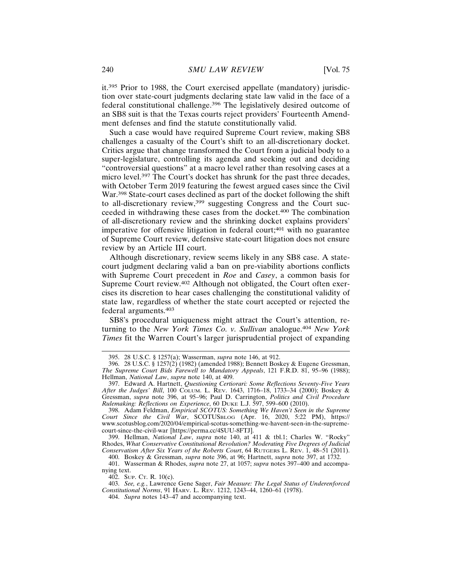it.395 Prior to 1988, the Court exercised appellate (mandatory) jurisdiction over state-court judgments declaring state law valid in the face of a federal constitutional challenge.396 The legislatively desired outcome of an SB8 suit is that the Texas courts reject providers' Fourteenth Amendment defenses and find the statute constitutionally valid.

Such a case would have required Supreme Court review, making SB8 challenges a casualty of the Court's shift to an all-discretionary docket. Critics argue that change transformed the Court from a judicial body to a super-legislature, controlling its agenda and seeking out and deciding "controversial questions" at a macro level rather than resolving cases at a micro level.<sup>397</sup> The Court's docket has shrunk for the past three decades, with October Term 2019 featuring the fewest argued cases since the Civil War.398 State-court cases declined as part of the docket following the shift to all-discretionary review,<sup>399</sup> suggesting Congress and the Court succeeded in withdrawing these cases from the docket.400 The combination of all-discretionary review and the shrinking docket explains providers' imperative for offensive litigation in federal court;<sup>401</sup> with no guarantee of Supreme Court review, defensive state-court litigation does not ensure review by an Article III court.

Although discretionary, review seems likely in any SB8 case. A statecourt judgment declaring valid a ban on pre-viability abortions conflicts with Supreme Court precedent in *Roe* and *Casey*, a common basis for Supreme Court review.402 Although not obligated, the Court often exercises its discretion to hear cases challenging the constitutional validity of state law, regardless of whether the state court accepted or rejected the federal arguments.<sup>403</sup>

SB8's procedural uniqueness might attract the Court's attention, returning to the *New York Times Co. v. Sullivan* analogue.<sup>404</sup> *New York Times* fit the Warren Court's larger jurisprudential project of expanding

399. Hellman, *National Law*, *supra* note 140, at 411 & tbl.1; Charles W. "Rocky" Rhodes, *What Conservative Constitutional Revolution? Moderating Five Degrees of Judicial Conservatism After Six Years of the Roberts Court*, 64 RUTGERS L. REV. 1, 48–51 (2011). 400. Boskey & Gressman, *supra* note 396, at 96; Hartnett, *supra* note 397, at 1732.

401. Wasserman & Rhodes, *supra* note 27, at 1057; *supra* notes 397–400 and accompanying text.

402. SUP. CT. R. 10(c).

403. *See, e.g.*, Lawrence Gene Sager, *Fair Measure: The Legal Status of Underenforced Constitutional Norms*, 91 HARV. L. REV. 1212, 1243–44, 1260–61 (1978).

404. *Supra* notes 143–47 and accompanying text.

<sup>395. 28</sup> U.S.C. § 1257(a); Wasserman, *supra* note 146, at 912.

<sup>396. 28</sup> U.S.C. § 1257(2) (1982) (amended 1988); Bennett Boskey & Eugene Gressman, *The Supreme Court Bids Farewell to Mandatory Appeals*, 121 F.R.D. 81, 95–96 (1988); Hellman, *National Law*, *supra* note 140, at 409.

<sup>397.</sup> Edward A. Hartnett, *Questioning Certiorari: Some Reflections Seventy-Five Years* After the Judges' Bill, 100 COLUM. L. REV. 1643, 1716-18, 1733-34 (2000); Boskey & Gressman, *supra* note 396, at 95–96; Paul D. Carrington, *Politics and Civil Procedure Rulemaking: Reflections on Experience*, 60 DUKE L.J. 597, 599–600 (2010).

<sup>398.</sup> Adam Feldman, *Empirical SCOTUS: Something We Haven't Seen in the Supreme Court Since the Civil War*, SCOTUSBLOG (Apr. 16, 2020, 5:22 PM), https:// www.scotusblog.com/2020/04/empirical-scotus-something-we-havent-seen-in-the-supremecourt-since-the-civil-war [https://perma.cc/4SUU-8FTJ].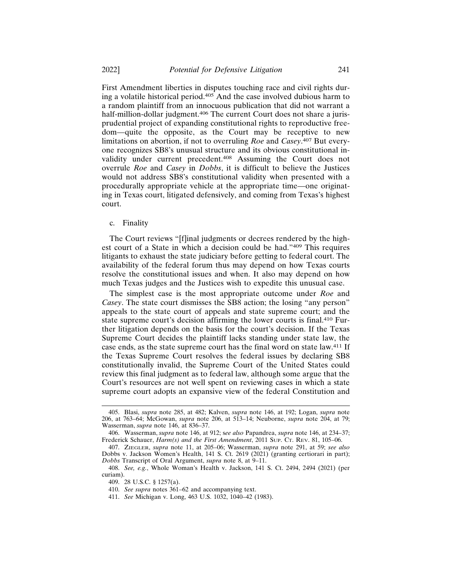First Amendment liberties in disputes touching race and civil rights during a volatile historical period.405 And the case involved dubious harm to a random plaintiff from an innocuous publication that did not warrant a half-million-dollar judgment.<sup>406</sup> The current Court does not share a jurisprudential project of expanding constitutional rights to reproductive freedom—quite the opposite, as the Court may be receptive to new limitations on abortion, if not to overruling *Roe* and *Casey*. 407 But everyone recognizes SB8's unusual structure and its obvious constitutional invalidity under current precedent.408 Assuming the Court does not overrule *Roe* and *Casey* in *Dobbs*, it is difficult to believe the Justices would not address SB8's constitutional validity when presented with a procedurally appropriate vehicle at the appropriate time—one originating in Texas court, litigated defensively, and coming from Texas's highest court.

## c. Finality

The Court reviews "[f]inal judgments or decrees rendered by the highest court of a State in which a decision could be had."409 This requires litigants to exhaust the state judiciary before getting to federal court. The availability of the federal forum thus may depend on how Texas courts resolve the constitutional issues and when. It also may depend on how much Texas judges and the Justices wish to expedite this unusual case.

The simplest case is the most appropriate outcome under *Roe* and *Casey*. The state court dismisses the SB8 action; the losing "any person" appeals to the state court of appeals and state supreme court; and the state supreme court's decision affirming the lower courts is final.410 Further litigation depends on the basis for the court's decision. If the Texas Supreme Court decides the plaintiff lacks standing under state law, the case ends, as the state supreme court has the final word on state law.411 If the Texas Supreme Court resolves the federal issues by declaring SB8 constitutionally invalid, the Supreme Court of the United States could review this final judgment as to federal law, although some argue that the Court's resources are not well spent on reviewing cases in which a state supreme court adopts an expansive view of the federal Constitution and

<sup>405.</sup> Blasi, *supra* note 285, at 482; Kalven, *supra* note 146, at 192; Logan, *supra* note 206, at 763–64; McGowan, *supra* note 206, at 513–14; Neuborne, *supra* note 204, at 79; Wasserman, *supra* note 146, at 836–37.

<sup>406.</sup> Wasserman, *supra* note 146, at 912; s*ee also* Papandrea, *supra* note 146, at 234–37; Frederick Schauer, *Harm(s) and the First Amendment*, 2011 SUP. CT. REV. 81, 105–06.

<sup>407.</sup> ZIEGLER, *supra* note 11, at 205–06; Wasserman, *supra* note 291, at 59; *see also* Dobbs v. Jackson Women's Health, 141 S. Ct. 2619 (2021) (granting certiorari in part); *Dobbs* Transcript of Oral Argument, *supra* note 8, at 9–11.

<sup>408.</sup> *See, e.g.*, Whole Woman's Health v. Jackson, 141 S. Ct. 2494, 2494 (2021) (per curiam).

<sup>409. 28</sup> U.S.C. § 1257(a).

<sup>410.</sup> *See supra* notes 361–62 and accompanying text.

<sup>411.</sup> *See* Michigan v. Long, 463 U.S. 1032, 1040–42 (1983).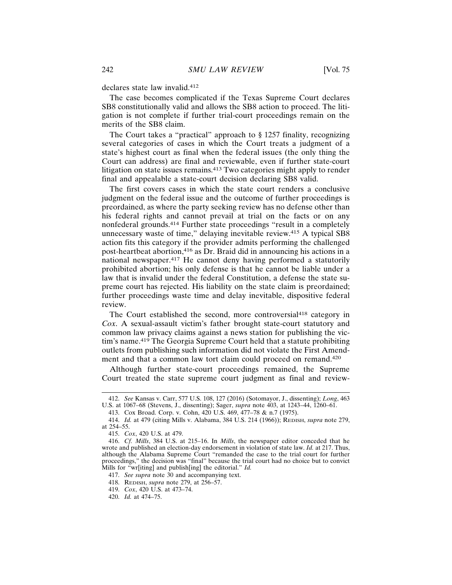declares state law invalid.<sup>412</sup>

The case becomes complicated if the Texas Supreme Court declares SB8 constitutionally valid and allows the SB8 action to proceed. The litigation is not complete if further trial-court proceedings remain on the merits of the SB8 claim.

The Court takes a "practical" approach to § 1257 finality, recognizing several categories of cases in which the Court treats a judgment of a state's highest court as final when the federal issues (the only thing the Court can address) are final and reviewable, even if further state-court litigation on state issues remains.<sup>413</sup> Two categories might apply to render final and appealable a state-court decision declaring SB8 valid.

The first covers cases in which the state court renders a conclusive judgment on the federal issue and the outcome of further proceedings is preordained, as where the party seeking review has no defense other than his federal rights and cannot prevail at trial on the facts or on any nonfederal grounds.414 Further state proceedings "result in a completely unnecessary waste of time," delaying inevitable review.<sup>415</sup> A typical SB8 action fits this category if the provider admits performing the challenged post-heartbeat abortion,416 as Dr. Braid did in announcing his actions in a national newspaper.417 He cannot deny having performed a statutorily prohibited abortion; his only defense is that he cannot be liable under a law that is invalid under the federal Constitution, a defense the state supreme court has rejected. His liability on the state claim is preordained; further proceedings waste time and delay inevitable, dispositive federal review.

The Court established the second, more controversial<sup>418</sup> category in *Cox*. A sexual-assault victim's father brought state-court statutory and common law privacy claims against a news station for publishing the victim's name.419 The Georgia Supreme Court held that a statute prohibiting outlets from publishing such information did not violate the First Amendment and that a common law tort claim could proceed on remand.<sup>420</sup>

Although further state-court proceedings remained, the Supreme Court treated the state supreme court judgment as final and review-

417. *See supra* note 30 and accompanying text.

419. *Cox*, 420 U.S. at 473–74.

<sup>412.</sup> *See* Kansas v. Carr, 577 U.S. 108, 127 (2016) (Sotomayor, J., dissenting); *Long*, 463 U.S. at 1067–68 (Stevens, J., dissenting); Sager, *supra* note 403, at 1243–44, 1260–61.

<sup>413.</sup> Cox Broad. Corp. v. Cohn, 420 U.S. 469, 477–78 & n.7 (1975).

<sup>414.</sup> *Id.* at 479 (citing Mills v. Alabama, 384 U.S. 214 (1966)); REDISH, *supra* note 279, at 254–55.

<sup>415.</sup> *Cox*, 420 U.S. at 479.

<sup>416.</sup> *Cf. Mills*, 384 U.S. at 215–16. In *Mills*, the newspaper editor conceded that he wrote and published an election-day endorsement in violation of state law. *Id.* at 217. Thus, although the Alabama Supreme Court "remanded the case to the trial court for further proceedings," the decision was "final" because the trial court had no choice but to convict Mills for "wr[iting] and publish[ing] the editorial." *Id.*

<sup>418.</sup> REDISH, *supra* note 279, at 256–57.

<sup>420.</sup> *Id.* at 474–75.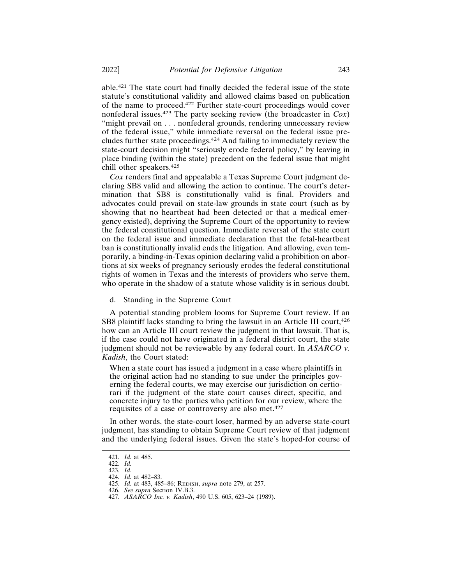able.421 The state court had finally decided the federal issue of the state statute's constitutional validity and allowed claims based on publication of the name to proceed.422 Further state-court proceedings would cover nonfederal issues.423 The party seeking review (the broadcaster in *Cox*) "might prevail on . . . nonfederal grounds, rendering unnecessary review of the federal issue," while immediate reversal on the federal issue precludes further state proceedings.424 And failing to immediately review the state-court decision might "seriously erode federal policy," by leaving in place binding (within the state) precedent on the federal issue that might chill other speakers.<sup>425</sup>

*Cox* renders final and appealable a Texas Supreme Court judgment declaring SB8 valid and allowing the action to continue. The court's determination that SB8 is constitutionally valid is final. Providers and advocates could prevail on state-law grounds in state court (such as by showing that no heartbeat had been detected or that a medical emergency existed), depriving the Supreme Court of the opportunity to review the federal constitutional question. Immediate reversal of the state court on the federal issue and immediate declaration that the fetal-heartbeat ban is constitutionally invalid ends the litigation. And allowing, even temporarily, a binding-in-Texas opinion declaring valid a prohibition on abortions at six weeks of pregnancy seriously erodes the federal constitutional rights of women in Texas and the interests of providers who serve them, who operate in the shadow of a statute whose validity is in serious doubt.

d. Standing in the Supreme Court

A potential standing problem looms for Supreme Court review. If an SB8 plaintiff lacks standing to bring the lawsuit in an Article III court, 426 how can an Article III court review the judgment in that lawsuit. That is, if the case could not have originated in a federal district court, the state judgment should not be reviewable by any federal court. In *ASARCO v. Kadish*, the Court stated:

When a state court has issued a judgment in a case where plaintiffs in the original action had no standing to sue under the principles governing the federal courts, we may exercise our jurisdiction on certiorari if the judgment of the state court causes direct, specific, and concrete injury to the parties who petition for our review, where the requisites of a case or controversy are also met.<sup>427</sup>

In other words, the state-court loser, harmed by an adverse state-court judgment, has standing to obtain Supreme Court review of that judgment and the underlying federal issues. Given the state's hoped-for course of

<sup>421.</sup> *Id.* at 485.

<sup>422.</sup> *Id.*

<sup>423.</sup> *Id.*

<sup>424.</sup> *Id.* at 482–83.

<sup>425.</sup> *Id.* at 483, 485–86; REDISH, *supra* note 279, at 257.

<sup>426.</sup> *See supra* Section IV.B.3.

<sup>427.</sup> *ASARCO Inc. v. Kadish*, 490 U.S. 605, 623–24 (1989).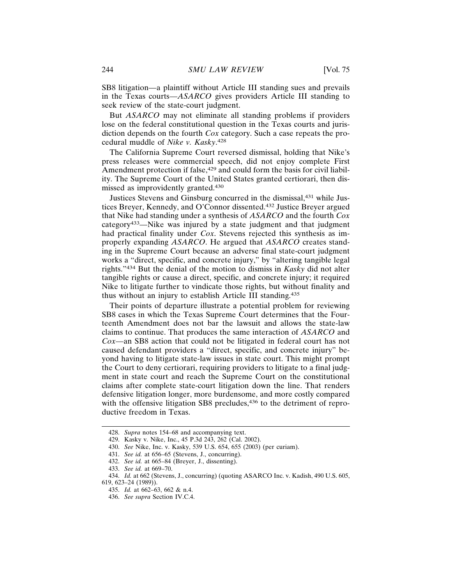SB8 litigation—a plaintiff without Article III standing sues and prevails in the Texas courts—*ASARCO* gives providers Article III standing to seek review of the state-court judgment.

But *ASARCO* may not eliminate all standing problems if providers lose on the federal constitutional question in the Texas courts and jurisdiction depends on the fourth *Cox* category. Such a case repeats the procedural muddle of *Nike v. Kasky*. 428

The California Supreme Court reversed dismissal, holding that Nike's press releases were commercial speech, did not enjoy complete First Amendment protection if false,<sup>429</sup> and could form the basis for civil liability. The Supreme Court of the United States granted certiorari, then dismissed as improvidently granted.<sup>430</sup>

Justices Stevens and Ginsburg concurred in the dismissal,431 while Justices Breyer, Kennedy, and O'Connor dissented.432 Justice Breyer argued that Nike had standing under a synthesis of *ASARCO* and the fourth *Cox* category433—Nike was injured by a state judgment and that judgment had practical finality under *Cox*. Stevens rejected this synthesis as improperly expanding *ASARCO*. He argued that *ASARCO* creates standing in the Supreme Court because an adverse final state-court judgment works a "direct, specific, and concrete injury," by "altering tangible legal rights."434 But the denial of the motion to dismiss in *Kasky* did not alter tangible rights or cause a direct, specific, and concrete injury; it required Nike to litigate further to vindicate those rights, but without finality and thus without an injury to establish Article III standing.<sup>435</sup>

Their points of departure illustrate a potential problem for reviewing SB8 cases in which the Texas Supreme Court determines that the Fourteenth Amendment does not bar the lawsuit and allows the state-law claims to continue. That produces the same interaction of *ASARCO* and *Cox*—an SB8 action that could not be litigated in federal court has not caused defendant providers a "direct, specific, and concrete injury" beyond having to litigate state-law issues in state court. This might prompt the Court to deny certiorari, requiring providers to litigate to a final judgment in state court and reach the Supreme Court on the constitutional claims after complete state-court litigation down the line. That renders defensive litigation longer, more burdensome, and more costly compared with the offensive litigation SB8 precludes,<sup>436</sup> to the detriment of reproductive freedom in Texas.

<sup>428.</sup> *Supra* notes 154–68 and accompanying text.

<sup>429.</sup> Kasky v. Nike, Inc., 45 P.3d 243, 262 (Cal. 2002).

<sup>430.</sup> *See* Nike, Inc. v. Kasky, 539 U.S. 654, 655 (2003) (per curiam).

<sup>431.</sup> *See id.* at 656–65 (Stevens, J., concurring).

<sup>432.</sup> *See id.* at 665–84 (Breyer, J., dissenting).

<sup>433.</sup> *See id.* at 669–70.

<sup>434.</sup> *Id.* at 662 (Stevens, J., concurring) (quoting ASARCO Inc. v. Kadish, 490 U.S. 605, 619, 623–24 (1989)).

<sup>435.</sup> *Id.* at 662–63, 662 & n.4.

<sup>436.</sup> *See supra* Section IV.C.4.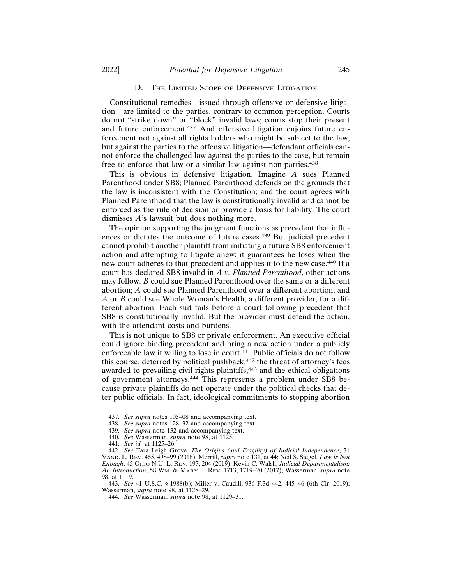#### D. THE LIMITED SCOPE OF DEFENSIVE LITIGATION

Constitutional remedies—issued through offensive or defensive litigation—are limited to the parties, contrary to common perception. Courts do not "strike down" or "block" invalid laws; courts stop their present and future enforcement.<sup>437</sup> And offensive litigation enjoins future enforcement not against all rights holders who might be subject to the law, but against the parties to the offensive litigation—defendant officials cannot enforce the challenged law against the parties to the case, but remain free to enforce that law or a similar law against non-parties.<sup>438</sup>

This is obvious in defensive litigation. Imagine *A* sues Planned Parenthood under SB8; Planned Parenthood defends on the grounds that the law is inconsistent with the Constitution; and the court agrees with Planned Parenthood that the law is constitutionally invalid and cannot be enforced as the rule of decision or provide a basis for liability. The court dismisses *A*'s lawsuit but does nothing more.

The opinion supporting the judgment functions as precedent that influences or dictates the outcome of future cases.439 But judicial precedent cannot prohibit another plaintiff from initiating a future SB8 enforcement action and attempting to litigate anew; it guarantees he loses when the new court adheres to that precedent and applies it to the new case.440 If a court has declared SB8 invalid in *A v. Planned Parenthood*, other actions may follow. *B* could sue Planned Parenthood over the same or a different abortion; *A* could sue Planned Parenthood over a different abortion; and *A* or *B* could sue Whole Woman's Health, a different provider, for a different abortion. Each suit fails before a court following precedent that SB8 is constitutionally invalid. But the provider must defend the action, with the attendant costs and burdens.

This is not unique to SB8 or private enforcement. An executive official could ignore binding precedent and bring a new action under a publicly enforceable law if willing to lose in court.441 Public officials do not follow this course, deterred by political pushback,<sup>442</sup> the threat of attorney's fees awarded to prevailing civil rights plaintiffs,<sup>443</sup> and the ethical obligations of government attorneys.444 This represents a problem under SB8 because private plaintiffs do not operate under the political checks that deter public officials. In fact, ideological commitments to stopping abortion

<sup>437.</sup> *See supra* notes 105–08 and accompanying text.

<sup>438.</sup> *See supra* notes 128–32 and accompanying text.

<sup>439.</sup> *See supra* note 132 and accompanying text.

<sup>440.</sup> *See* Wasserman, *supra* note 98, at 1125.

<sup>441.</sup> *See id.* at 1125–26.

<sup>442.</sup> *See* Tara Leigh Grove, *The Origins (and Fragility) of Judicial Independence*, 71 VAND. L. REV. 465, 498–99 (2018); Merrill, *supra* note 131, at 44; Neil S. Siegel, *Law Is Not Enough*, 45 OHIO N.U. L. REV. 197, 204 (2019); Kevin C. Walsh, *Judicial Departmentalism: An Introduction*, 58 WM. & MARY L. REV. 1713, 1719–20 (2017); Wasserman, *supra* note 98, at 1119.

<sup>443.</sup> *See* 41 U.S.C. § 1988(b); Miller v. Caudill, 936 F.3d 442, 445–46 (6th Cir. 2019); Wasserman, *supra* note 98, at 1128-29.

<sup>444.</sup> *See* Wasserman, *supra* note 98, at 1129–31.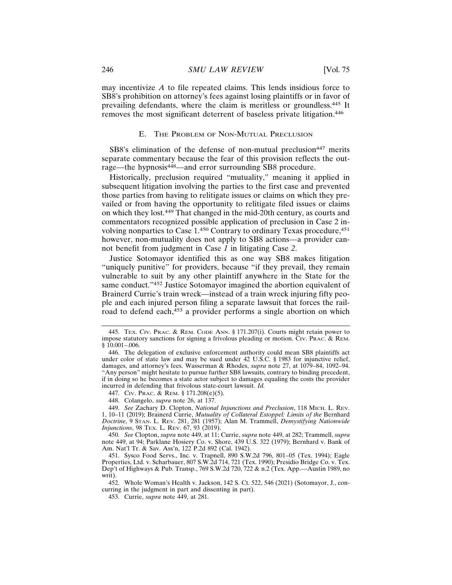may incentivize *A* to file repeated claims. This lends insidious force to SB8's prohibition on attorney's fees against losing plaintiffs or in favor of prevailing defendants, where the claim is meritless or groundless.445 It removes the most significant deterrent of baseless private litigation.<sup>446</sup>

#### E. THE PROBLEM OF NON-MUTUAL PRECLUSION

SB8's elimination of the defense of non-mutual preclusion<sup>447</sup> merits separate commentary because the fear of this provision reflects the outrage—the hypnosis448—and error surrounding SB8 procedure.

Historically, preclusion required "mutuality," meaning it applied in subsequent litigation involving the parties to the first case and prevented those parties from having to relitigate issues or claims on which they prevailed or from having the opportunity to relitigate filed issues or claims on which they lost.449 That changed in the mid-20th century, as courts and commentators recognized possible application of preclusion in Case 2 involving nonparties to Case 1.450 Contrary to ordinary Texas procedure, 451 however, non-mutuality does not apply to SB8 actions—a provider cannot benefit from judgment in Case *1* in litigating Case *2*.

Justice Sotomayor identified this as one way SB8 makes litigation "uniquely punitive" for providers, because "if they prevail, they remain vulnerable to suit by any other plaintiff anywhere in the State for the same conduct."<sup>452</sup> Justice Sotomayor imagined the abortion equivalent of Brainerd Currie's train wreck—instead of a train wreck injuring fifty people and each injured person filing a separate lawsuit that forces the railroad to defend each,<sup>453</sup> a provider performs a single abortion on which

447. CIV. PRAC. & REM. § 171.208(e)(5).

448. Colangelo, *supra* note 26, at 137.

449. *See* Zachary D. Clopton, *National Injunctions and Preclusion*, 118 MICH. L. REV. 1, 10–11 (2019); Brainerd Currie, *Mutuality of Collateral Estoppel: Limits of the* Bernhard *Doctrine*, 9 STAN. L. REV. 281, 281 (1957); Alan M. Trammell, *Demystifying Nationwide Injunctions*, 98 TEX. L. REV. 67, 93 (2019).

450. *See* Clopton, *supra* note 449, at 11; Currie, *supra* note 449, at 282; Trammell, *supra* note 449, at 94; Parklane Hosiery Co. v. Shore, 439 U.S. 322 (1979); Bernhard v. Bank of Am. Nat'l Tr. & Sav. Ass'n, 122 P.2d 892 (Cal. 1942).

451. Sysco Food Servs., Inc. v. Trapnell, 890 S.W.2d 796, 801–05 (Tex. 1994); Eagle Properties, Ltd. v. Scharbauer, 807 S.W.2d 714, 721 (Tex. 1990); Presidio Bridge Co. v. Tex. Dep't of Highways & Pub. Transp., 769 S.W.2d 720, 722 & n.2 (Tex. App.—Austin 1989, no writ).

452. Whole Woman's Health v. Jackson, 142 S. Ct. 522, 546 (2021) (Sotomayor, J., concurring in the judgment in part and dissenting in part).

453. Currie, *supra* note 449, at 281.

<sup>445.</sup> TEX. CIV. PRAC. & REM. CODE ANN. § 171.207(i). Courts might retain power to impose statutory sanctions for signing a frivolous pleading or motion. CIV. PRAC. & REM.  $$10.001 - .006$ .

<sup>446.</sup> The delegation of exclusive enforcement authority could mean SB8 plaintiffs act under color of state law and may be sued under 42 U.S.C. § 1983 for injunctive relief, damages, and attorney's fees. Wasserman & Rhodes, *supra* note 27, at 1079–84, 1092–94. "Any person" might hesitate to pursue further SB8 lawsuits, contrary to binding precedent, if in doing so he becomes a state actor subject to damages equaling the costs the provider incurred in defending that frivolous state-court lawsuit. *Id.*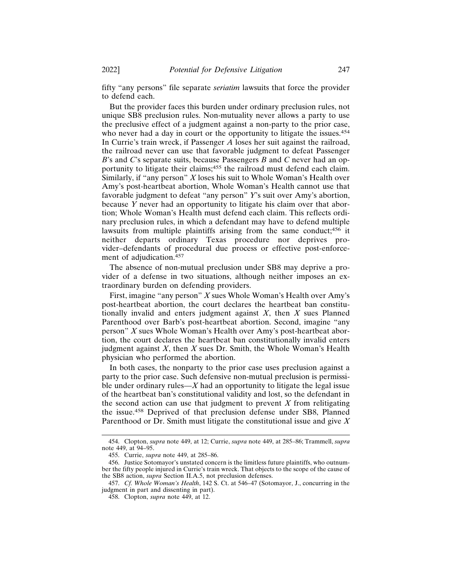fifty "any persons" file separate *seriatim* lawsuits that force the provider to defend each.

But the provider faces this burden under ordinary preclusion rules, not unique SB8 preclusion rules. Non-mutuality never allows a party to use the preclusive effect of a judgment against a non-party to the prior case, who never had a day in court or the opportunity to litigate the issues.<sup>454</sup> In Currie's train wreck, if Passenger *A* loses her suit against the railroad, the railroad never can use that favorable judgment to defeat Passenger *B*'s and *C*'s separate suits, because Passengers *B* and *C* never had an opportunity to litigate their claims;455 the railroad must defend each claim. Similarly, if "any person" *X* loses his suit to Whole Woman's Health over Amy's post-heartbeat abortion, Whole Woman's Health cannot use that favorable judgment to defeat "any person" *Y*'s suit over Amy's abortion, because *Y* never had an opportunity to litigate his claim over that abortion; Whole Woman's Health must defend each claim. This reflects ordinary preclusion rules, in which a defendant may have to defend multiple lawsuits from multiple plaintiffs arising from the same conduct;<sup>456</sup> it neither departs ordinary Texas procedure nor deprives provider–defendants of procedural due process or effective post-enforcement of adjudication.<sup>457</sup>

The absence of non-mutual preclusion under SB8 may deprive a provider of a defense in two situations, although neither imposes an extraordinary burden on defending providers.

First, imagine "any person" *X* sues Whole Woman's Health over Amy's post-heartbeat abortion, the court declares the heartbeat ban constitutionally invalid and enters judgment against *X*, then *X* sues Planned Parenthood over Barb's post-heartbeat abortion. Second, imagine "any person" *X* sues Whole Woman's Health over Amy's post-heartbeat abortion, the court declares the heartbeat ban constitutionally invalid enters judgment against *X*, then *X* sues Dr. Smith, the Whole Woman's Health physician who performed the abortion.

In both cases, the nonparty to the prior case uses preclusion against a party to the prior case. Such defensive non-mutual preclusion is permissible under ordinary rules— $X$  had an opportunity to litigate the legal issue of the heartbeat ban's constitutional validity and lost, so the defendant in the second action can use that judgment to prevent *X* from relitigating the issue.458 Deprived of that preclusion defense under SB8, Planned Parenthood or Dr. Smith must litigate the constitutional issue and give *X*

<sup>454.</sup> Clopton, *supra* note 449, at 12; Currie, *supra* note 449, at 285–86; Trammell, *supra* note 449, at 94–95.

<sup>455.</sup> Currie, *supra* note 449, at 285–86.

<sup>456.</sup> Justice Sotomayor's unstated concern is the limitless future plaintiffs, who outnumber the fifty people injured in Currie's train wreck. That objects to the scope of the cause of the SB8 action, *supra* Section II.A.5, not preclusion defenses.

<sup>457.</sup> *Cf. Whole Woman's Health*, 142 S. Ct. at 546–47 (Sotomayor, J., concurring in the judgment in part and dissenting in part).

<sup>458.</sup> Clopton, *supra* note 449, at 12.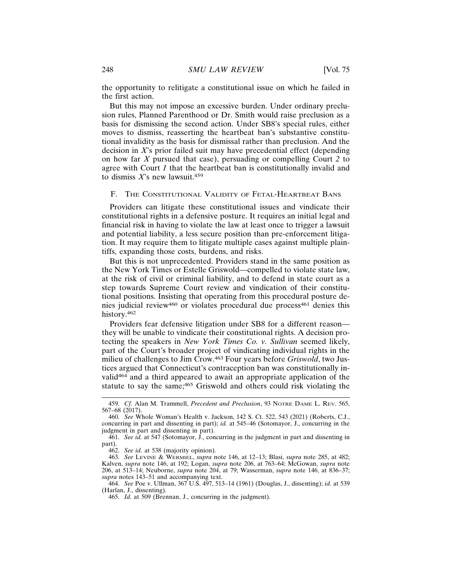the opportunity to relitigate a constitutional issue on which he failed in the first action.

But this may not impose an excessive burden. Under ordinary preclusion rules, Planned Parenthood or Dr. Smith would raise preclusion as a basis for dismissing the second action. Under SB8's special rules, either moves to dismiss, reasserting the heartbeat ban's substantive constitutional invalidity as the basis for dismissal rather than preclusion. And the decision in *X*'s prior failed suit may have precedential effect (depending on how far *X* pursued that case), persuading or compelling Court *2* to agree with Court *1* that the heartbeat ban is constitutionally invalid and to dismiss  $X$ 's new lawsuit.<sup>459</sup>

## F. THE CONSTITUTIONAL VALIDITY OF FETAL-HEARTBEAT BANS

Providers can litigate these constitutional issues and vindicate their constitutional rights in a defensive posture. It requires an initial legal and financial risk in having to violate the law at least once to trigger a lawsuit and potential liability, a less secure position than pre-enforcement litigation. It may require them to litigate multiple cases against multiple plaintiffs, expanding those costs, burdens, and risks.

But this is not unprecedented. Providers stand in the same position as the New York Times or Estelle Griswold—compelled to violate state law, at the risk of civil or criminal liability, and to defend in state court as a step towards Supreme Court review and vindication of their constitutional positions. Insisting that operating from this procedural posture denies judicial review<sup>460</sup> or violates procedural due process<sup>461</sup> denies this history.<sup>462</sup>

Providers fear defensive litigation under SB8 for a different reason they will be unable to vindicate their constitutional rights. A decision protecting the speakers in *New York Times Co. v. Sullivan* seemed likely, part of the Court's broader project of vindicating individual rights in the milieu of challenges to Jim Crow.463 Four years before *Griswold*, two Justices argued that Connecticut's contraception ban was constitutionally invalid464 and a third appeared to await an appropriate application of the statute to say the same;<sup>465</sup> Griswold and others could risk violating the

462. *See id.* at 538 (majority opinion).

<sup>459.</sup> *Cf.* Alan M. Trammell, *Precedent and Preclusion*, 93 NOTRE DAME L. REV. 565, 567–68 (2017).

<sup>460.</sup> *See* Whole Woman's Health v. Jackson, 142 S. Ct. 522, 543 (2021) (Roberts, C.J., concurring in part and dissenting in part); *id.* at 545–46 (Sotomayor, J., concurring in the judgment in part and dissenting in part).

<sup>461.</sup> *See id.* at 547 (Sotomayor, J., concurring in the judgment in part and dissenting in part).

<sup>463.</sup> *See* LEVINE & WERMIEL, *supra* note 146, at 12–13; Blasi, *supra* note 285, at 482; Kalven, *supra* note 146, at 192; Logan, *supra* note 206, at 763–64; McGowan, *supra* note 206, at 513–14; Neuborne, *supra* note 204, at 79; Wasserman, *supra* note 146, at 836–37; *supra* notes 143–51 and accompanying text.

<sup>464.</sup> *See* Poe v. Ullman, 367 U.S. 497, 513–14 (1961) (Douglas, J., dissenting); *id.* at 539 (Harlan, J., dissenting).

<sup>465.</sup> *Id.* at 509 (Brennan, J., concurring in the judgment).